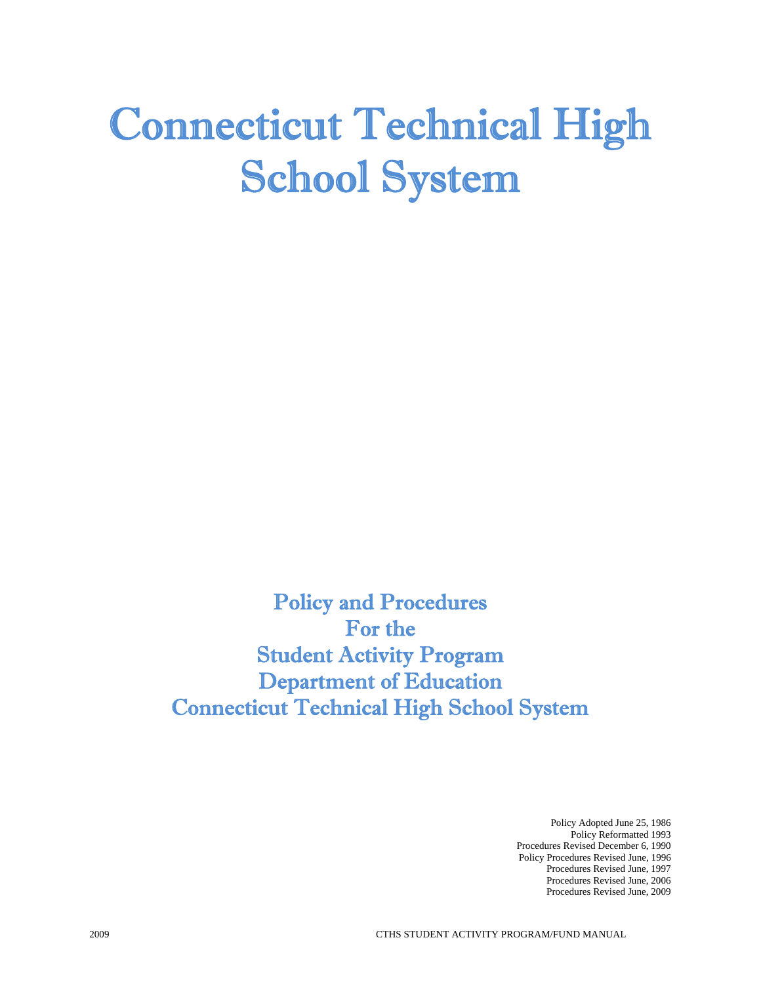# Connecticut Technical High School System

Policy and Procedures For the Student Activity Program Department of Education Connecticut Technical High School System

> Policy Adopted June 25, 1986 Policy Reformatted 1993 Procedures Revised December 6, 1990 Policy Procedures Revised June, 1996 Procedures Revised June, 1997 Procedures Revised June, 2006 Procedures Revised June, 2009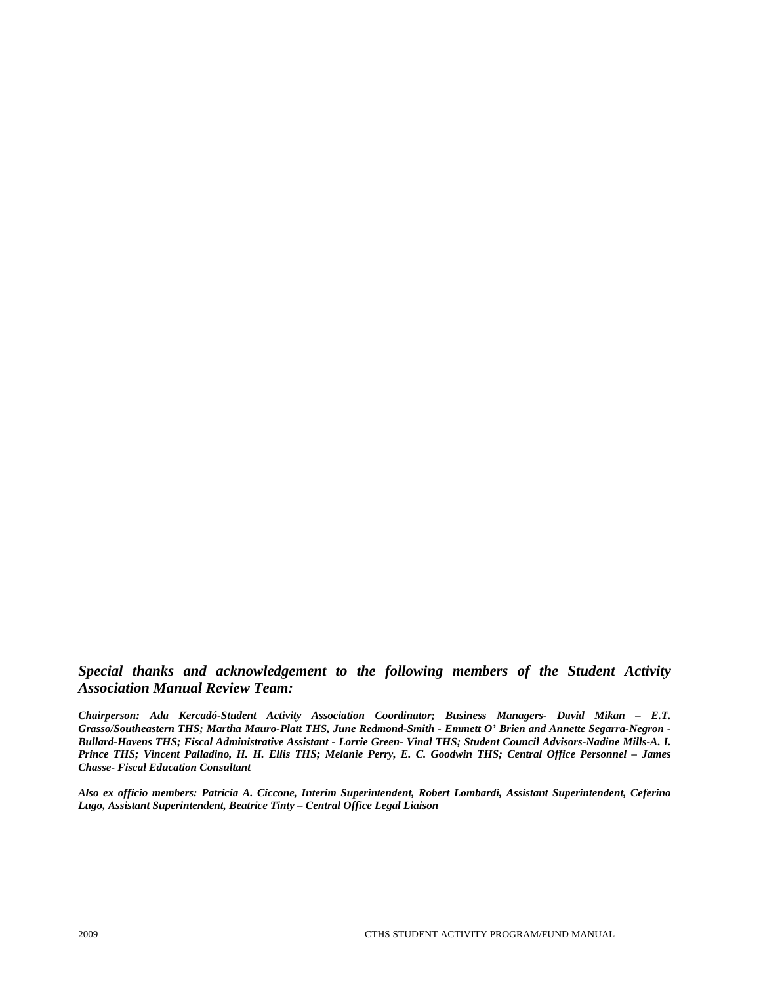# *Special thanks and acknowledgement to the following members of the Student Activity Association Manual Review Team:*

*Chairperson: Ada Kercadó-Student Activity Association Coordinator; Business Managers- David Mikan – E.T. Grasso/Southeastern THS; Martha Mauro-Platt THS, June Redmond-Smith - Emmett O' Brien and Annette Segarra-Negron - Bullard-Havens THS; Fiscal Administrative Assistant - Lorrie Green- Vinal THS; Student Council Advisors-Nadine Mills-A. I. Prince THS; Vincent Palladino, H. H. Ellis THS; Melanie Perry, E. C. Goodwin THS; Central Office Personnel – James Chasse- Fiscal Education Consultant* 

*Also ex officio members: Patricia A. Ciccone, Interim Superintendent, Robert Lombardi, Assistant Superintendent, Ceferino Lugo, Assistant Superintendent, Beatrice Tinty – Central Office Legal Liaison*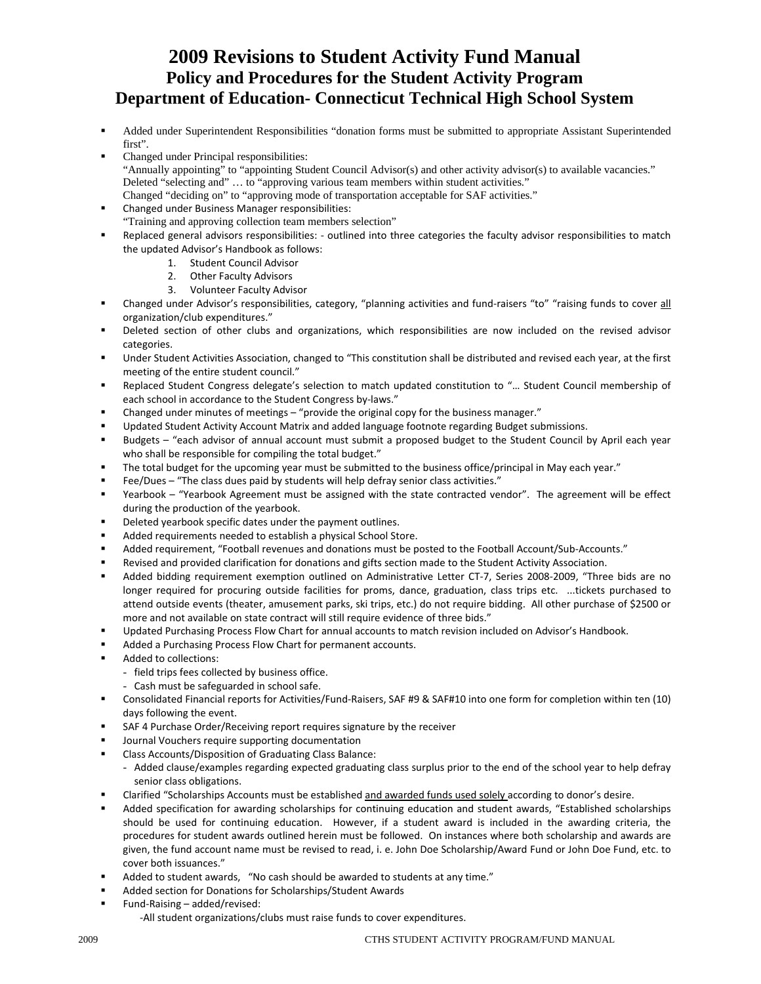# **2009 Revisions to Student Activity Fund Manual Policy and Procedures for the Student Activity Program Department of Education- Connecticut Technical High School System**

- Added under Superintendent Responsibilities "donation forms must be submitted to appropriate Assistant Superintended first".
- Changed under Principal responsibilities: "Annually appointing" to "appointing Student Council Advisor(s) and other activity advisor(s) to available vacancies." Deleted "selecting and" … to "approving various team members within student activities." Changed "deciding on" to "approving mode of transportation acceptable for SAF activities."
- Changed under Business Manager responsibilities: "Training and approving collection team members selection"
- Replaced general advisors responsibilities: ‐ outlined into three categories the faculty advisor responsibilities to match the updated Advisor's Handbook as follows:
	- 1. Student Council Advisor
	- 2. Other Faculty Advisors
	- 3. Volunteer Faculty Advisor
- Changed under Advisor's responsibilities, category, "planning activities and fund-raisers "to" "raising funds to cover all organization/club expenditures."
- Deleted section of other clubs and organizations, which responsibilities are now included on the revised advisor categories.
- Under Student Activities Association, changed to "This constitution shall be distributed and revised each year, at the first meeting of the entire student council."
- Replaced Student Congress delegate's selection to match updated constitution to "… Student Council membership of each school in accordance to the Student Congress by-laws."
- Changed under minutes of meetings "provide the original copy for the business manager."
- Updated Student Activity Account Matrix and added language footnote regarding Budget submissions.
- Budgets "each advisor of annual account must submit a proposed budget to the Student Council by April each year who shall be responsible for compiling the total budget."
- The total budget for the upcoming year must be submitted to the business office/principal in May each year."
- Fee/Dues "The class dues paid by students will help defray senior class activities."
- Yearbook "Yearbook Agreement must be assigned with the state contracted vendor". The agreement will be effect during the production of the yearbook.
- Deleted yearbook specific dates under the payment outlines.
- Added requirements needed to establish a physical School Store.
- Added requirement, "Football revenues and donations must be posted to the Football Account/Sub‐Accounts."
- Revised and provided clarification for donations and gifts section made to the Student Activity Association.
- Added bidding requirement exemption outlined on Administrative Letter CT‐7, Series 2008‐2009, "Three bids are no longer required for procuring outside facilities for proms, dance, graduation, class trips etc. ...tickets purchased to attend outside events (theater, amusement parks, ski trips, etc.) do not require bidding. All other purchase of \$2500 or more and not available on state contract will still require evidence of three bids."
- Updated Purchasing Process Flow Chart for annual accounts to match revision included on Advisor's Handbook.
- Added a Purchasing Process Flow Chart for permanent accounts.
- Added to collections:
	- field trips fees collected by business office.
	- Cash must be safeguarded in school safe.
- Consolidated Financial reports for Activities/Fund‐Raisers, SAF #9 & SAF#10 into one form for completion within ten (10) days following the event.
- SAF 4 Purchase Order/Receiving report requires signature by the receiver
- Journal Vouchers require supporting documentation
- Class Accounts/Disposition of Graduating Class Balance:
	- Added clause/examples regarding expected graduating class surplus prior to the end of the school year to help defray senior class obligations.
- Clarified "Scholarships Accounts must be established and awarded funds used solely according to donor's desire.
- Added specification for awarding scholarships for continuing education and student awards, "Established scholarships should be used for continuing education. However, if a student award is included in the awarding criteria, the procedures for student awards outlined herein must be followed. On instances where both scholarship and awards are given, the fund account name must be revised to read, i. e. John Doe Scholarship/Award Fund or John Doe Fund, etc. to cover both issuances."
- Added to student awards, "No cash should be awarded to students at any time."
- Added section for Donations for Scholarships/Student Awards
- Fund‐Raising added/revised: ‐All student organizations/clubs must raise funds to cover expenditures.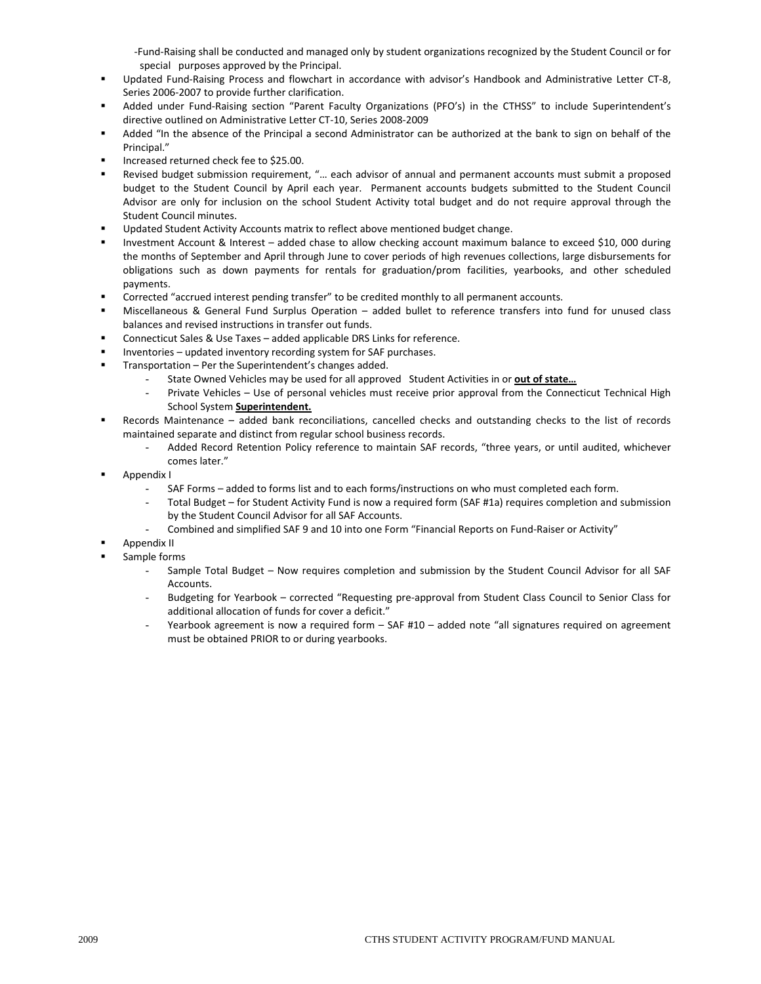‐Fund‐Raising shall be conducted and managed only by student organizations recognized by the Student Council or for special purposes approved by the Principal.

- Updated Fund‐Raising Process and flowchart in accordance with advisor's Handbook and Administrative Letter CT‐8, Series 2006‐2007 to provide further clarification.
- Added under Fund‐Raising section "Parent Faculty Organizations (PFO's) in the CTHSS" to include Superintendent's directive outlined on Administrative Letter CT‐10, Series 2008‐2009
- Added "In the absence of the Principal a second Administrator can be authorized at the bank to sign on behalf of the Principal."
- Increased returned check fee to \$25.00.
- Revised budget submission requirement, "… each advisor of annual and permanent accounts must submit a proposed budget to the Student Council by April each year. Permanent accounts budgets submitted to the Student Council Advisor are only for inclusion on the school Student Activity total budget and do not require approval through the Student Council minutes.
- Updated Student Activity Accounts matrix to reflect above mentioned budget change.
- Investment Account & Interest added chase to allow checking account maximum balance to exceed \$10, 000 during the months of September and April through June to cover periods of high revenues collections, large disbursements for obligations such as down payments for rentals for graduation/prom facilities, yearbooks, and other scheduled payments.
- Corrected "accrued interest pending transfer" to be credited monthly to all permanent accounts.
- Miscellaneous & General Fund Surplus Operation added bullet to reference transfers into fund for unused class balances and revised instructions in transfer out funds.
- Connecticut Sales & Use Taxes added applicable DRS Links for reference.
- Inventories updated inventory recording system for SAF purchases.
- Transportation Per the Superintendent's changes added.
	- State Owned Vehicles may be used for all approved Student Activities in or **out of state…**
	- Private Vehicles Use of personal vehicles must receive prior approval from the Connecticut Technical High School System **Superintendent.**
- Records Maintenance added bank reconciliations, cancelled checks and outstanding checks to the list of records maintained separate and distinct from regular school business records.
	- Added Record Retention Policy reference to maintain SAF records, "three years, or until audited, whichever comes later."
- Appendix I
	- SAF Forms added to forms list and to each forms/instructions on who must completed each form.
		- Total Budget for Student Activity Fund is now a required form (SAF #1a) requires completion and submission by the Student Council Advisor for all SAF Accounts.
	- Combined and simplified SAF 9 and 10 into one Form "Financial Reports on Fund-Raiser or Activity"
- Appendix II
- Sample forms
	- Sample Total Budget Now requires completion and submission by the Student Council Advisor for all SAF Accounts.
	- Budgeting for Yearbook corrected "Requesting pre‐approval from Student Class Council to Senior Class for additional allocation of funds for cover a deficit."
	- Yearbook agreement is now a required form  $-$  SAF #10  $-$  added note "all signatures required on agreement must be obtained PRIOR to or during yearbooks.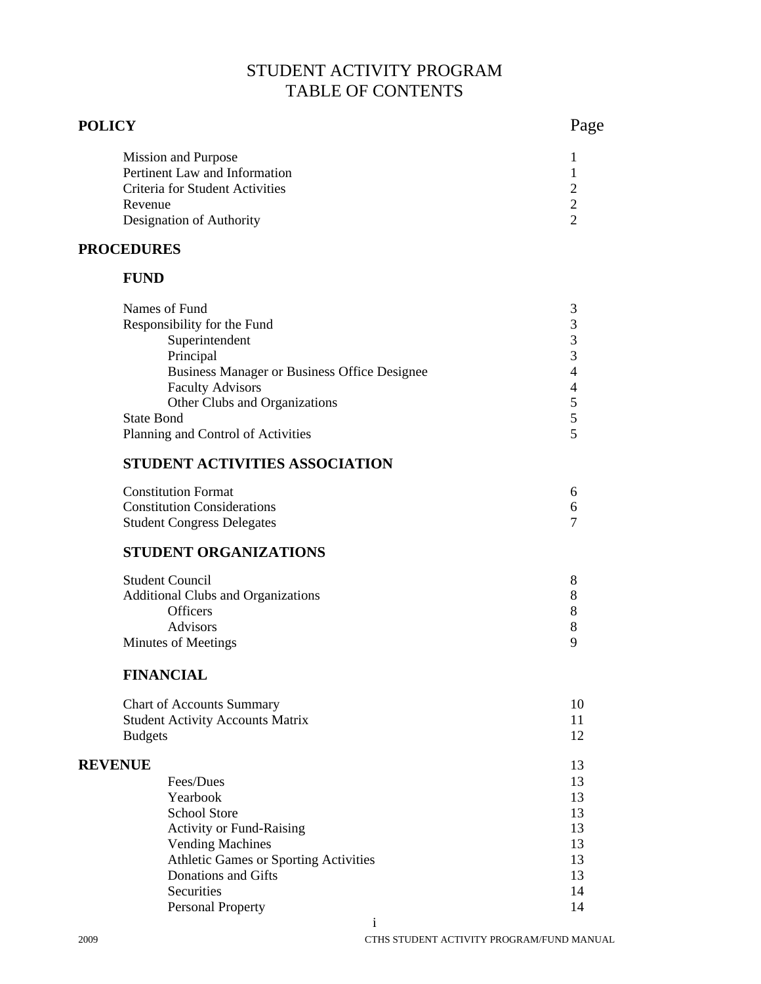# STUDENT ACTIVITY PROGRAM TABLE OF CONTENTS

# **POLICY** Page

| Mission and Purpose             |  |
|---------------------------------|--|
| Pertinent Law and Information   |  |
| Criteria for Student Activities |  |
| Revenue                         |  |
| Designation of Authority        |  |

# **PROCEDURES**

# **FUND**

| Names of Fund                                       |  |
|-----------------------------------------------------|--|
| Responsibility for the Fund                         |  |
| Superintendent                                      |  |
| Principal                                           |  |
| <b>Business Manager or Business Office Designee</b> |  |
| <b>Faculty Advisors</b>                             |  |
| Other Clubs and Organizations                       |  |
| <b>State Bond</b>                                   |  |
| Planning and Control of Activities                  |  |
|                                                     |  |

# **STUDENT ACTIVITIES ASSOCIATION**

| <b>Constitution Format</b>         |  |
|------------------------------------|--|
| <b>Constitution Considerations</b> |  |
| <b>Student Congress Delegates</b>  |  |

# **STUDENT ORGANIZATIONS**

| <b>Student Council</b>                    |  |
|-------------------------------------------|--|
| <b>Additional Clubs and Organizations</b> |  |
| <b>Officers</b>                           |  |
| <b>Advisors</b>                           |  |
| Minutes of Meetings                       |  |
|                                           |  |

# **FINANCIAL**

| <b>Chart of Accounts Summary</b>        | 10 |
|-----------------------------------------|----|
| <b>Student Activity Accounts Matrix</b> | 11 |
| <b>Budgets</b>                          | 12 |
| <b>REVENUE</b>                          | 13 |
| Fees/Dues                               | 13 |
| Yearbook                                | 13 |
| <b>School Store</b>                     | 13 |
| <b>Activity or Fund-Raising</b>         | 13 |
| <b>Vending Machines</b>                 | 13 |
| Athletic Games or Sporting Activities   | 13 |
| Donations and Gifts                     | 13 |
| Securities                              | 14 |
| <b>Personal Property</b>                | 14 |
|                                         |    |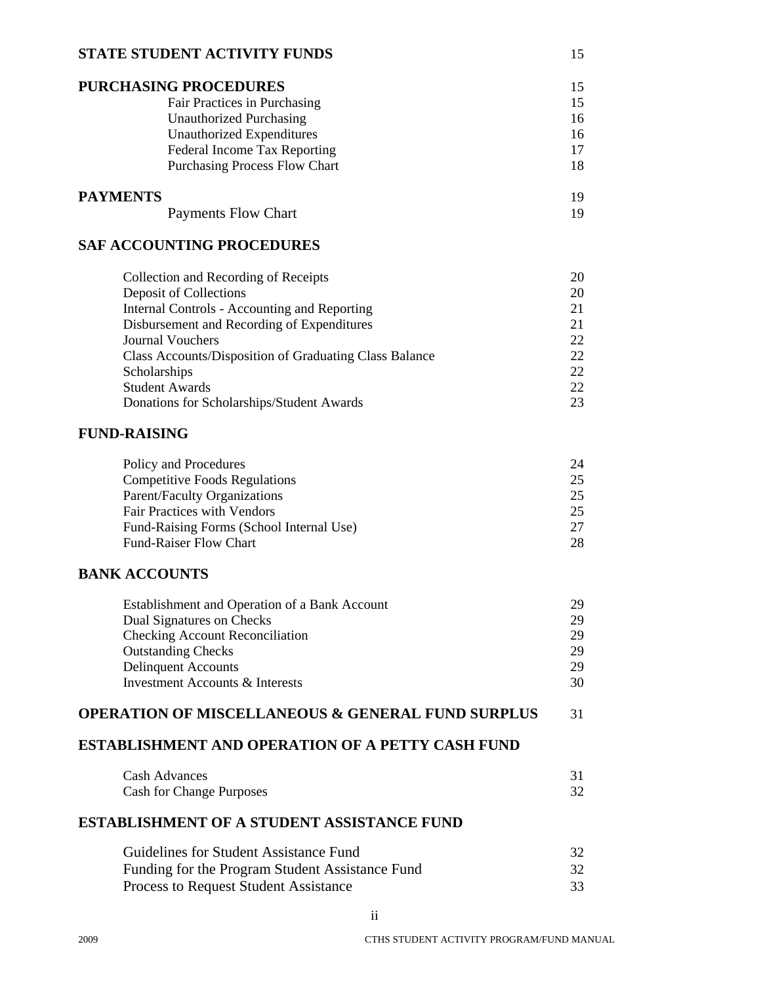#### **STATE STUDENT ACTIVITY FUNDS** 15

| <b>PURCHASING PROCEDURES</b>         | 15 |
|--------------------------------------|----|
| Fair Practices in Purchasing         | 15 |
| <b>Unauthorized Purchasing</b>       | 16 |
| Unauthorized Expenditures            | 16 |
| Federal Income Tax Reporting         | 17 |
| <b>Purchasing Process Flow Chart</b> | 18 |
| <b>PAYMENTS</b>                      | 19 |

# Payments Flow Chart 19

# **SAF ACCOUNTING PROCEDURES**

| 20 |
|----|
| 20 |
|    |
|    |
| 22 |
| 22 |
| 22 |
| 22 |
| 23 |
|    |

# **FUND-RAISING**

| Policy and Procedures                    | 24 |
|------------------------------------------|----|
| <b>Competitive Foods Regulations</b>     | 25 |
| Parent/Faculty Organizations             | 25 |
| <b>Fair Practices with Vendors</b>       | 25 |
| Fund-Raising Forms (School Internal Use) | 27 |
| <b>Fund-Raiser Flow Chart</b>            | 28 |

# **BANK ACCOUNTS**

| 29 |
|----|
| 29 |
| 29 |
| 29 |
| 30 |
|    |

# **OPERATION OF MISCELLANEOUS & GENERAL FUND SURPLUS** 31

# **ESTABLISHMENT AND OPERATION OF A PETTY CASH FUND**

| <b>Cash Advances</b>            |  |
|---------------------------------|--|
| <b>Cash for Change Purposes</b> |  |

# **ESTABLISHMENT OF A STUDENT ASSISTANCE FUND**

| Guidelines for Student Assistance Fund          | 32 |
|-------------------------------------------------|----|
| Funding for the Program Student Assistance Fund | 32 |
| <b>Process to Request Student Assistance</b>    | 33 |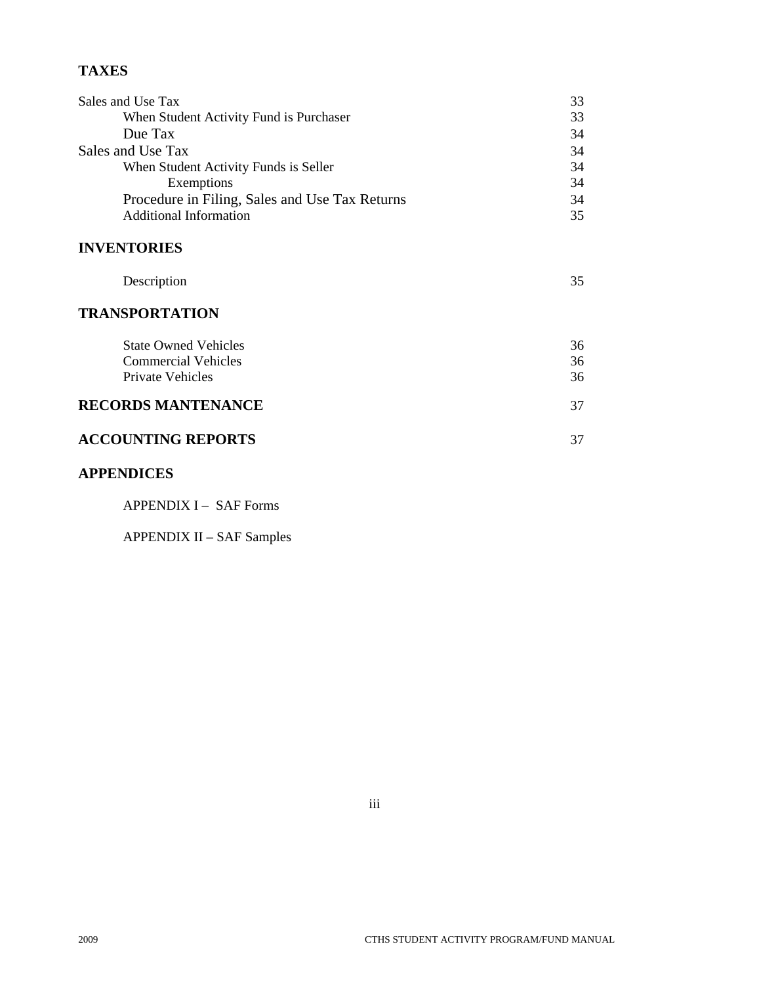# **TAXES**

| Sales and Use Tax                              | 33 |
|------------------------------------------------|----|
| When Student Activity Fund is Purchaser        | 33 |
| Due Tax                                        | 34 |
| Sales and Use Tax                              | 34 |
| When Student Activity Funds is Seller          | 34 |
| Exemptions                                     | 34 |
| Procedure in Filing, Sales and Use Tax Returns | 34 |
| <b>Additional Information</b>                  | 35 |

# **INVENTORIES**

| Description |  |
|-------------|--|
|             |  |

# **TRANSPORTATION**

| <b>State Owned Vehicles</b><br><b>Commercial Vehicles</b> | 36<br>36 |
|-----------------------------------------------------------|----------|
| Private Vehicles                                          | 36       |
| RECORDS MANTENANCE                                        | 37       |

# **ACCOUNTING REPORTS** 37

# **APPENDICES**

APPENDIX I – SAF Forms

APPENDIX II – SAF Samples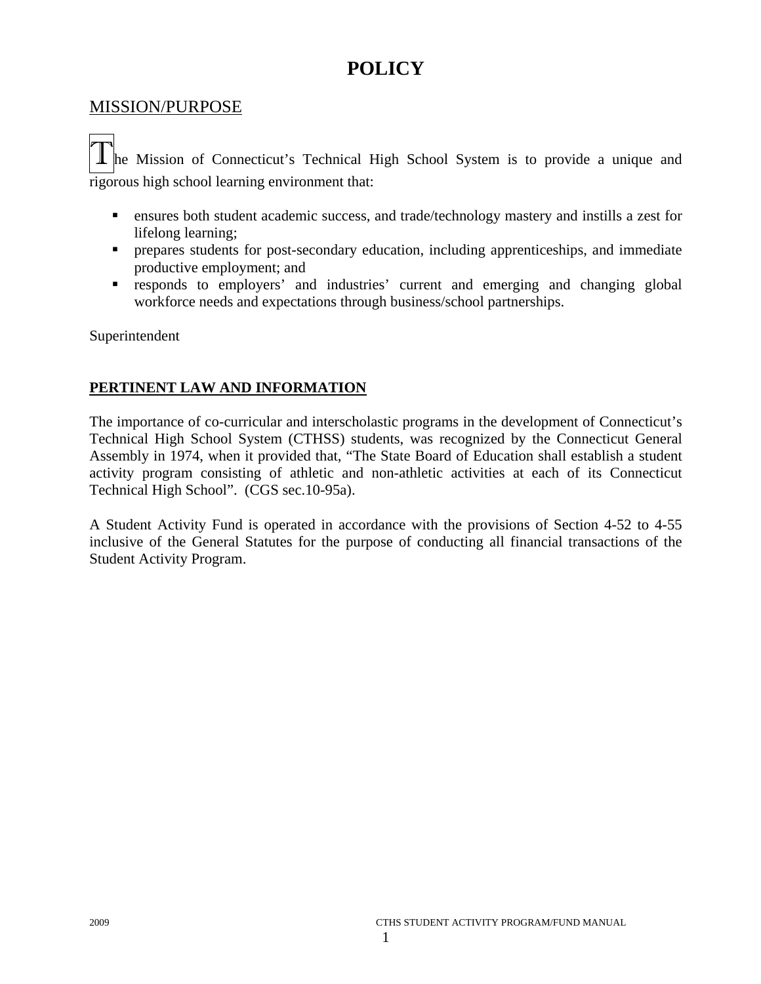# **POLICY**

# MISSION/PURPOSE

The Mission of Connecticut's Technical High School System is to provide a unique and rigorous high school learning environment that:

- ensures both student academic success, and trade/technology mastery and instills a zest for lifelong learning;
- prepares students for post-secondary education, including apprenticeships, and immediate productive employment; and
- responds to employers' and industries' current and emerging and changing global workforce needs and expectations through business/school partnerships.

Superintendent

# **PERTINENT LAW AND INFORMATION**

The importance of co-curricular and interscholastic programs in the development of Connecticut's Technical High School System (CTHSS) students, was recognized by the Connecticut General Assembly in 1974, when it provided that, "The State Board of Education shall establish a student activity program consisting of athletic and non-athletic activities at each of its Connecticut Technical High School". (CGS sec.10-95a).

A Student Activity Fund is operated in accordance with the provisions of Section 4-52 to 4-55 inclusive of the General Statutes for the purpose of conducting all financial transactions of the Student Activity Program.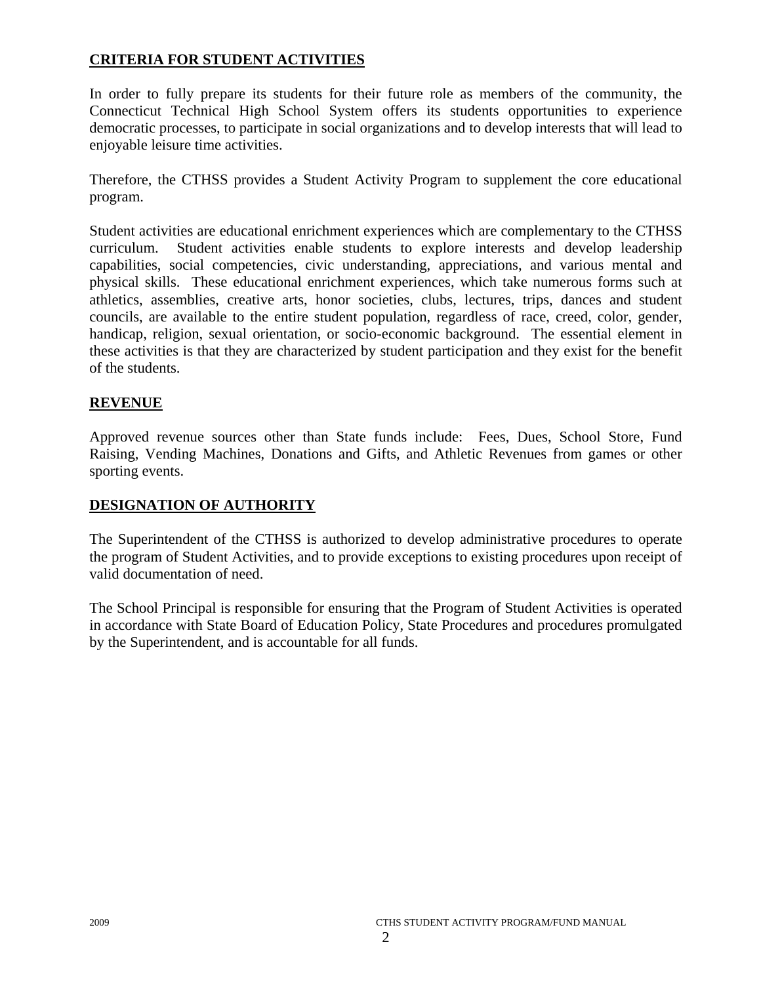# **CRITERIA FOR STUDENT ACTIVITIES**

In order to fully prepare its students for their future role as members of the community, the Connecticut Technical High School System offers its students opportunities to experience democratic processes, to participate in social organizations and to develop interests that will lead to enjoyable leisure time activities.

Therefore, the CTHSS provides a Student Activity Program to supplement the core educational program.

Student activities are educational enrichment experiences which are complementary to the CTHSS curriculum. Student activities enable students to explore interests and develop leadership capabilities, social competencies, civic understanding, appreciations, and various mental and physical skills. These educational enrichment experiences, which take numerous forms such at athletics, assemblies, creative arts, honor societies, clubs, lectures, trips, dances and student councils, are available to the entire student population, regardless of race, creed, color, gender, handicap, religion, sexual orientation, or socio-economic background. The essential element in these activities is that they are characterized by student participation and they exist for the benefit of the students.

# **REVENUE**

Approved revenue sources other than State funds include: Fees, Dues, School Store, Fund Raising, Vending Machines, Donations and Gifts, and Athletic Revenues from games or other sporting events.

# **DESIGNATION OF AUTHORITY**

The Superintendent of the CTHSS is authorized to develop administrative procedures to operate the program of Student Activities, and to provide exceptions to existing procedures upon receipt of valid documentation of need.

The School Principal is responsible for ensuring that the Program of Student Activities is operated in accordance with State Board of Education Policy, State Procedures and procedures promulgated by the Superintendent, and is accountable for all funds.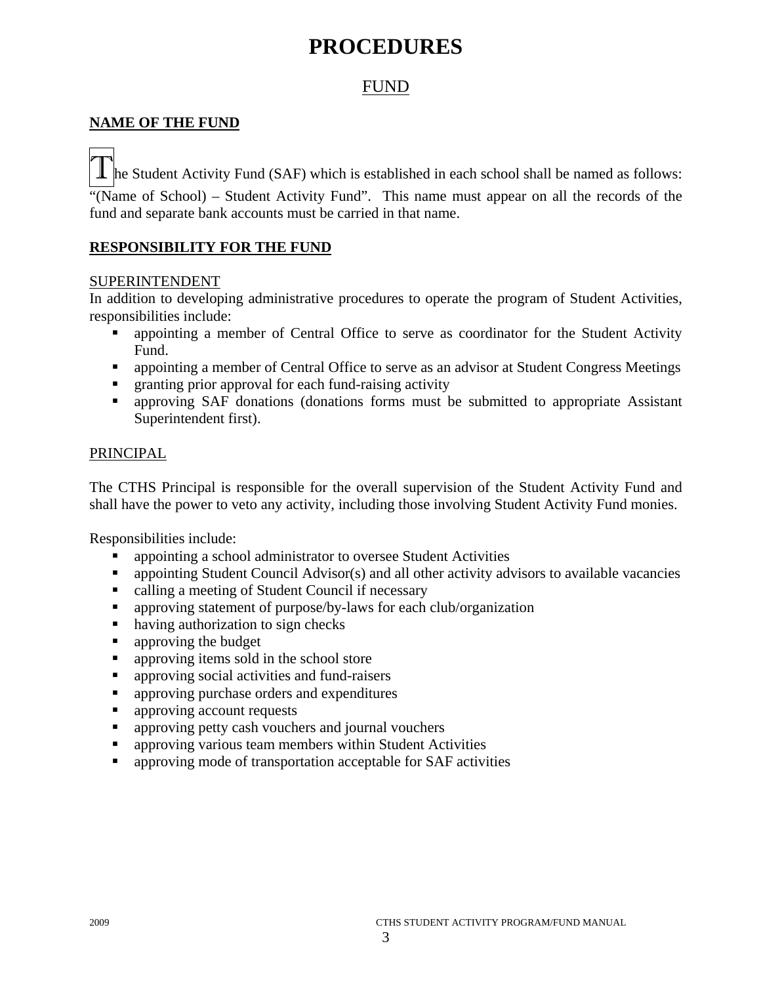# **PROCEDURES**

# FUND

# **NAME OF THE FUND**

 $\mathbf 1$  he Student Activity Fund (SAF) which is established in each school shall be named as follows:

"(Name of School) – Student Activity Fund". This name must appear on all the records of the fund and separate bank accounts must be carried in that name.

# **RESPONSIBILITY FOR THE FUND**

# SUPERINTENDENT

In addition to developing administrative procedures to operate the program of Student Activities, responsibilities include:

- appointing a member of Central Office to serve as coordinator for the Student Activity Fund.
- appointing a member of Central Office to serve as an advisor at Student Congress Meetings
- granting prior approval for each fund-raising activity
- approving SAF donations (donations forms must be submitted to appropriate Assistant Superintendent first).

#### PRINCIPAL

The CTHS Principal is responsible for the overall supervision of the Student Activity Fund and shall have the power to veto any activity, including those involving Student Activity Fund monies.

Responsibilities include:

- appointing a school administrator to oversee Student Activities
- appointing Student Council Advisor(s) and all other activity advisors to available vacancies
- calling a meeting of Student Council if necessary
- approving statement of purpose/by-laws for each club/organization
- having authorization to sign checks
- **approving the budget**
- **approving items sold in the school store**
- **a** approving social activities and fund-raisers
- **•** approving purchase orders and expenditures
- **approving account requests**
- **•** approving petty cash vouchers and journal vouchers
- **•** approving various team members within Student Activities
- **•** approving mode of transportation acceptable for SAF activities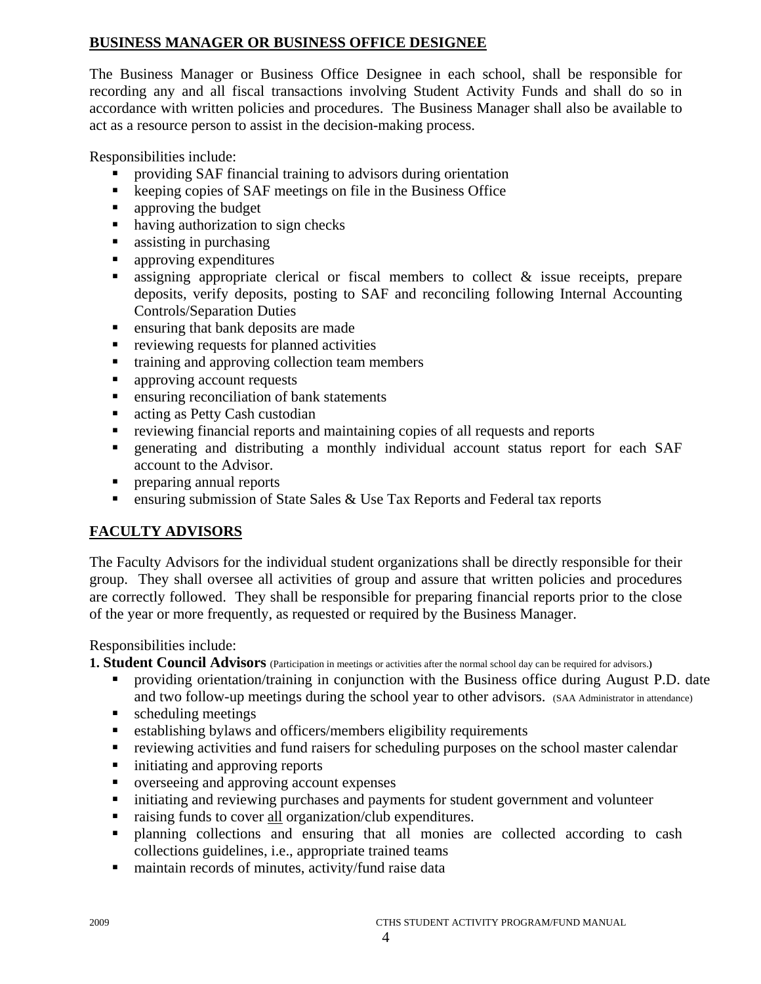# **BUSINESS MANAGER OR BUSINESS OFFICE DESIGNEE**

The Business Manager or Business Office Designee in each school, shall be responsible for recording any and all fiscal transactions involving Student Activity Funds and shall do so in accordance with written policies and procedures. The Business Manager shall also be available to act as a resource person to assist in the decision-making process.

Responsibilities include:

- providing SAF financial training to advisors during orientation
- keeping copies of SAF meetings on file in the Business Office
- **•** approving the budget
- having authorization to sign checks
- **assisting in purchasing**
- **approving expenditures**
- assigning appropriate clerical or fiscal members to collect  $\&$  issue receipts, prepare deposits, verify deposits, posting to SAF and reconciling following Internal Accounting Controls/Separation Duties
- **Exercise 1** ensuring that bank deposits are made
- **•** reviewing requests for planned activities
- **training and approving collection team members**
- **approving account requests**
- **EXECUTE:** ensuring reconciliation of bank statements
- acting as Petty Cash custodian
- reviewing financial reports and maintaining copies of all requests and reports
- generating and distributing a monthly individual account status report for each SAF account to the Advisor.
- **Performance in the preparing annual reports**
- ensuring submission of State Sales & Use Tax Reports and Federal tax reports

# **FACULTY ADVISORS**

The Faculty Advisors for the individual student organizations shall be directly responsible for their group. They shall oversee all activities of group and assure that written policies and procedures are correctly followed. They shall be responsible for preparing financial reports prior to the close of the year or more frequently, as requested or required by the Business Manager.

Responsibilities include:

**1. Student Council Advisors** (Participation in meetings or activities after the normal school day can be required for advisors.**)** 

- providing orientation/training in conjunction with the Business office during August P.D. date and two follow-up meetings during the school year to other advisors. (SAA Administrator in attendance)
- scheduling meetings
- establishing bylaws and officers/members eligibility requirements
- reviewing activities and fund raisers for scheduling purposes on the school master calendar
- $\blacksquare$  initiating and approving reports
- overseeing and approving account expenses
- $\blacksquare$  initiating and reviewing purchases and payments for student government and volunteer
- raising funds to cover all organization/club expenditures.
- planning collections and ensuring that all monies are collected according to cash collections guidelines, i.e., appropriate trained teams
- maintain records of minutes, activity/fund raise data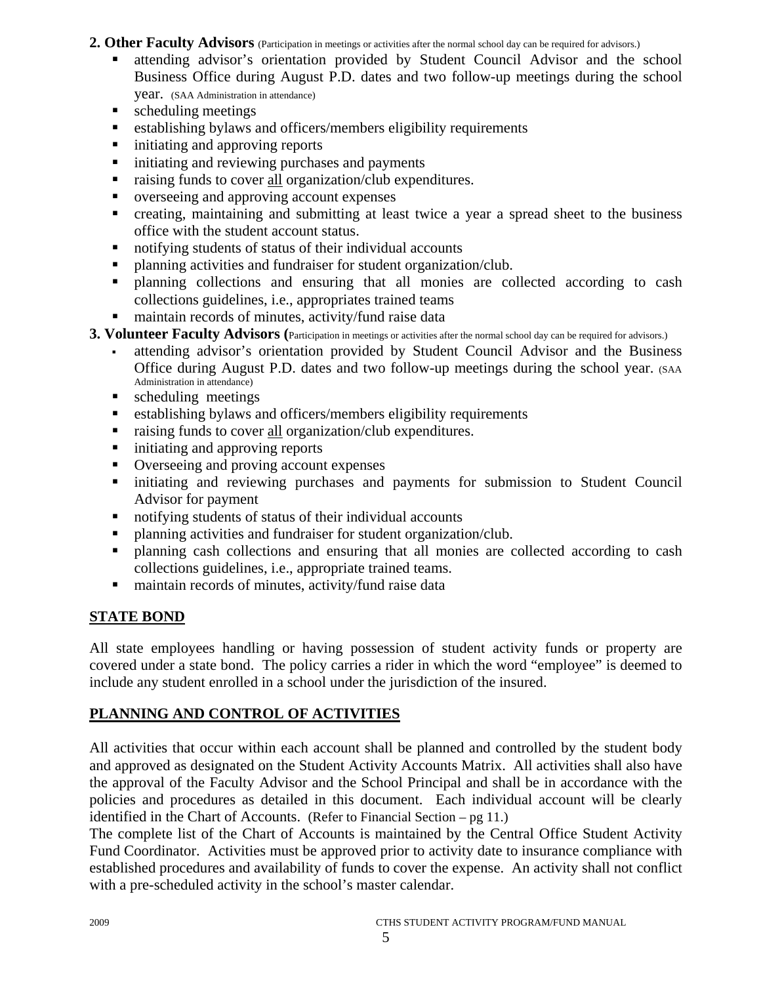# 2. Other Faculty Advisors (Participation in meetings or activities after the normal school day can be required for advisors.)

- attending advisor's orientation provided by Student Council Advisor and the school Business Office during August P.D. dates and two follow-up meetings during the school year. (SAA Administration in attendance)
- scheduling meetings
- establishing bylaws and officers/members eligibility requirements
- $\blacksquare$  initiating and approving reports
- $\blacksquare$  initiating and reviewing purchases and payments
- raising funds to cover all organization/club expenditures.
- verseeing and approving account expenses
- creating, maintaining and submitting at least twice a year a spread sheet to the business office with the student account status.
- notifying students of status of their individual accounts
- planning activities and fundraiser for student organization/club.
- planning collections and ensuring that all monies are collected according to cash collections guidelines, i.e., appropriates trained teams
- maintain records of minutes, activity/fund raise data
- **3. Volunteer Faculty Advisors** (Participation in meetings or activities after the normal school day can be required for advisors.)
	- attending advisor's orientation provided by Student Council Advisor and the Business Office during August P.D. dates and two follow-up meetings during the school year. (SAA Administration in attendance)
	- **scheduling meetings**
	- establishing bylaws and officers/members eligibility requirements
	- raising funds to cover all organization/club expenditures.
	- $\blacksquare$  initiating and approving reports
	- Overseeing and proving account expenses
	- initiating and reviewing purchases and payments for submission to Student Council Advisor for payment
	- notifying students of status of their individual accounts
	- planning activities and fundraiser for student organization/club.
	- planning cash collections and ensuring that all monies are collected according to cash collections guidelines, i.e., appropriate trained teams.
	- maintain records of minutes, activity/fund raise data

# **STATE BOND**

All state employees handling or having possession of student activity funds or property are covered under a state bond. The policy carries a rider in which the word "employee" is deemed to include any student enrolled in a school under the jurisdiction of the insured.

# **PLANNING AND CONTROL OF ACTIVITIES**

All activities that occur within each account shall be planned and controlled by the student body and approved as designated on the Student Activity Accounts Matrix. All activities shall also have the approval of the Faculty Advisor and the School Principal and shall be in accordance with the policies and procedures as detailed in this document. Each individual account will be clearly identified in the Chart of Accounts. (Refer to Financial Section – pg 11.)

The complete list of the Chart of Accounts is maintained by the Central Office Student Activity Fund Coordinator. Activities must be approved prior to activity date to insurance compliance with established procedures and availability of funds to cover the expense. An activity shall not conflict with a pre-scheduled activity in the school's master calendar.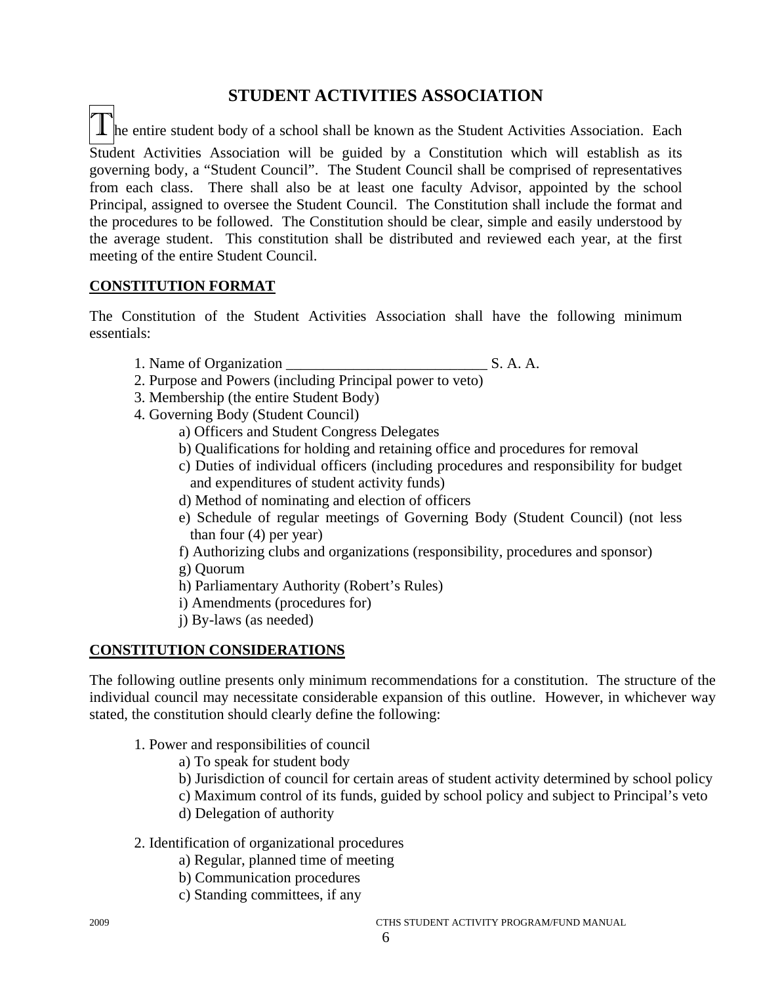# **STUDENT ACTIVITIES ASSOCIATION**

 $\perp$   $\parallel$  he entire student body of a school shall be known as the Student Activities Association. Each Student Activities Association will be guided by a Constitution which will establish as its governing body, a "Student Council". The Student Council shall be comprised of representatives from each class. There shall also be at least one faculty Advisor, appointed by the school Principal, assigned to oversee the Student Council. The Constitution shall include the format and the procedures to be followed. The Constitution should be clear, simple and easily understood by the average student. This constitution shall be distributed and reviewed each year, at the first meeting of the entire Student Council.

# **CONSTITUTION FORMAT**

The Constitution of the Student Activities Association shall have the following minimum essentials:

- 1. Name of Organization S. A. A.
- 2. Purpose and Powers (including Principal power to veto)
- 3. Membership (the entire Student Body)
- 4. Governing Body (Student Council)
	- a) Officers and Student Congress Delegates
	- b) Qualifications for holding and retaining office and procedures for removal
	- c) Duties of individual officers (including procedures and responsibility for budget and expenditures of student activity funds)
	- d) Method of nominating and election of officers
	- e) Schedule of regular meetings of Governing Body (Student Council) (not less than four (4) per year)
	- f) Authorizing clubs and organizations (responsibility, procedures and sponsor)
	- g) Quorum
	- h) Parliamentary Authority (Robert's Rules)
	- i) Amendments (procedures for)
	- j) By-laws (as needed)

# **CONSTITUTION CONSIDERATIONS**

The following outline presents only minimum recommendations for a constitution. The structure of the individual council may necessitate considerable expansion of this outline. However, in whichever way stated, the constitution should clearly define the following:

- 1. Power and responsibilities of council
	- a) To speak for student body
	- b) Jurisdiction of council for certain areas of student activity determined by school policy
	- c) Maximum control of its funds, guided by school policy and subject to Principal's veto
	- d) Delegation of authority
- 2. Identification of organizational procedures
	- a) Regular, planned time of meeting
	- b) Communication procedures
	- c) Standing committees, if any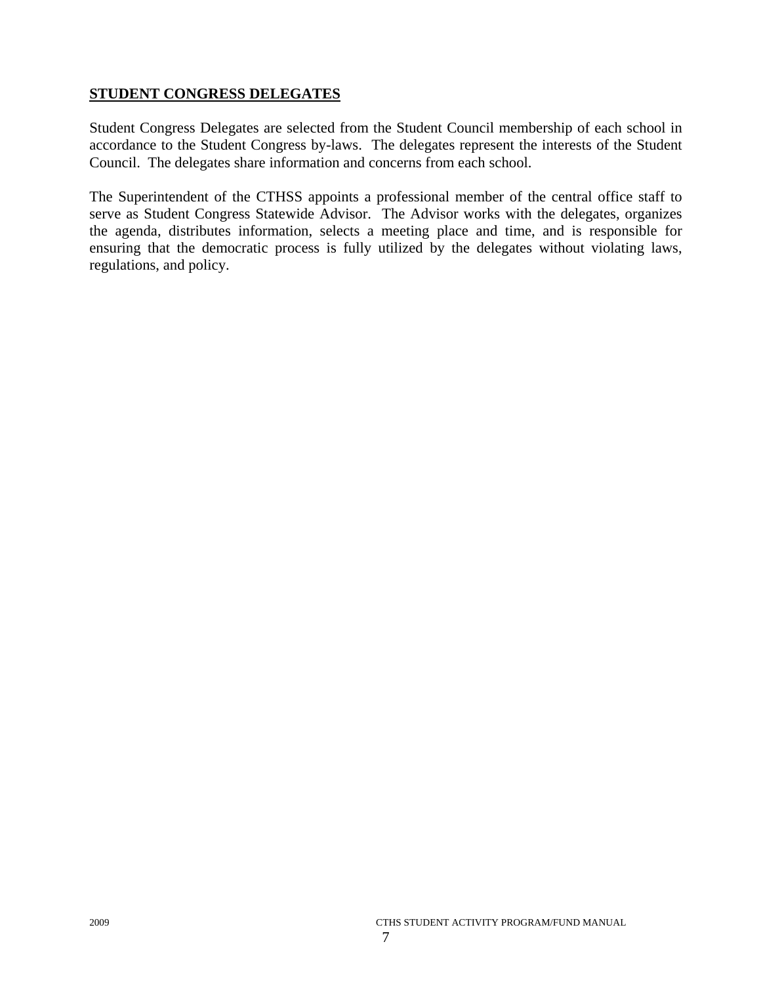# **STUDENT CONGRESS DELEGATES**

Student Congress Delegates are selected from the Student Council membership of each school in accordance to the Student Congress by-laws. The delegates represent the interests of the Student Council. The delegates share information and concerns from each school.

The Superintendent of the CTHSS appoints a professional member of the central office staff to serve as Student Congress Statewide Advisor. The Advisor works with the delegates, organizes the agenda, distributes information, selects a meeting place and time, and is responsible for ensuring that the democratic process is fully utilized by the delegates without violating laws, regulations, and policy.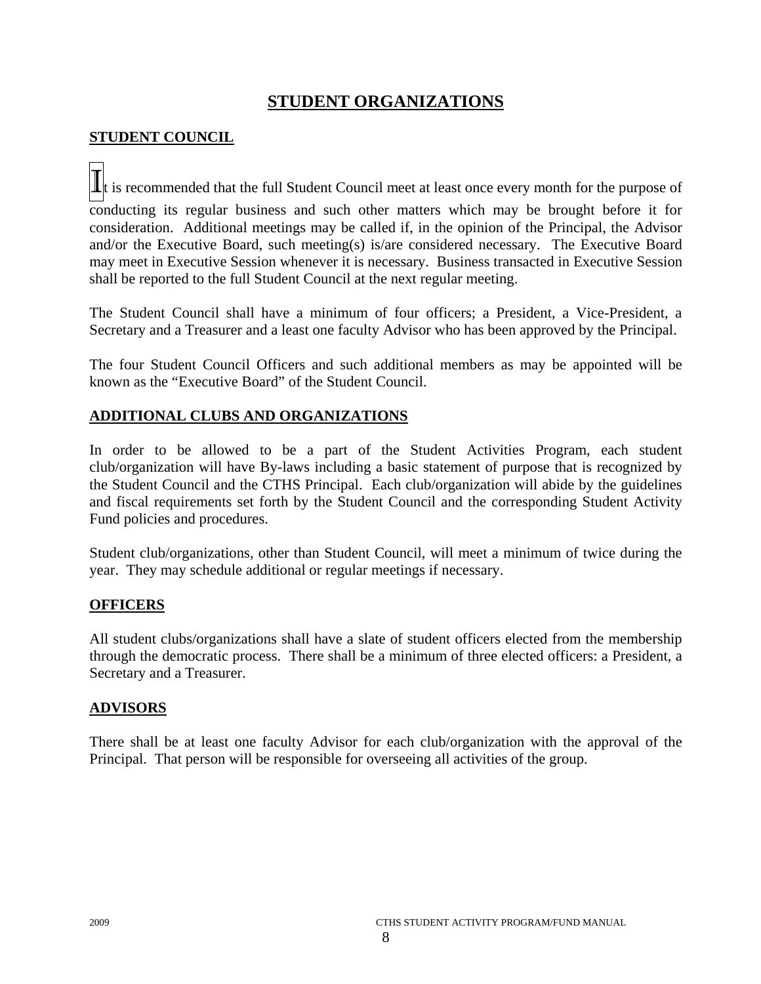# **STUDENT ORGANIZATIONS**

# **STUDENT COUNCIL**

 $\mathbf{I}$  is recommended that the full Student Council meet at least once every month for the purpose of conducting its regular business and such other matters which may be brought before it for consideration. Additional meetings may be called if, in the opinion of the Principal, the Advisor and/or the Executive Board, such meeting(s) is/are considered necessary. The Executive Board may meet in Executive Session whenever it is necessary. Business transacted in Executive Session shall be reported to the full Student Council at the next regular meeting.

The Student Council shall have a minimum of four officers; a President, a Vice-President, a Secretary and a Treasurer and a least one faculty Advisor who has been approved by the Principal.

The four Student Council Officers and such additional members as may be appointed will be known as the "Executive Board" of the Student Council.

# **ADDITIONAL CLUBS AND ORGANIZATIONS**

In order to be allowed to be a part of the Student Activities Program, each student club/organization will have By-laws including a basic statement of purpose that is recognized by the Student Council and the CTHS Principal. Each club/organization will abide by the guidelines and fiscal requirements set forth by the Student Council and the corresponding Student Activity Fund policies and procedures.

Student club/organizations, other than Student Council, will meet a minimum of twice during the year. They may schedule additional or regular meetings if necessary.

# **OFFICERS**

All student clubs/organizations shall have a slate of student officers elected from the membership through the democratic process. There shall be a minimum of three elected officers: a President, a Secretary and a Treasurer.

# **ADVISORS**

There shall be at least one faculty Advisor for each club/organization with the approval of the Principal. That person will be responsible for overseeing all activities of the group.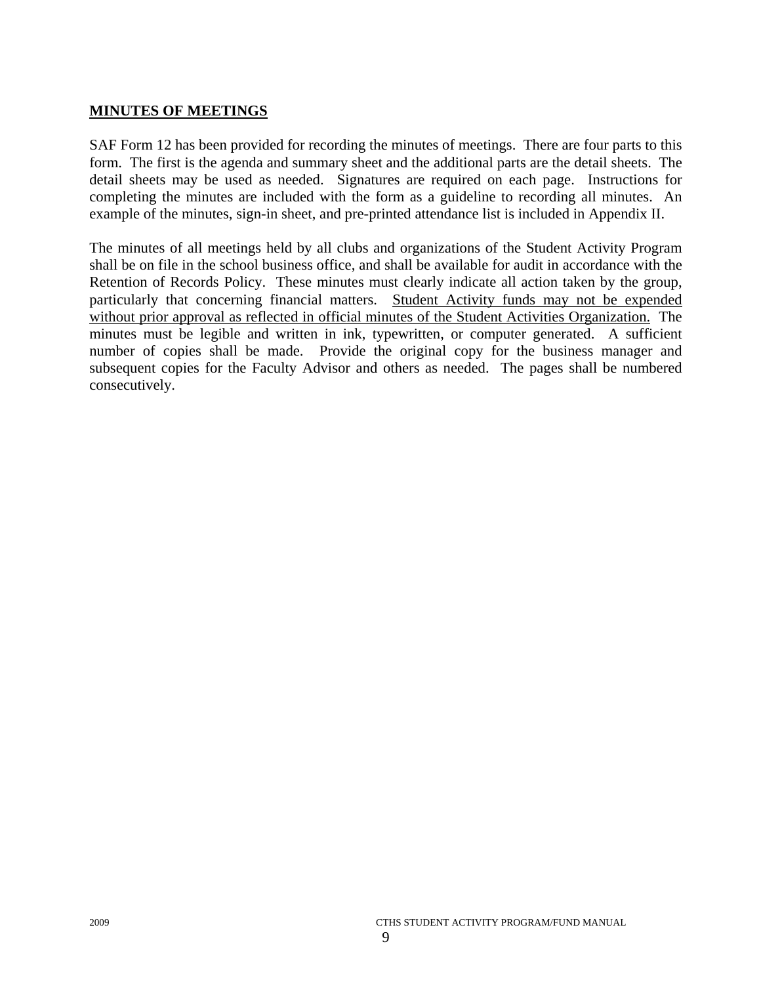# **MINUTES OF MEETINGS**

SAF Form 12 has been provided for recording the minutes of meetings. There are four parts to this form. The first is the agenda and summary sheet and the additional parts are the detail sheets. The detail sheets may be used as needed. Signatures are required on each page. Instructions for completing the minutes are included with the form as a guideline to recording all minutes. An example of the minutes, sign-in sheet, and pre-printed attendance list is included in Appendix II.

The minutes of all meetings held by all clubs and organizations of the Student Activity Program shall be on file in the school business office, and shall be available for audit in accordance with the Retention of Records Policy. These minutes must clearly indicate all action taken by the group, particularly that concerning financial matters. Student Activity funds may not be expended without prior approval as reflected in official minutes of the Student Activities Organization. The minutes must be legible and written in ink, typewritten, or computer generated. A sufficient number of copies shall be made. Provide the original copy for the business manager and subsequent copies for the Faculty Advisor and others as needed. The pages shall be numbered consecutively.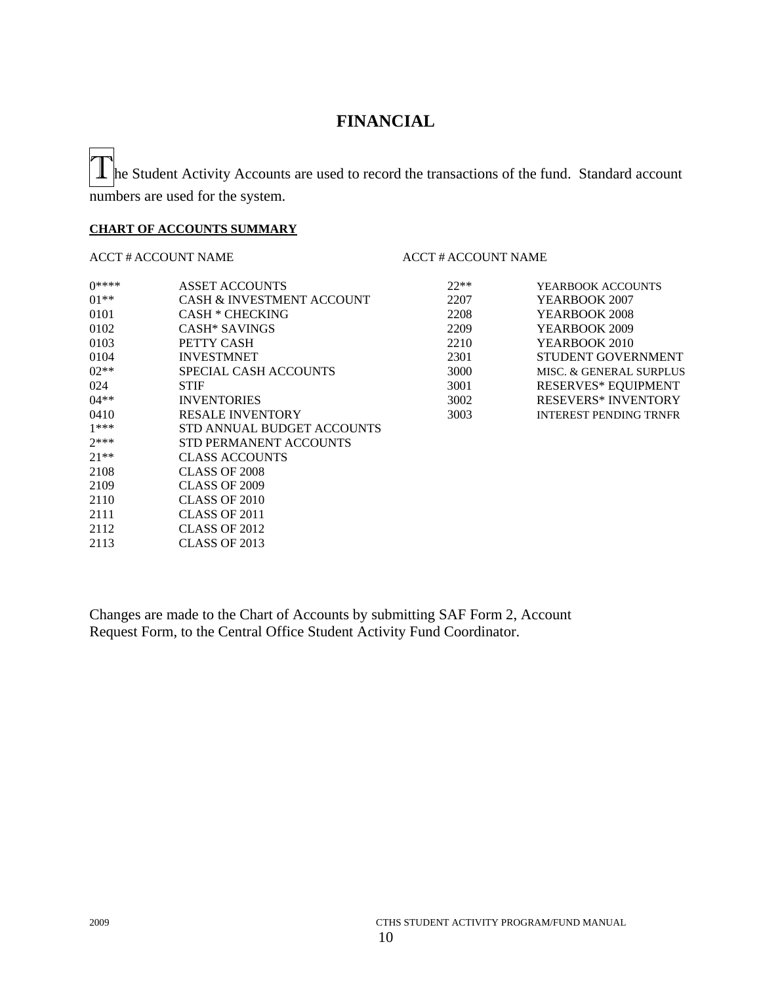# **FINANCIAL**

 $\mathbf 1$  he Student Activity Accounts are used to record the transactions of the fund. Standard account numbers are used for the system.

#### **CHART OF ACCOUNTS SUMMARY**

#### ACCT # ACCOUNT NAME ACCT # ACCOUNT NAME

#### 0\*\*\*\* ASSET ACCOUNTS 22\*\* 01<sup>\*\*</sup> CASH & INVESTMENT ACCOUNT 2207 0101 CASH \* CHECKING 2208 0102 CASH\* SAVINGS 2209 0103 **PETTY CASH** 2210 0104 INVESTMNET 2301 02<sup>\*\*</sup> SPECIAL CASH ACCOUNTS 3000 024 STIF STIF 3001 RESERVES\* EQUIPMENT 04<sup>\*\*</sup> INVENTORIES 3002 0410 RESALE INVENTORY 3003 1\*\*\* STD ANNUAL BUDGET ACCOUNTS 2\*\*\* STD PERMANENT ACCOUNTS<br>21\*\* CLASS ACCOUNTS CLASS ACCOUNTS 2108 CLASS OF 2008 2109 CLASS OF 2009 2110 CLASS OF 2010 2111 CLASS OF 2011 2112 CLASS OF 2012 2113 CLASS OF 2013

| YEARBOOK ACCOUNTS             |
|-------------------------------|
| YEARBOOK 2007                 |
| YEARBOOK 2008                 |
| YEARBOOK 2009                 |
| YEARBOOK 2010                 |
| <b>STUDENT GOVERNMENT</b>     |
| MISC. & GENERAL SURPLUS       |
| <b>RESERVES* EQUIPMENT</b>    |
| <b>RESEVERS* INVENTORY</b>    |
| <b>INTEREST PENDING TRNFR</b> |
|                               |

Changes are made to the Chart of Accounts by submitting SAF Form 2, Account Request Form, to the Central Office Student Activity Fund Coordinator.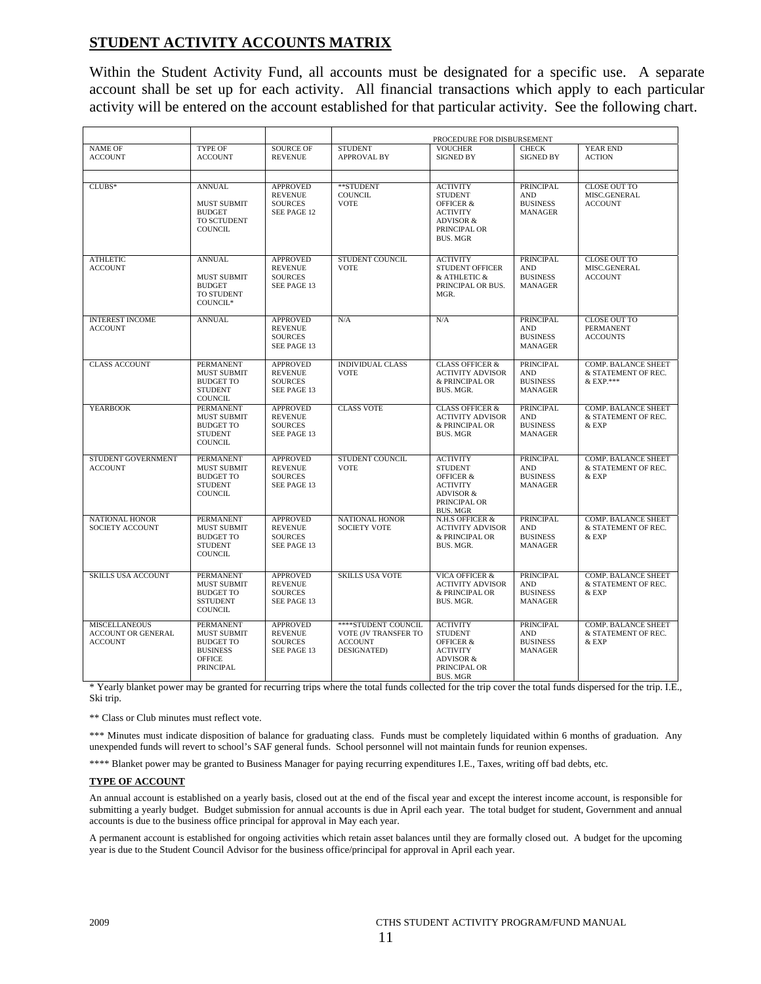# **STUDENT ACTIVITY ACCOUNTS MATRIX**

Within the Student Activity Fund, all accounts must be designated for a specific use. A separate account shall be set up for each activity. All financial transactions which apply to each particular activity will be entered on the account established for that particular activity. See the following chart.

|                                                                     |                                                                                                             |                                                                    |                                                                              | PROCEDURE FOR DISBURSEMENT                                                                                                              |                                                                     |                                                                |
|---------------------------------------------------------------------|-------------------------------------------------------------------------------------------------------------|--------------------------------------------------------------------|------------------------------------------------------------------------------|-----------------------------------------------------------------------------------------------------------------------------------------|---------------------------------------------------------------------|----------------------------------------------------------------|
| <b>NAME OF</b><br><b>ACCOUNT</b>                                    | <b>TYPE OF</b><br><b>ACCOUNT</b>                                                                            | <b>SOURCE OF</b><br><b>REVENUE</b>                                 | <b>STUDENT</b><br><b>APPROVAL BY</b>                                         | <b>VOUCHER</b><br><b>SIGNED BY</b>                                                                                                      | <b>CHECK</b><br><b>SIGNED BY</b>                                    | YEAR END<br><b>ACTION</b>                                      |
| $CLUBS*$                                                            | <b>ANNUAL</b><br><b>MUST SUBMIT</b><br><b>BUDGET</b><br>TO SCTUDENT<br><b>COUNCIL</b>                       | <b>APPROVED</b><br><b>REVENUE</b><br><b>SOURCES</b><br>SEE PAGE 12 | **STUDENT<br><b>COUNCIL</b><br><b>VOTE</b>                                   | <b>ACTIVITY</b><br><b>STUDENT</b><br><b>OFFICER &amp;</b><br><b>ACTIVITY</b><br>ADVISOR &<br>PRINCIPAL OR<br><b>BUS. MGR</b>            | <b>PRINCIPAL</b><br><b>AND</b><br><b>BUSINESS</b><br><b>MANAGER</b> | <b>CLOSE OUT TO</b><br>MISC.GENERAL<br><b>ACCOUNT</b>          |
| <b>ATHLETIC</b><br><b>ACCOUNT</b>                                   | <b>ANNUAL</b><br><b>MUST SUBMIT</b><br><b>BUDGET</b><br>TO STUDENT<br>COUNCIL*                              | <b>APPROVED</b><br><b>REVENUE</b><br><b>SOURCES</b><br>SEE PAGE 13 | <b>STUDENT COUNCIL</b><br><b>VOTE</b>                                        | <b>ACTIVITY</b><br><b>STUDENT OFFICER</b><br>& ATHLETIC &<br>PRINCIPAL OR BUS.<br>MGR.                                                  | <b>PRINCIPAL</b><br><b>AND</b><br><b>BUSINESS</b><br><b>MANAGER</b> | <b>CLOSE OUT TO</b><br>MISC.GENERAL<br><b>ACCOUNT</b>          |
| <b>INTEREST INCOME</b><br><b>ACCOUNT</b>                            | <b>ANNUAL</b>                                                                                               | <b>APPROVED</b><br><b>REVENUE</b><br><b>SOURCES</b><br>SEE PAGE 13 | N/A                                                                          | N/A                                                                                                                                     | PRINCIPAL<br><b>AND</b><br><b>BUSINESS</b><br><b>MANAGER</b>        | CLOSE OUT TO<br><b>PERMANENT</b><br><b>ACCOUNTS</b>            |
| <b>CLASS ACCOUNT</b>                                                | <b>PERMANENT</b><br><b>MUST SUBMIT</b><br><b>BUDGET TO</b><br><b>STUDENT</b><br><b>COUNCIL</b>              | <b>APPROVED</b><br><b>REVENUE</b><br><b>SOURCES</b><br>SEE PAGE 13 | <b>INDIVIDUAL CLASS</b><br><b>VOTE</b>                                       | <b>CLASS OFFICER &amp;</b><br><b>ACTIVITY ADVISOR</b><br>& PRINCIPAL OR<br>BUS. MGR.                                                    | <b>PRINCIPAL</b><br><b>AND</b><br><b>BUSINESS</b><br><b>MANAGER</b> | <b>COMP. BALANCE SHEET</b><br>& STATEMENT OF REC.<br>& EXP.*** |
| <b>YEARBOOK</b>                                                     | <b>PERMANENT</b><br><b>MUST SUBMIT</b><br><b>BUDGET TO</b><br><b>STUDENT</b><br><b>COUNCIL</b>              | <b>APPROVED</b><br><b>REVENUE</b><br><b>SOURCES</b><br>SEE PAGE 13 | <b>CLASS VOTE</b>                                                            | <b>CLASS OFFICER &amp;</b><br><b>ACTIVITY ADVISOR</b><br>& PRINCIPAL OR<br><b>BUS. MGR</b>                                              | <b>PRINCIPAL</b><br><b>AND</b><br><b>BUSINESS</b><br><b>MANAGER</b> | COMP. BALANCE SHEET<br>& STATEMENT OF REC.<br>& EXP            |
| STUDENT GOVERNMENT<br><b>ACCOUNT</b>                                | <b>PERMANENT</b><br><b>MUST SUBMIT</b><br><b>BUDGET TO</b><br><b>STUDENT</b><br><b>COUNCIL</b>              | <b>APPROVED</b><br><b>REVENUE</b><br><b>SOURCES</b><br>SEE PAGE 13 | <b>STUDENT COUNCIL</b><br><b>VOTE</b>                                        | <b>ACTIVITY</b><br><b>STUDENT</b><br><b>OFFICER &amp;</b><br><b>ACTIVITY</b><br><b>ADVISOR &amp;</b><br>PRINCIPAL OR<br><b>BUS. MGR</b> | <b>PRINCIPAL</b><br><b>AND</b><br><b>BUSINESS</b><br><b>MANAGER</b> | <b>COMP. BALANCE SHEET</b><br>& STATEMENT OF REC.<br>& EXP     |
| <b>NATIONAL HONOR</b><br>SOCIETY ACCOUNT                            | <b>PERMANENT</b><br><b>MUST SUBMIT</b><br><b>BUDGET TO</b><br><b>STUDENT</b><br><b>COUNCIL</b>              | <b>APPROVED</b><br><b>REVENUE</b><br><b>SOURCES</b><br>SEE PAGE 13 | <b>NATIONAL HONOR</b><br><b>SOCIETY VOTE</b>                                 | N.H.S OFFICER &<br><b>ACTIVITY ADVISOR</b><br>& PRINCIPAL OR<br>BUS. MGR.                                                               | <b>PRINCIPAL</b><br><b>AND</b><br><b>BUSINESS</b><br><b>MANAGER</b> | <b>COMP. BALANCE SHEET</b><br>& STATEMENT OF REC.<br>& EXP     |
| <b>SKILLS USA ACCOUNT</b>                                           | <b>PERMANENT</b><br><b>MUST SUBMIT</b><br><b>BUDGET TO</b><br><b>SSTUDENT</b><br><b>COUNCIL</b>             | <b>APPROVED</b><br><b>REVENUE</b><br><b>SOURCES</b><br>SEE PAGE 13 | <b>SKILLS USA VOTE</b>                                                       | <b>VICA OFFICER &amp;</b><br><b>ACTIVITY ADVISOR</b><br>& PRINCIPAL OR<br>BUS. MGR.                                                     | <b>PRINCIPAL</b><br><b>AND</b><br><b>BUSINESS</b><br><b>MANAGER</b> | <b>COMP. BALANCE SHEET</b><br>& STATEMENT OF REC.<br>& EXP     |
| <b>MISCELLANEOUS</b><br><b>ACCOUNT OR GENERAL</b><br><b>ACCOUNT</b> | <b>PERMANENT</b><br><b>MUST SUBMIT</b><br><b>BUDGET TO</b><br><b>BUSINESS</b><br><b>OFFICE</b><br>PRINCIPAL | <b>APPROVED</b><br><b>REVENUE</b><br><b>SOURCES</b><br>SEE PAGE 13 | ****STUDENT COUNCIL<br>VOTE (JV TRANSFER TO<br><b>ACCOUNT</b><br>DESIGNATED) | <b>ACTIVITY</b><br><b>STUDENT</b><br><b>OFFICER &amp;</b><br><b>ACTIVITY</b><br>ADVISOR &<br>PRINCIPAL OR<br><b>BUS. MGR</b>            | <b>PRINCIPAL</b><br><b>AND</b><br><b>BUSINESS</b><br><b>MANAGER</b> | <b>COMP. BALANCE SHEET</b><br>& STATEMENT OF REC.<br>& EXP     |

\* Yearly blanket power may be granted for recurring trips where the total funds collected for the trip cover the total funds dispersed for the trip. I.E., Ski trip.

\*\* Class or Club minutes must reflect vote.

\*\*\* Minutes must indicate disposition of balance for graduating class. Funds must be completely liquidated within 6 months of graduation. Any unexpended funds will revert to school's SAF general funds. School personnel will not maintain funds for reunion expenses.

\*\*\*\* Blanket power may be granted to Business Manager for paying recurring expenditures I.E., Taxes, writing off bad debts, etc.

#### **TYPE OF ACCOUNT**

An annual account is established on a yearly basis, closed out at the end of the fiscal year and except the interest income account, is responsible for submitting a yearly budget. Budget submission for annual accounts is due in April each year. The total budget for student, Government and annual accounts is due to the business office principal for approval in May each year.

A permanent account is established for ongoing activities which retain asset balances until they are formally closed out. A budget for the upcoming year is due to the Student Council Advisor for the business office/principal for approval in April each year.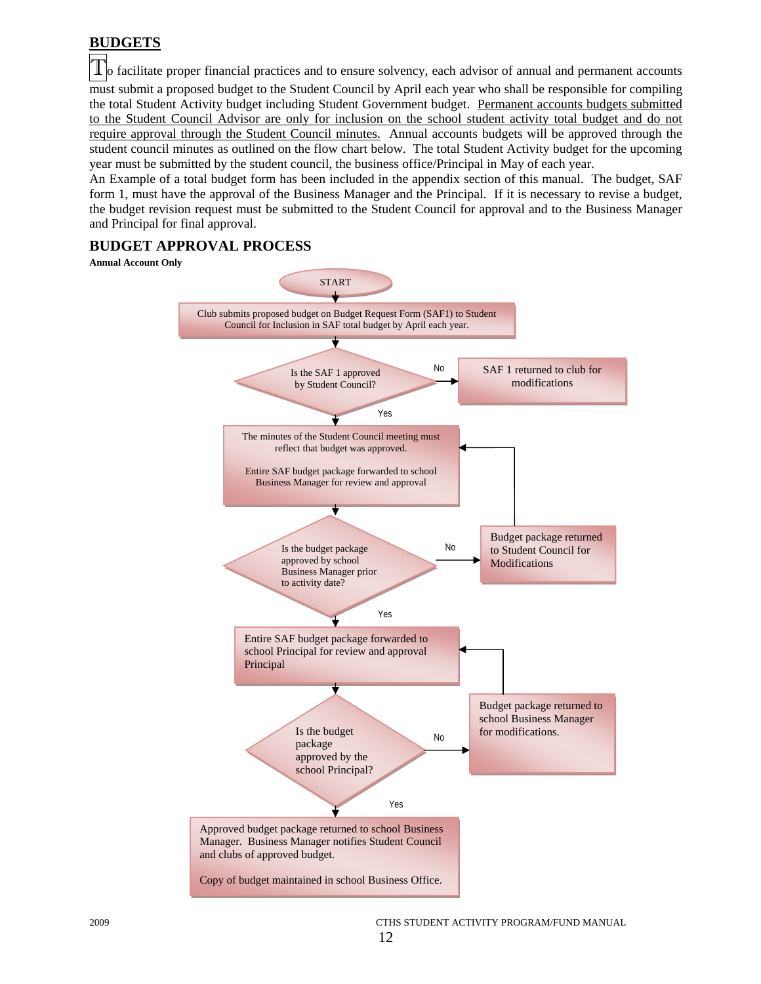# **BUDGETS**

In facilitate proper financial practices and to ensure solvency, each advisor of annual and permanent accounts must submit a proposed budget to the Student Council by April each year who shall be responsible for compiling the total Student Activity budget including Student Government budget. Permanent accounts budgets submitted to the Student Council Advisor are only for inclusion on the school student activity total budget and do not require approval through the Student Council minutes. Annual accounts budgets will be approved through the student council minutes as outlined on the flow chart below. The total Student Activity budget for the upcoming year must be submitted by the student council, the business office/Principal in May of each year.

An Example of a total budget form has been included in the appendix section of this manual. The budget, SAF form 1, must have the approval of the Business Manager and the Principal. If it is necessary to revise a budget, the budget revision request must be submitted to the Student Council for approval and to the Business Manager and Principal for final approval.

# **BUDGET APPROVAL PROCESS**

#### **Annual Account Only**

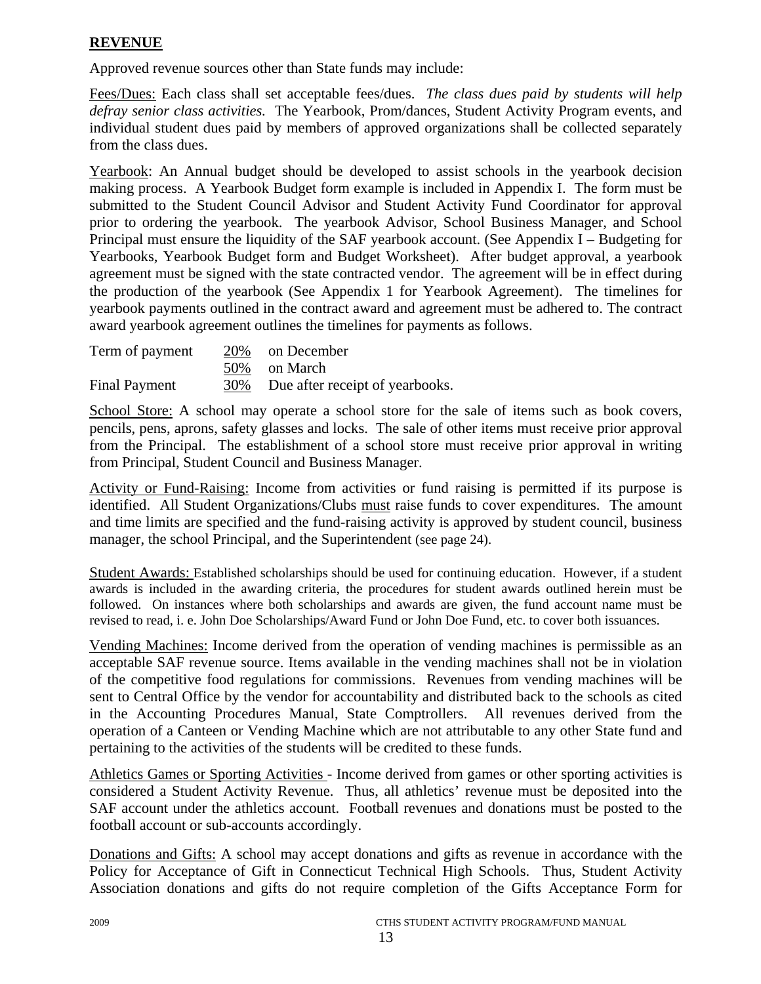# **REVENUE**

Approved revenue sources other than State funds may include:

Fees/Dues: Each class shall set acceptable fees/dues. *The class dues paid by students will help defray senior class activities.* The Yearbook, Prom/dances, Student Activity Program events, and individual student dues paid by members of approved organizations shall be collected separately from the class dues.

Yearbook: An Annual budget should be developed to assist schools in the yearbook decision making process. A Yearbook Budget form example is included in Appendix I. The form must be submitted to the Student Council Advisor and Student Activity Fund Coordinator for approval prior to ordering the yearbook. The yearbook Advisor, School Business Manager, and School Principal must ensure the liquidity of the SAF yearbook account. (See Appendix I – Budgeting for Yearbooks, Yearbook Budget form and Budget Worksheet). After budget approval, a yearbook agreement must be signed with the state contracted vendor. The agreement will be in effect during the production of the yearbook (See Appendix 1 for Yearbook Agreement). The timelines for yearbook payments outlined in the contract award and agreement must be adhered to. The contract award yearbook agreement outlines the timelines for payments as follows.

| Term of payment      |     | 20% on December                 |
|----------------------|-----|---------------------------------|
|                      |     | 50% on March                    |
| <b>Final Payment</b> | 30% | Due after receipt of yearbooks. |

School Store: A school may operate a school store for the sale of items such as book covers, pencils, pens, aprons, safety glasses and locks. The sale of other items must receive prior approval from the Principal. The establishment of a school store must receive prior approval in writing from Principal, Student Council and Business Manager.

Activity or Fund-Raising: Income from activities or fund raising is permitted if its purpose is identified. All Student Organizations/Clubs must raise funds to cover expenditures. The amount and time limits are specified and the fund-raising activity is approved by student council, business manager, the school Principal, and the Superintendent (see page 24).

Student Awards: Established scholarships should be used for continuing education. However, if a student awards is included in the awarding criteria, the procedures for student awards outlined herein must be followed. On instances where both scholarships and awards are given, the fund account name must be revised to read, i. e. John Doe Scholarships/Award Fund or John Doe Fund, etc. to cover both issuances.

Vending Machines: Income derived from the operation of vending machines is permissible as an acceptable SAF revenue source. Items available in the vending machines shall not be in violation of the competitive food regulations for commissions. Revenues from vending machines will be sent to Central Office by the vendor for accountability and distributed back to the schools as cited in the Accounting Procedures Manual, State Comptrollers. All revenues derived from the operation of a Canteen or Vending Machine which are not attributable to any other State fund and pertaining to the activities of the students will be credited to these funds.

Athletics Games or Sporting Activities - Income derived from games or other sporting activities is considered a Student Activity Revenue. Thus, all athletics' revenue must be deposited into the SAF account under the athletics account. Football revenues and donations must be posted to the football account or sub-accounts accordingly.

Donations and Gifts: A school may accept donations and gifts as revenue in accordance with the Policy for Acceptance of Gift in Connecticut Technical High Schools. Thus, Student Activity Association donations and gifts do not require completion of the Gifts Acceptance Form for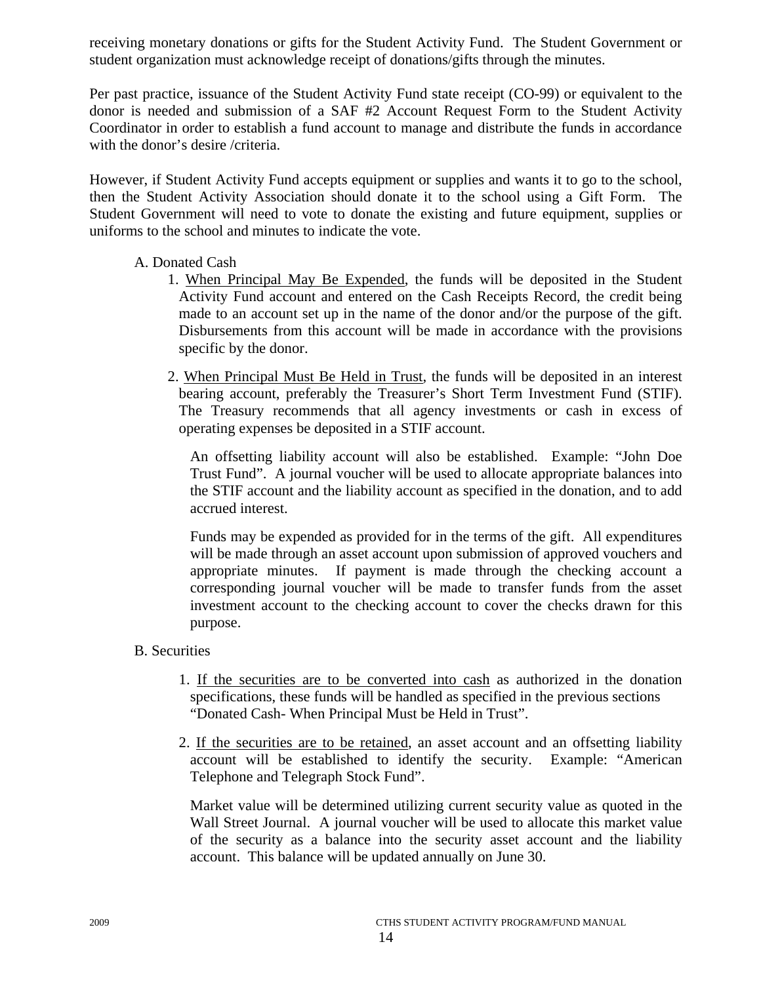receiving monetary donations or gifts for the Student Activity Fund. The Student Government or student organization must acknowledge receipt of donations/gifts through the minutes.

Per past practice, issuance of the Student Activity Fund state receipt (CO-99) or equivalent to the donor is needed and submission of a SAF #2 Account Request Form to the Student Activity Coordinator in order to establish a fund account to manage and distribute the funds in accordance with the donor's desire /criteria.

However, if Student Activity Fund accepts equipment or supplies and wants it to go to the school, then the Student Activity Association should donate it to the school using a Gift Form. The Student Government will need to vote to donate the existing and future equipment, supplies or uniforms to the school and minutes to indicate the vote.

# A. Donated Cash

- 1. When Principal May Be Expended, the funds will be deposited in the Student Activity Fund account and entered on the Cash Receipts Record, the credit being made to an account set up in the name of the donor and/or the purpose of the gift. Disbursements from this account will be made in accordance with the provisions specific by the donor.
- 2. When Principal Must Be Held in Trust, the funds will be deposited in an interest bearing account, preferably the Treasurer's Short Term Investment Fund (STIF). The Treasury recommends that all agency investments or cash in excess of operating expenses be deposited in a STIF account.

 An offsetting liability account will also be established. Example: "John Doe Trust Fund". A journal voucher will be used to allocate appropriate balances into the STIF account and the liability account as specified in the donation, and to add accrued interest.

Funds may be expended as provided for in the terms of the gift. All expenditures will be made through an asset account upon submission of approved vouchers and appropriate minutes. If payment is made through the checking account a corresponding journal voucher will be made to transfer funds from the asset investment account to the checking account to cover the checks drawn for this purpose.

# B. Securities

- 1. If the securities are to be converted into cash as authorized in the donation specifications, these funds will be handled as specified in the previous sections "Donated Cash- When Principal Must be Held in Trust".
- 2. If the securities are to be retained, an asset account and an offsetting liability account will be established to identify the security. Example: "American Telephone and Telegraph Stock Fund".

 Market value will be determined utilizing current security value as quoted in the Wall Street Journal. A journal voucher will be used to allocate this market value of the security as a balance into the security asset account and the liability account. This balance will be updated annually on June 30.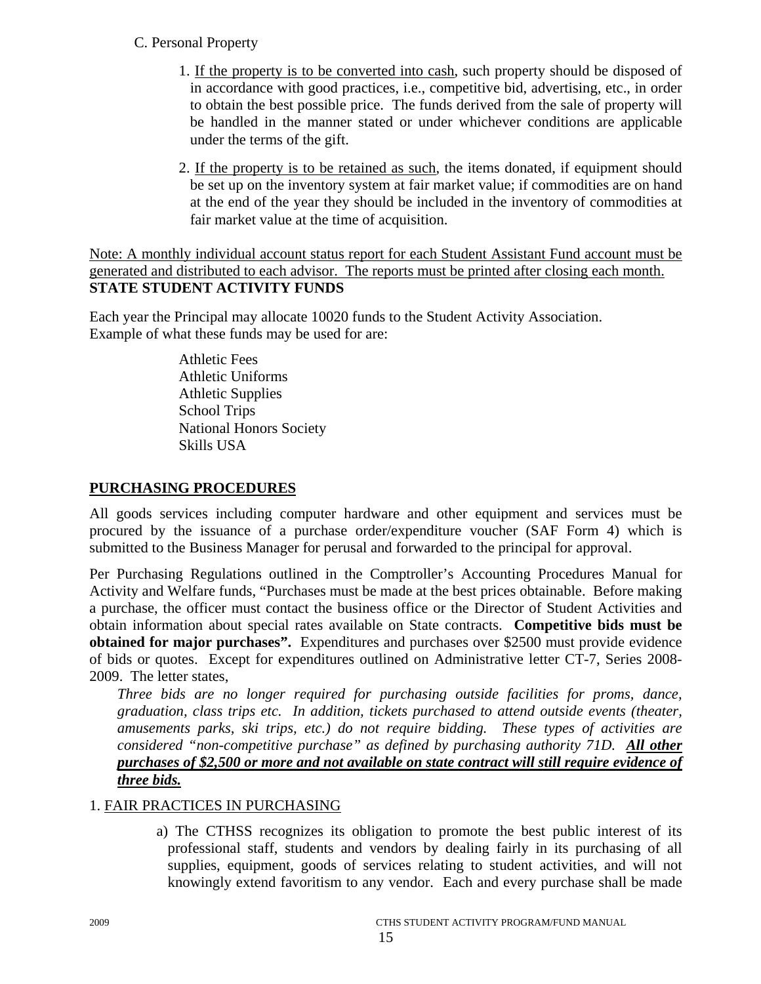# C. Personal Property

- 1. If the property is to be converted into cash, such property should be disposed of in accordance with good practices, i.e., competitive bid, advertising, etc., in order to obtain the best possible price. The funds derived from the sale of property will be handled in the manner stated or under whichever conditions are applicable under the terms of the gift.
- 2. If the property is to be retained as such, the items donated, if equipment should be set up on the inventory system at fair market value; if commodities are on hand at the end of the year they should be included in the inventory of commodities at fair market value at the time of acquisition.

Note: A monthly individual account status report for each Student Assistant Fund account must be generated and distributed to each advisor. The reports must be printed after closing each month. **STATE STUDENT ACTIVITY FUNDS** 

Each year the Principal may allocate 10020 funds to the Student Activity Association. Example of what these funds may be used for are:

> Athletic Fees Athletic Uniforms Athletic Supplies School Trips National Honors Society Skills USA

# **PURCHASING PROCEDURES**

All goods services including computer hardware and other equipment and services must be procured by the issuance of a purchase order/expenditure voucher (SAF Form 4) which is submitted to the Business Manager for perusal and forwarded to the principal for approval.

Per Purchasing Regulations outlined in the Comptroller's Accounting Procedures Manual for Activity and Welfare funds, "Purchases must be made at the best prices obtainable. Before making a purchase, the officer must contact the business office or the Director of Student Activities and obtain information about special rates available on State contracts. **Competitive bids must be obtained for major purchases".** Expenditures and purchases over \$2500 must provide evidence of bids or quotes. Except for expenditures outlined on Administrative letter CT-7, Series 2008- 2009. The letter states,

*Three bids are no longer required for purchasing outside facilities for proms, dance, graduation, class trips etc. In addition, tickets purchased to attend outside events (theater, amusements parks, ski trips, etc.) do not require bidding. These types of activities are considered "non-competitive purchase" as defined by purchasing authority 71D. All other purchases of \$2,500 or more and not available on state contract will still require evidence of three bids.*

# 1. FAIR PRACTICES IN PURCHASING

 a) The CTHSS recognizes its obligation to promote the best public interest of its professional staff, students and vendors by dealing fairly in its purchasing of all supplies, equipment, goods of services relating to student activities, and will not knowingly extend favoritism to any vendor. Each and every purchase shall be made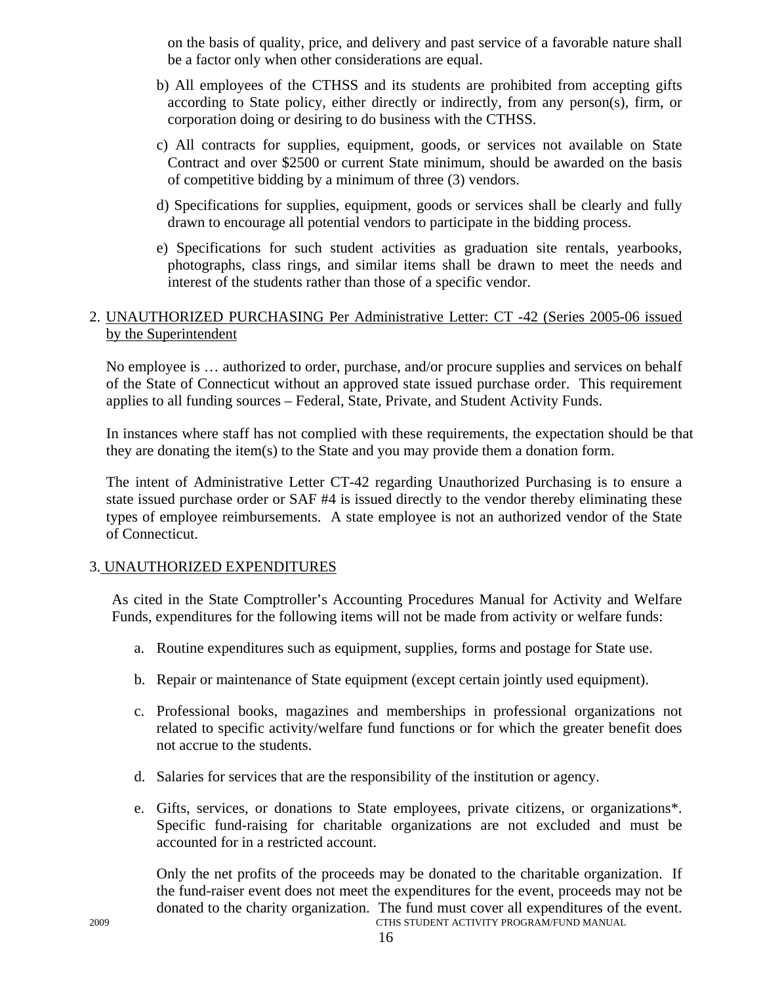on the basis of quality, price, and delivery and past service of a favorable nature shall be a factor only when other considerations are equal.

- b) All employees of the CTHSS and its students are prohibited from accepting gifts according to State policy, either directly or indirectly, from any person(s), firm, or corporation doing or desiring to do business with the CTHSS.
- c) All contracts for supplies, equipment, goods, or services not available on State Contract and over \$2500 or current State minimum, should be awarded on the basis of competitive bidding by a minimum of three (3) vendors.
- d) Specifications for supplies, equipment, goods or services shall be clearly and fully drawn to encourage all potential vendors to participate in the bidding process.
- e) Specifications for such student activities as graduation site rentals, yearbooks, photographs, class rings, and similar items shall be drawn to meet the needs and interest of the students rather than those of a specific vendor.

# 2. UNAUTHORIZED PURCHASING Per Administrative Letter: CT -42 (Series 2005-06 issued by the Superintendent

No employee is … authorized to order, purchase, and/or procure supplies and services on behalf of the State of Connecticut without an approved state issued purchase order. This requirement applies to all funding sources – Federal, State, Private, and Student Activity Funds.

In instances where staff has not complied with these requirements, the expectation should be that they are donating the item(s) to the State and you may provide them a donation form.

The intent of Administrative Letter CT-42 regarding Unauthorized Purchasing is to ensure a state issued purchase order or SAF #4 is issued directly to the vendor thereby eliminating these types of employee reimbursements. A state employee is not an authorized vendor of the State of Connecticut.

# 3. UNAUTHORIZED EXPENDITURES

As cited in the State Comptroller's Accounting Procedures Manual for Activity and Welfare Funds, expenditures for the following items will not be made from activity or welfare funds:

- a. Routine expenditures such as equipment, supplies, forms and postage for State use.
- b. Repair or maintenance of State equipment (except certain jointly used equipment).
- c. Professional books, magazines and memberships in professional organizations not related to specific activity/welfare fund functions or for which the greater benefit does not accrue to the students.
- d. Salaries for services that are the responsibility of the institution or agency.
- e. Gifts, services, or donations to State employees, private citizens, or organizations\*. Specific fund-raising for charitable organizations are not excluded and must be accounted for in a restricted account.

2009 CTHS STUDENT ACTIVITY PROGRAM/FUND MANUAL Only the net profits of the proceeds may be donated to the charitable organization. If the fund-raiser event does not meet the expenditures for the event, proceeds may not be donated to the charity organization. The fund must cover all expenditures of the event.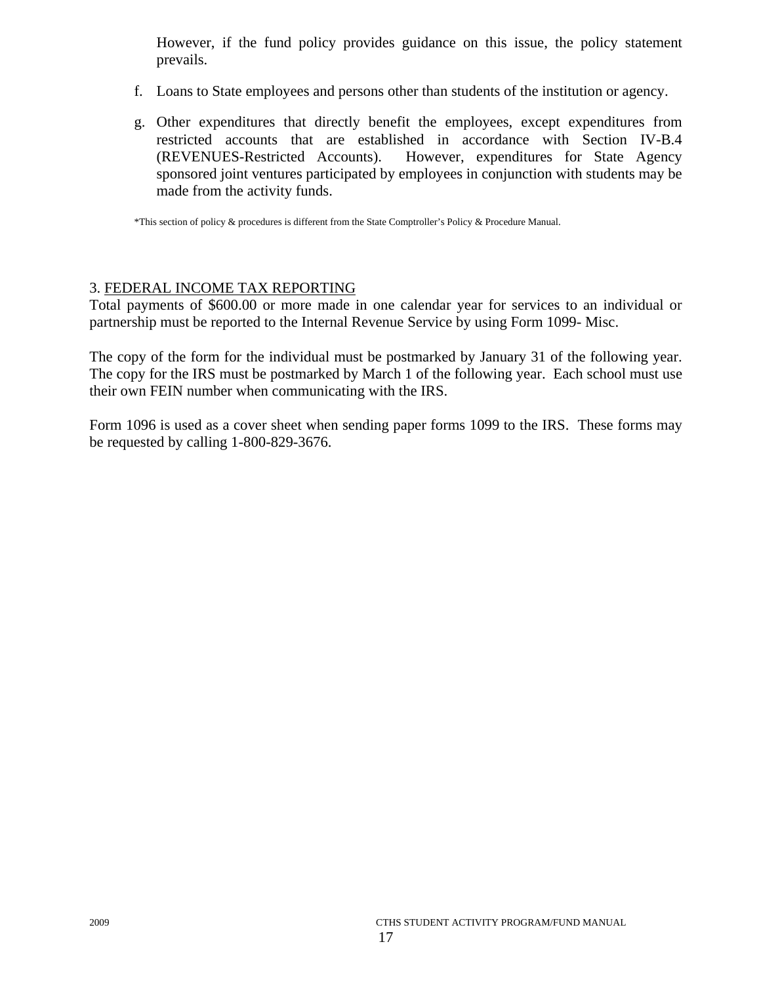However, if the fund policy provides guidance on this issue, the policy statement prevails.

- f. Loans to State employees and persons other than students of the institution or agency.
- g. Other expenditures that directly benefit the employees, except expenditures from restricted accounts that are established in accordance with Section IV-B.4 (REVENUES-Restricted Accounts). However, expenditures for State Agency sponsored joint ventures participated by employees in conjunction with students may be made from the activity funds.

\*This section of policy & procedures is different from the State Comptroller's Policy & Procedure Manual.

# 3. FEDERAL INCOME TAX REPORTING

Total payments of \$600.00 or more made in one calendar year for services to an individual or partnership must be reported to the Internal Revenue Service by using Form 1099- Misc.

The copy of the form for the individual must be postmarked by January 31 of the following year. The copy for the IRS must be postmarked by March 1 of the following year. Each school must use their own FEIN number when communicating with the IRS.

Form 1096 is used as a cover sheet when sending paper forms 1099 to the IRS. These forms may be requested by calling 1-800-829-3676.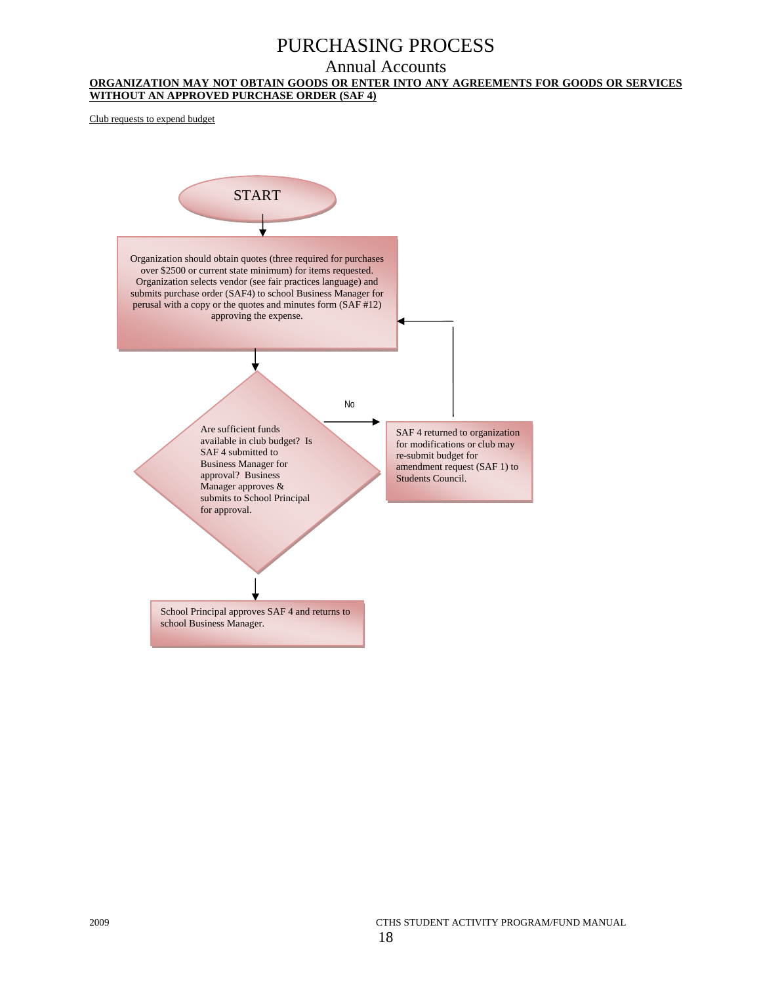# PURCHASING PROCESS

# Annual Accounts

#### **ORGANIZATION MAY NOT OBTAIN GOODS OR ENTER INTO ANY AGREEMENTS FOR GOODS OR SERVICES WITHOUT AN APPROVED PURCHASE ORDER (SAF 4)**

Club requests to expend budget



2009 CTHS STUDENT ACTIVITY PROGRAM/FUND MANUAL 18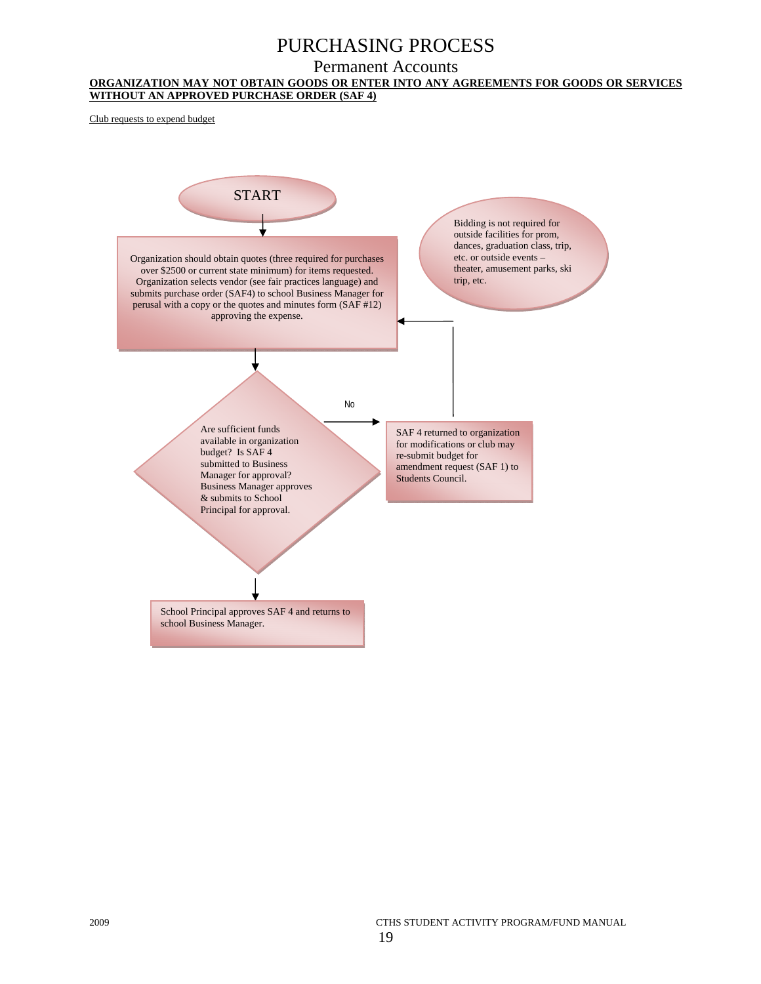# PURCHASING PROCESS

#### Permanent Accounts

#### **ORGANIZATION MAY NOT OBTAIN GOODS OR ENTER INTO ANY AGREEMENTS FOR GOODS OR SERVICES WITHOUT AN APPROVED PURCHASE ORDER (SAF 4)**

Club requests to expend budget

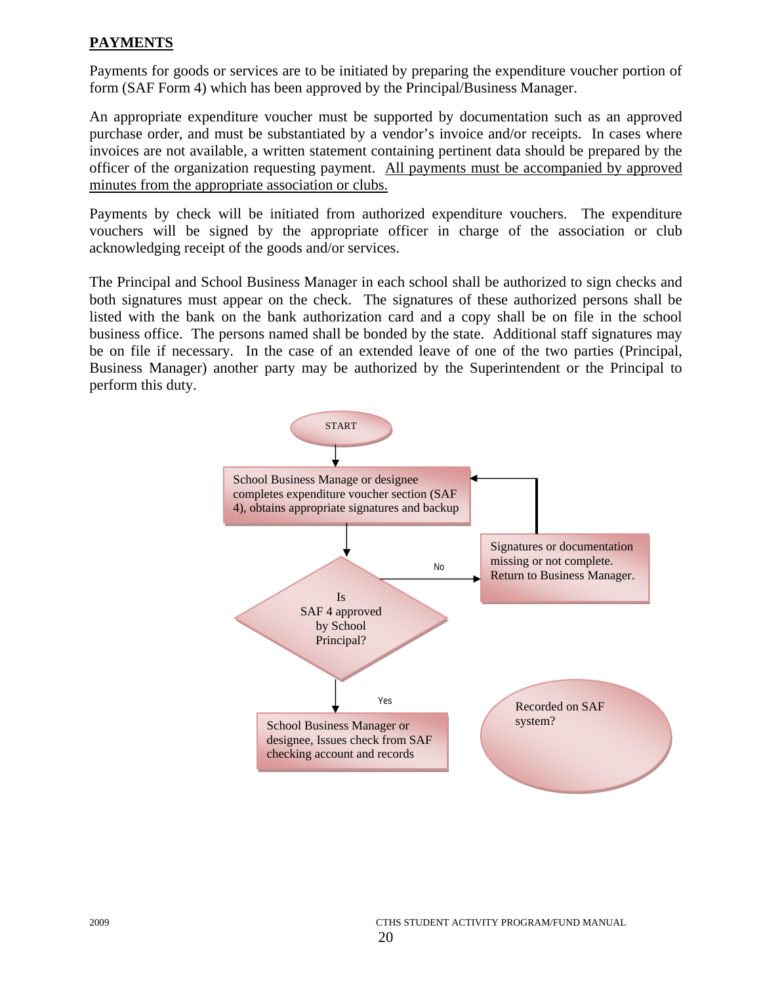# **PAYMENTS**

Payments for goods or services are to be initiated by preparing the expenditure voucher portion of form (SAF Form 4) which has been approved by the Principal/Business Manager.

An appropriate expenditure voucher must be supported by documentation such as an approved purchase order, and must be substantiated by a vendor's invoice and/or receipts. In cases where invoices are not available, a written statement containing pertinent data should be prepared by the officer of the organization requesting payment. All payments must be accompanied by approved minutes from the appropriate association or clubs.

Payments by check will be initiated from authorized expenditure vouchers. The expenditure vouchers will be signed by the appropriate officer in charge of the association or club acknowledging receipt of the goods and/or services.

The Principal and School Business Manager in each school shall be authorized to sign checks and both signatures must appear on the check. The signatures of these authorized persons shall be listed with the bank on the bank authorization card and a copy shall be on file in the school business office. The persons named shall be bonded by the state. Additional staff signatures may be on file if necessary. In the case of an extended leave of one of the two parties (Principal, Business Manager) another party may be authorized by the Superintendent or the Principal to perform this duty.

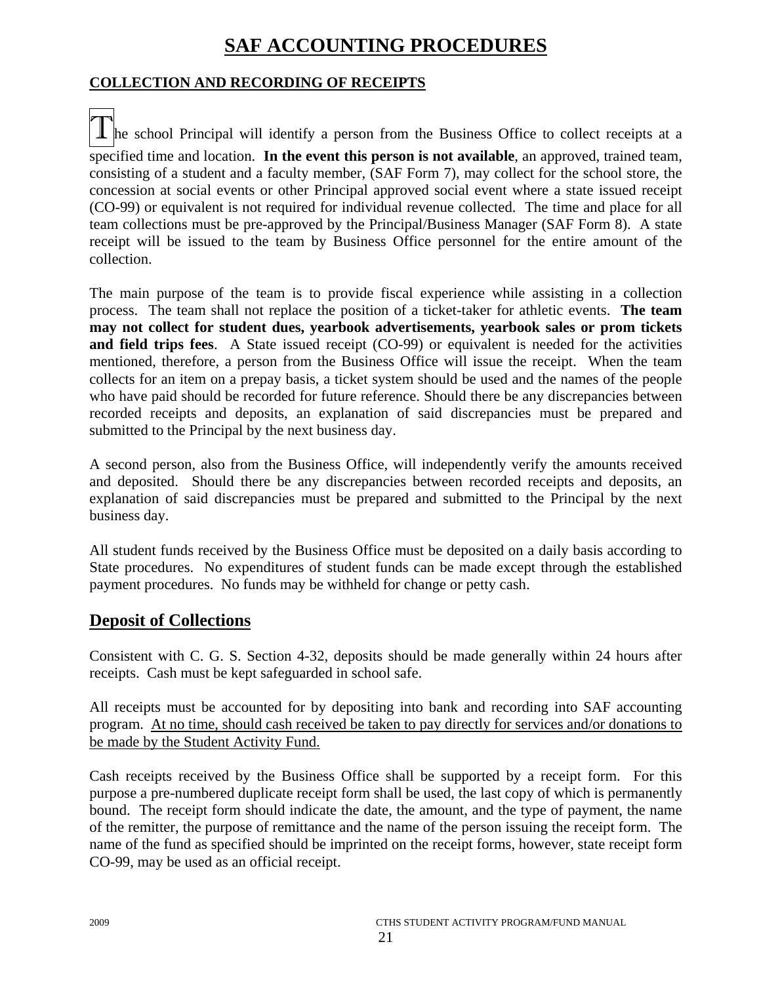# **SAF ACCOUNTING PROCEDURES**

# **COLLECTION AND RECORDING OF RECEIPTS**

The school Principal will identify a person from the Business Office to collect receipts at a specified time and location. **In the event this person is not available**, an approved, trained team, consisting of a student and a faculty member, (SAF Form 7), may collect for the school store, the concession at social events or other Principal approved social event where a state issued receipt (CO-99) or equivalent is not required for individual revenue collected. The time and place for all team collections must be pre-approved by the Principal/Business Manager (SAF Form 8). A state receipt will be issued to the team by Business Office personnel for the entire amount of the collection.

The main purpose of the team is to provide fiscal experience while assisting in a collection process. The team shall not replace the position of a ticket-taker for athletic events. **The team may not collect for student dues, yearbook advertisements, yearbook sales or prom tickets and field trips fees**. A State issued receipt (CO-99) or equivalent is needed for the activities mentioned, therefore, a person from the Business Office will issue the receipt. When the team collects for an item on a prepay basis, a ticket system should be used and the names of the people who have paid should be recorded for future reference. Should there be any discrepancies between recorded receipts and deposits, an explanation of said discrepancies must be prepared and submitted to the Principal by the next business day.

A second person, also from the Business Office, will independently verify the amounts received and deposited. Should there be any discrepancies between recorded receipts and deposits, an explanation of said discrepancies must be prepared and submitted to the Principal by the next business day.

All student funds received by the Business Office must be deposited on a daily basis according to State procedures. No expenditures of student funds can be made except through the established payment procedures. No funds may be withheld for change or petty cash.

# **Deposit of Collections**

Consistent with C. G. S. Section 4-32, deposits should be made generally within 24 hours after receipts. Cash must be kept safeguarded in school safe.

All receipts must be accounted for by depositing into bank and recording into SAF accounting program. At no time, should cash received be taken to pay directly for services and/or donations to be made by the Student Activity Fund.

Cash receipts received by the Business Office shall be supported by a receipt form. For this purpose a pre-numbered duplicate receipt form shall be used, the last copy of which is permanently bound. The receipt form should indicate the date, the amount, and the type of payment, the name of the remitter, the purpose of remittance and the name of the person issuing the receipt form. The name of the fund as specified should be imprinted on the receipt forms, however, state receipt form CO-99, may be used as an official receipt.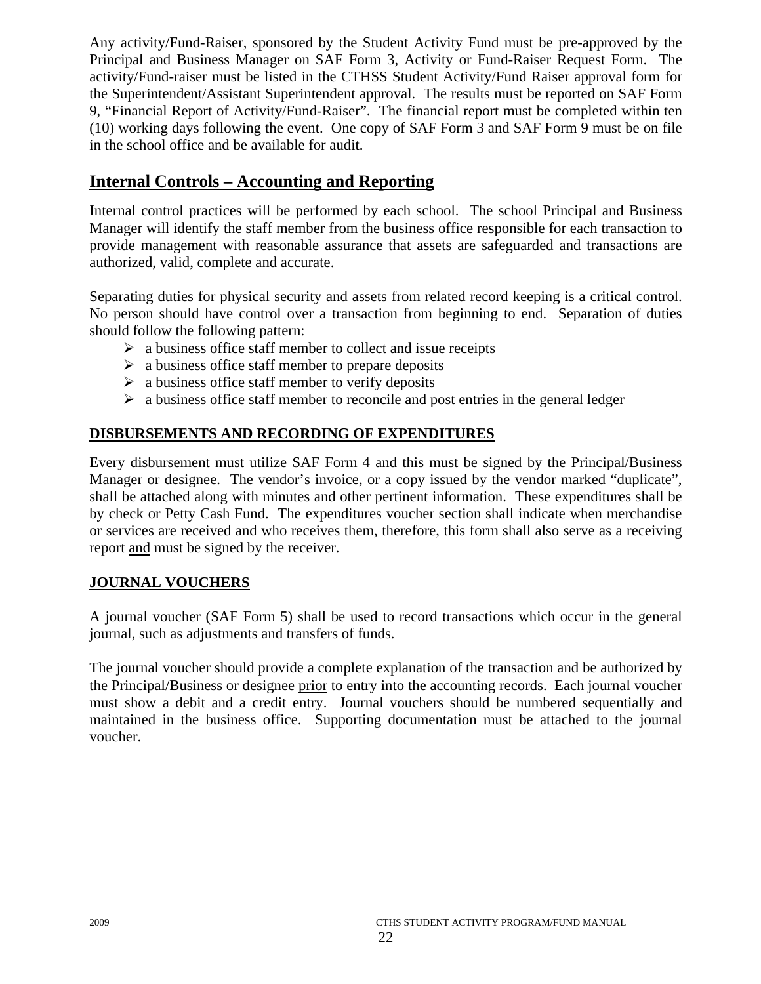Any activity/Fund-Raiser, sponsored by the Student Activity Fund must be pre-approved by the Principal and Business Manager on SAF Form 3, Activity or Fund-Raiser Request Form. The activity/Fund-raiser must be listed in the CTHSS Student Activity/Fund Raiser approval form for the Superintendent/Assistant Superintendent approval. The results must be reported on SAF Form 9, "Financial Report of Activity/Fund-Raiser". The financial report must be completed within ten (10) working days following the event. One copy of SAF Form 3 and SAF Form 9 must be on file in the school office and be available for audit.

# **Internal Controls – Accounting and Reporting**

Internal control practices will be performed by each school. The school Principal and Business Manager will identify the staff member from the business office responsible for each transaction to provide management with reasonable assurance that assets are safeguarded and transactions are authorized, valid, complete and accurate.

Separating duties for physical security and assets from related record keeping is a critical control. No person should have control over a transaction from beginning to end. Separation of duties should follow the following pattern:

- $\triangleright$  a business office staff member to collect and issue receipts
- $\triangleright$  a business office staff member to prepare deposits
- $\triangleright$  a business office staff member to verify deposits
- $\triangleright$  a business office staff member to reconcile and post entries in the general ledger

# **DISBURSEMENTS AND RECORDING OF EXPENDITURES**

Every disbursement must utilize SAF Form 4 and this must be signed by the Principal/Business Manager or designee. The vendor's invoice, or a copy issued by the vendor marked "duplicate", shall be attached along with minutes and other pertinent information. These expenditures shall be by check or Petty Cash Fund. The expenditures voucher section shall indicate when merchandise or services are received and who receives them, therefore, this form shall also serve as a receiving report and must be signed by the receiver.

# **JOURNAL VOUCHERS**

A journal voucher (SAF Form 5) shall be used to record transactions which occur in the general journal, such as adjustments and transfers of funds.

The journal voucher should provide a complete explanation of the transaction and be authorized by the Principal/Business or designee prior to entry into the accounting records. Each journal voucher must show a debit and a credit entry. Journal vouchers should be numbered sequentially and maintained in the business office. Supporting documentation must be attached to the journal voucher.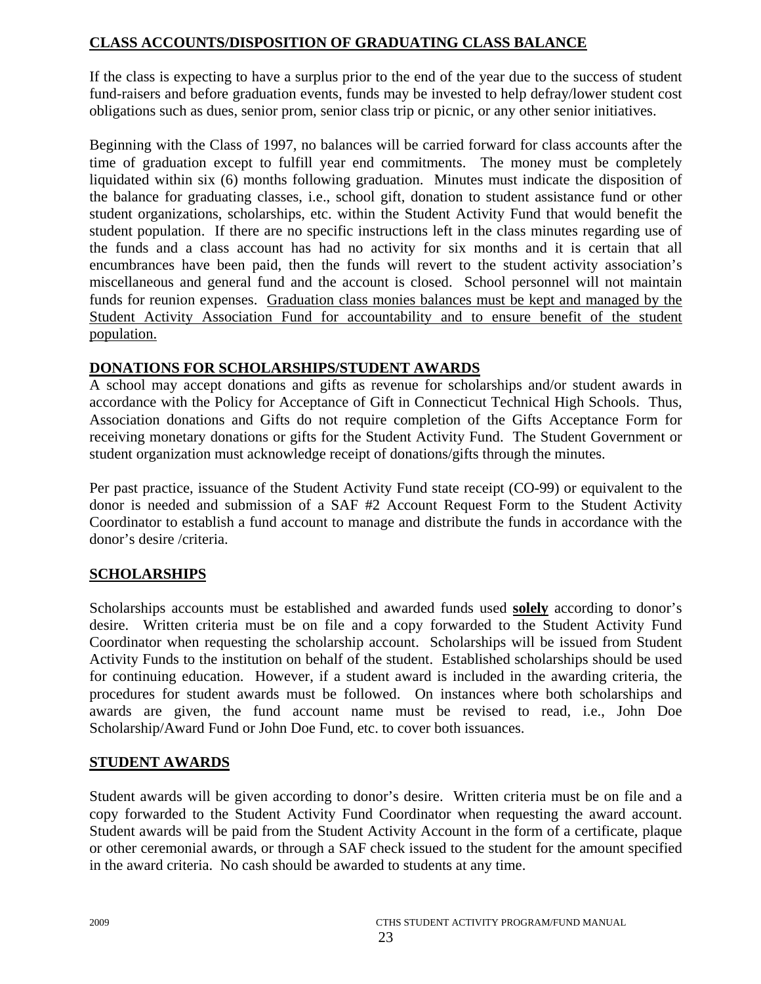# **CLASS ACCOUNTS/DISPOSITION OF GRADUATING CLASS BALANCE**

If the class is expecting to have a surplus prior to the end of the year due to the success of student fund-raisers and before graduation events, funds may be invested to help defray/lower student cost obligations such as dues, senior prom, senior class trip or picnic, or any other senior initiatives.

Beginning with the Class of 1997, no balances will be carried forward for class accounts after the time of graduation except to fulfill year end commitments. The money must be completely liquidated within six (6) months following graduation. Minutes must indicate the disposition of the balance for graduating classes, i.e., school gift, donation to student assistance fund or other student organizations, scholarships, etc. within the Student Activity Fund that would benefit the student population. If there are no specific instructions left in the class minutes regarding use of the funds and a class account has had no activity for six months and it is certain that all encumbrances have been paid, then the funds will revert to the student activity association's miscellaneous and general fund and the account is closed. School personnel will not maintain funds for reunion expenses. Graduation class monies balances must be kept and managed by the Student Activity Association Fund for accountability and to ensure benefit of the student population.

# **DONATIONS FOR SCHOLARSHIPS/STUDENT AWARDS**

A school may accept donations and gifts as revenue for scholarships and/or student awards in accordance with the Policy for Acceptance of Gift in Connecticut Technical High Schools. Thus, Association donations and Gifts do not require completion of the Gifts Acceptance Form for receiving monetary donations or gifts for the Student Activity Fund. The Student Government or student organization must acknowledge receipt of donations/gifts through the minutes.

Per past practice, issuance of the Student Activity Fund state receipt (CO-99) or equivalent to the donor is needed and submission of a SAF #2 Account Request Form to the Student Activity Coordinator to establish a fund account to manage and distribute the funds in accordance with the donor's desire /criteria.

# **SCHOLARSHIPS**

Scholarships accounts must be established and awarded funds used **solely** according to donor's desire. Written criteria must be on file and a copy forwarded to the Student Activity Fund Coordinator when requesting the scholarship account. Scholarships will be issued from Student Activity Funds to the institution on behalf of the student. Established scholarships should be used for continuing education. However, if a student award is included in the awarding criteria, the procedures for student awards must be followed. On instances where both scholarships and awards are given, the fund account name must be revised to read, i.e., John Doe Scholarship/Award Fund or John Doe Fund, etc. to cover both issuances.

# **STUDENT AWARDS**

Student awards will be given according to donor's desire. Written criteria must be on file and a copy forwarded to the Student Activity Fund Coordinator when requesting the award account. Student awards will be paid from the Student Activity Account in the form of a certificate, plaque or other ceremonial awards, or through a SAF check issued to the student for the amount specified in the award criteria. No cash should be awarded to students at any time.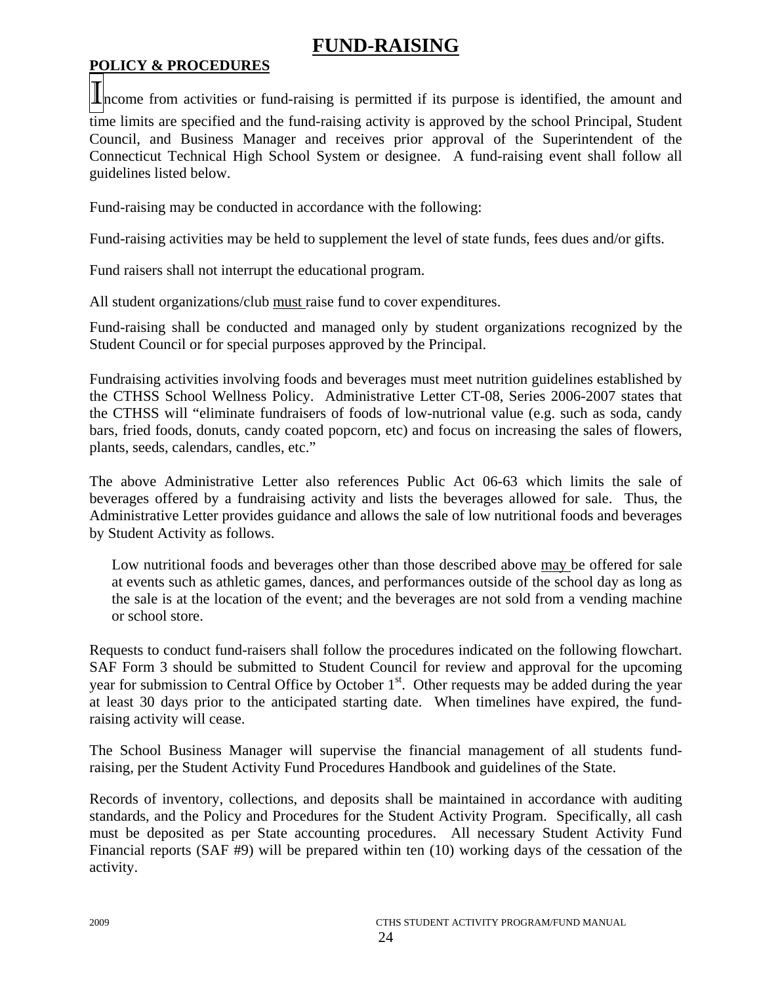# **FUND-RAISING**

# **POLICY & PROCEDURES**

**In**come from activities or fund-raising is permitted if its purpose is identified, the amount and time limits are specified and the fund-raising activity is approved by the school Principal, Student Council, and Business Manager and receives prior approval of the Superintendent of the Connecticut Technical High School System or designee. A fund-raising event shall follow all guidelines listed below.

Fund-raising may be conducted in accordance with the following:

Fund-raising activities may be held to supplement the level of state funds, fees dues and/or gifts.

Fund raisers shall not interrupt the educational program.

All student organizations/club must raise fund to cover expenditures.

Fund-raising shall be conducted and managed only by student organizations recognized by the Student Council or for special purposes approved by the Principal.

Fundraising activities involving foods and beverages must meet nutrition guidelines established by the CTHSS School Wellness Policy. Administrative Letter CT-08, Series 2006-2007 states that the CTHSS will "eliminate fundraisers of foods of low-nutrional value (e.g. such as soda, candy bars, fried foods, donuts, candy coated popcorn, etc) and focus on increasing the sales of flowers, plants, seeds, calendars, candles, etc."

The above Administrative Letter also references Public Act 06-63 which limits the sale of beverages offered by a fundraising activity and lists the beverages allowed for sale. Thus, the Administrative Letter provides guidance and allows the sale of low nutritional foods and beverages by Student Activity as follows.

Low nutritional foods and beverages other than those described above may be offered for sale at events such as athletic games, dances, and performances outside of the school day as long as the sale is at the location of the event; and the beverages are not sold from a vending machine or school store.

Requests to conduct fund-raisers shall follow the procedures indicated on the following flowchart. SAF Form 3 should be submitted to Student Council for review and approval for the upcoming year for submission to Central Office by October  $1<sup>st</sup>$ . Other requests may be added during the year at least 30 days prior to the anticipated starting date. When timelines have expired, the fundraising activity will cease.

The School Business Manager will supervise the financial management of all students fundraising, per the Student Activity Fund Procedures Handbook and guidelines of the State.

Records of inventory, collections, and deposits shall be maintained in accordance with auditing standards, and the Policy and Procedures for the Student Activity Program. Specifically, all cash must be deposited as per State accounting procedures. All necessary Student Activity Fund Financial reports (SAF #9) will be prepared within ten (10) working days of the cessation of the activity.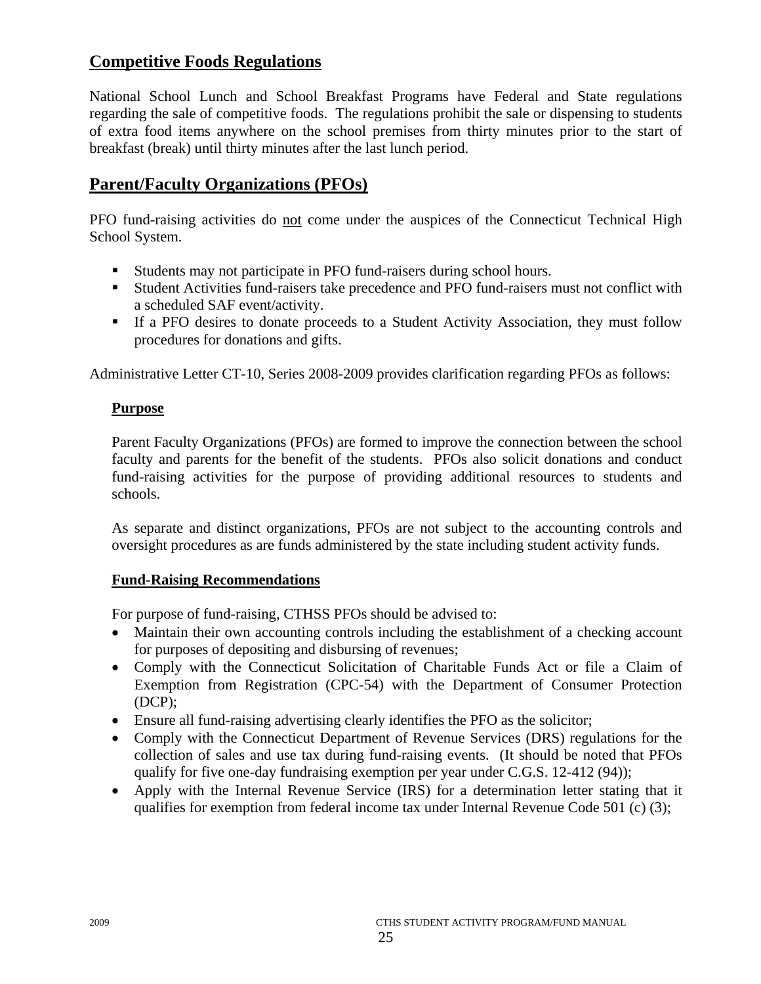# **Competitive Foods Regulations**

National School Lunch and School Breakfast Programs have Federal and State regulations regarding the sale of competitive foods. The regulations prohibit the sale or dispensing to students of extra food items anywhere on the school premises from thirty minutes prior to the start of breakfast (break) until thirty minutes after the last lunch period.

# **Parent/Faculty Organizations (PFOs)**

PFO fund-raising activities do not come under the auspices of the Connecticut Technical High School System.

- Students may not participate in PFO fund-raisers during school hours.
- Student Activities fund-raisers take precedence and PFO fund-raisers must not conflict with a scheduled SAF event/activity.
- If a PFO desires to donate proceeds to a Student Activity Association, they must follow procedures for donations and gifts.

Administrative Letter CT-10, Series 2008-2009 provides clarification regarding PFOs as follows:

# **Purpose**

Parent Faculty Organizations (PFOs) are formed to improve the connection between the school faculty and parents for the benefit of the students. PFOs also solicit donations and conduct fund-raising activities for the purpose of providing additional resources to students and schools.

As separate and distinct organizations, PFOs are not subject to the accounting controls and oversight procedures as are funds administered by the state including student activity funds.

# **Fund-Raising Recommendations**

For purpose of fund-raising, CTHSS PFOs should be advised to:

- Maintain their own accounting controls including the establishment of a checking account for purposes of depositing and disbursing of revenues;
- Comply with the Connecticut Solicitation of Charitable Funds Act or file a Claim of Exemption from Registration (CPC-54) with the Department of Consumer Protection (DCP);
- Ensure all fund-raising advertising clearly identifies the PFO as the solicitor;
- Comply with the Connecticut Department of Revenue Services (DRS) regulations for the collection of sales and use tax during fund-raising events. (It should be noted that PFOs qualify for five one-day fundraising exemption per year under C.G.S. 12-412 (94));
- Apply with the Internal Revenue Service (IRS) for a determination letter stating that it qualifies for exemption from federal income tax under Internal Revenue Code 501 (c) (3);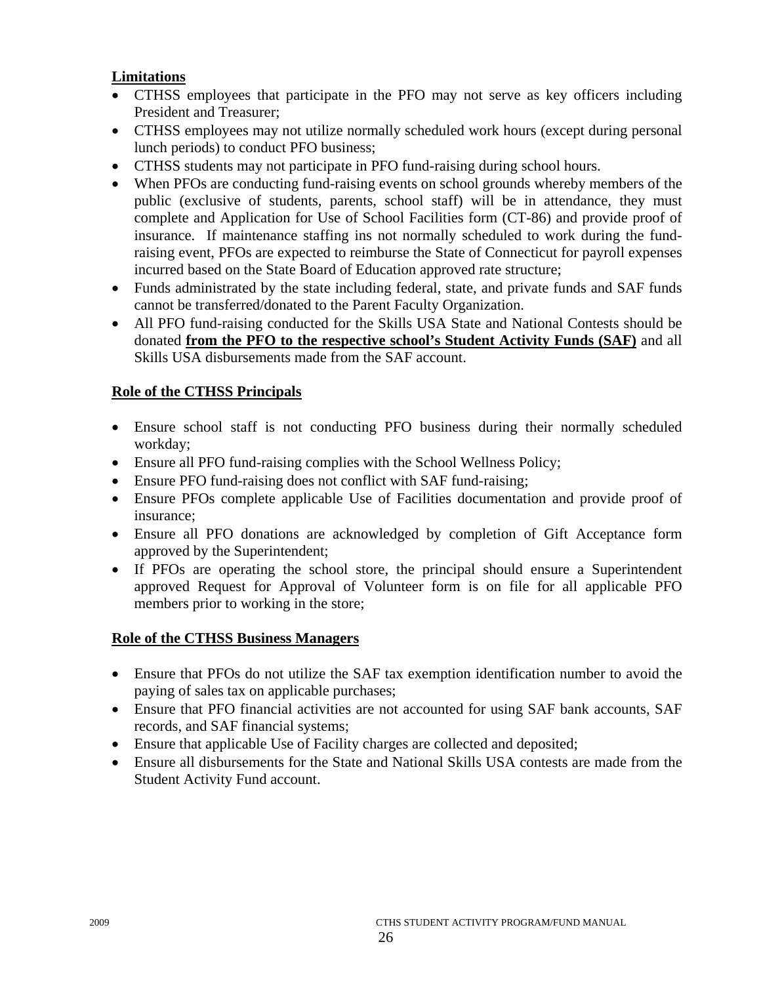# **Limitations**

- CTHSS employees that participate in the PFO may not serve as key officers including President and Treasurer;
- CTHSS employees may not utilize normally scheduled work hours (except during personal lunch periods) to conduct PFO business;
- CTHSS students may not participate in PFO fund-raising during school hours.
- When PFOs are conducting fund-raising events on school grounds whereby members of the public (exclusive of students, parents, school staff) will be in attendance, they must complete and Application for Use of School Facilities form (CT-86) and provide proof of insurance. If maintenance staffing ins not normally scheduled to work during the fundraising event, PFOs are expected to reimburse the State of Connecticut for payroll expenses incurred based on the State Board of Education approved rate structure;
- Funds administrated by the state including federal, state, and private funds and SAF funds cannot be transferred/donated to the Parent Faculty Organization.
- All PFO fund-raising conducted for the Skills USA State and National Contests should be donated **from the PFO to the respective school's Student Activity Funds (SAF)** and all Skills USA disbursements made from the SAF account.

# **Role of the CTHSS Principals**

- Ensure school staff is not conducting PFO business during their normally scheduled workday;
- Ensure all PFO fund-raising complies with the School Wellness Policy;
- Ensure PFO fund-raising does not conflict with SAF fund-raising;
- Ensure PFOs complete applicable Use of Facilities documentation and provide proof of insurance;
- Ensure all PFO donations are acknowledged by completion of Gift Acceptance form approved by the Superintendent;
- If PFOs are operating the school store, the principal should ensure a Superintendent approved Request for Approval of Volunteer form is on file for all applicable PFO members prior to working in the store;

# **Role of the CTHSS Business Managers**

- Ensure that PFOs do not utilize the SAF tax exemption identification number to avoid the paying of sales tax on applicable purchases;
- Ensure that PFO financial activities are not accounted for using SAF bank accounts, SAF records, and SAF financial systems;
- Ensure that applicable Use of Facility charges are collected and deposited;
- Ensure all disbursements for the State and National Skills USA contests are made from the Student Activity Fund account.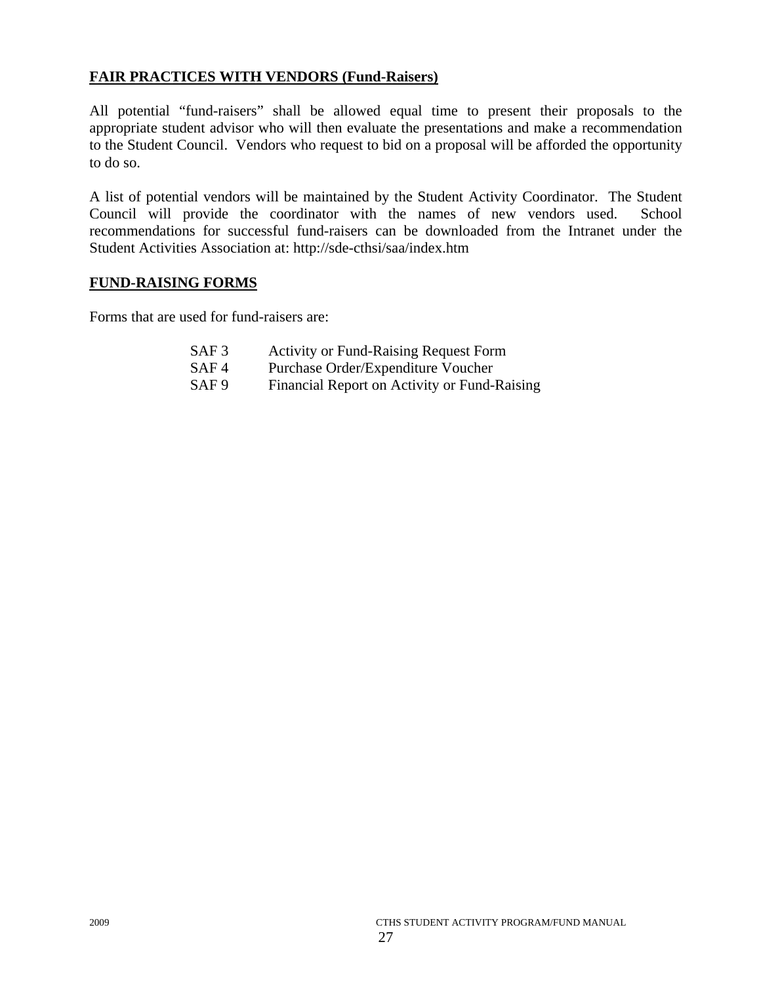# **FAIR PRACTICES WITH VENDORS (Fund-Raisers)**

All potential "fund-raisers" shall be allowed equal time to present their proposals to the appropriate student advisor who will then evaluate the presentations and make a recommendation to the Student Council. Vendors who request to bid on a proposal will be afforded the opportunity to do so.

A list of potential vendors will be maintained by the Student Activity Coordinator. The Student Council will provide the coordinator with the names of new vendors used. School recommendations for successful fund-raisers can be downloaded from the Intranet under the Student Activities Association at: http://sde-cthsi/saa/index.htm

# **FUND-RAISING FORMS**

Forms that are used for fund-raisers are:

| SAF <sub>3</sub> | <b>Activity or Fund-Raising Request Form</b> |
|------------------|----------------------------------------------|
| SAF <sub>4</sub> | Purchase Order/Expenditure Voucher           |
| SAF <sub>9</sub> | Financial Report on Activity or Fund-Raising |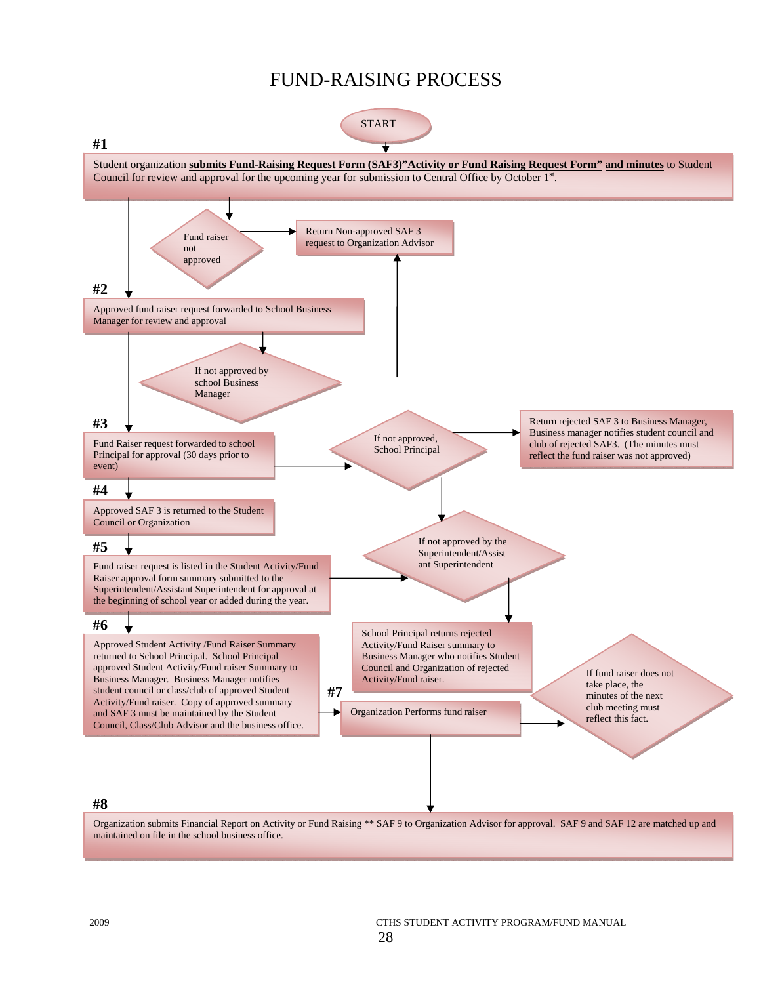# FUND-RAISING PROCESS



Organization submits Financial Report on Activity or Fund Raising \*\* SAF 9 to Organization Advisor for approval. SAF 9 and SAF 12 are matched up and maintained on file in the school business office.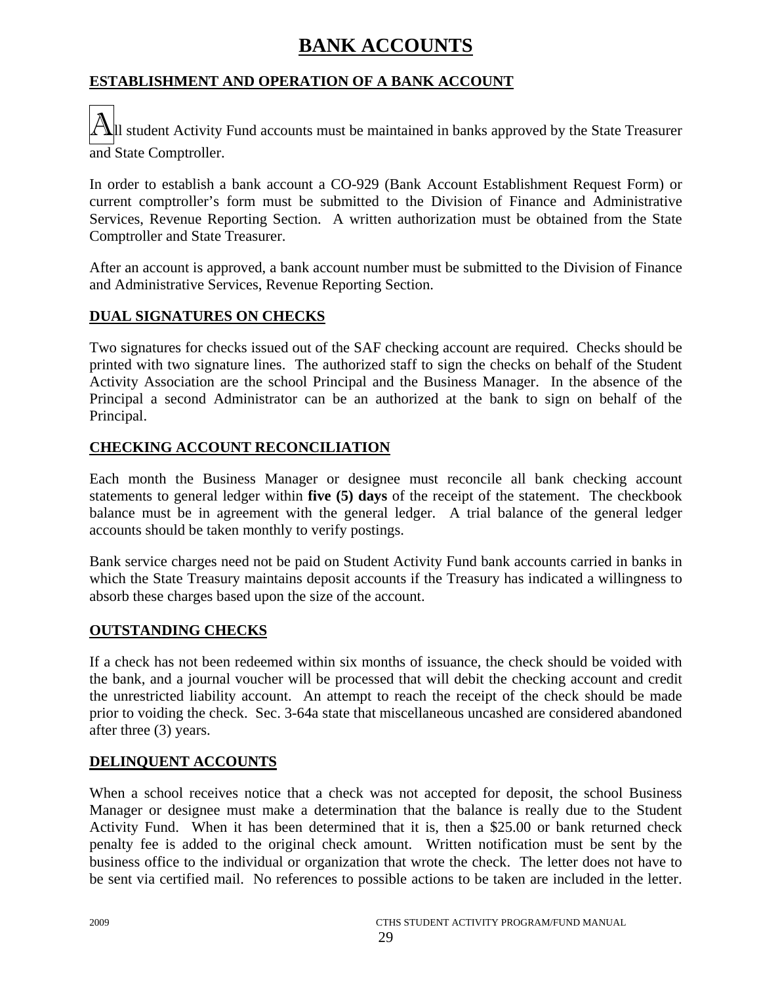# **BANK ACCOUNTS**

# **ESTABLISHMENT AND OPERATION OF A BANK ACCOUNT**

 $\Delta$ |Il student Activity Fund accounts must be maintained in banks approved by the State Treasurer and State Comptroller.

In order to establish a bank account a CO-929 (Bank Account Establishment Request Form) or current comptroller's form must be submitted to the Division of Finance and Administrative Services, Revenue Reporting Section. A written authorization must be obtained from the State Comptroller and State Treasurer.

After an account is approved, a bank account number must be submitted to the Division of Finance and Administrative Services, Revenue Reporting Section.

# **DUAL SIGNATURES ON CHECKS**

Two signatures for checks issued out of the SAF checking account are required. Checks should be printed with two signature lines. The authorized staff to sign the checks on behalf of the Student Activity Association are the school Principal and the Business Manager. In the absence of the Principal a second Administrator can be an authorized at the bank to sign on behalf of the Principal.

# **CHECKING ACCOUNT RECONCILIATION**

Each month the Business Manager or designee must reconcile all bank checking account statements to general ledger within **five (5) days** of the receipt of the statement. The checkbook balance must be in agreement with the general ledger. A trial balance of the general ledger accounts should be taken monthly to verify postings.

Bank service charges need not be paid on Student Activity Fund bank accounts carried in banks in which the State Treasury maintains deposit accounts if the Treasury has indicated a willingness to absorb these charges based upon the size of the account.

# **OUTSTANDING CHECKS**

If a check has not been redeemed within six months of issuance, the check should be voided with the bank, and a journal voucher will be processed that will debit the checking account and credit the unrestricted liability account. An attempt to reach the receipt of the check should be made prior to voiding the check. Sec. 3-64a state that miscellaneous uncashed are considered abandoned after three (3) years.

# **DELINQUENT ACCOUNTS**

When a school receives notice that a check was not accepted for deposit, the school Business Manager or designee must make a determination that the balance is really due to the Student Activity Fund. When it has been determined that it is, then a \$25.00 or bank returned check penalty fee is added to the original check amount. Written notification must be sent by the business office to the individual or organization that wrote the check. The letter does not have to be sent via certified mail. No references to possible actions to be taken are included in the letter.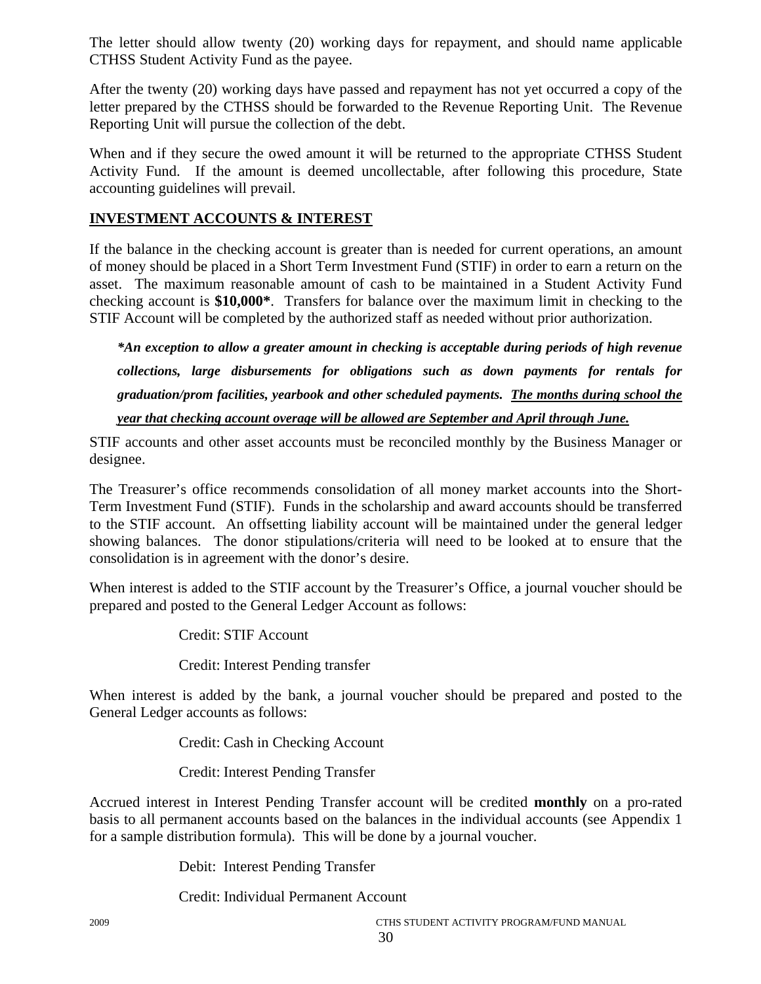The letter should allow twenty (20) working days for repayment, and should name applicable CTHSS Student Activity Fund as the payee.

After the twenty (20) working days have passed and repayment has not yet occurred a copy of the letter prepared by the CTHSS should be forwarded to the Revenue Reporting Unit. The Revenue Reporting Unit will pursue the collection of the debt.

When and if they secure the owed amount it will be returned to the appropriate CTHSS Student Activity Fund. If the amount is deemed uncollectable, after following this procedure, State accounting guidelines will prevail.

### **INVESTMENT ACCOUNTS & INTEREST**

If the balance in the checking account is greater than is needed for current operations, an amount of money should be placed in a Short Term Investment Fund (STIF) in order to earn a return on the asset. The maximum reasonable amount of cash to be maintained in a Student Activity Fund checking account is **\$10,000\***. Transfers for balance over the maximum limit in checking to the STIF Account will be completed by the authorized staff as needed without prior authorization.

*\*An exception to allow a greater amount in checking is acceptable during periods of high revenue collections, large disbursements for obligations such as down payments for rentals for graduation/prom facilities, yearbook and other scheduled payments. The months during school the* 

*year that checking account overage will be allowed are September and April through June.*

STIF accounts and other asset accounts must be reconciled monthly by the Business Manager or designee.

The Treasurer's office recommends consolidation of all money market accounts into the Short-Term Investment Fund (STIF). Funds in the scholarship and award accounts should be transferred to the STIF account. An offsetting liability account will be maintained under the general ledger showing balances. The donor stipulations/criteria will need to be looked at to ensure that the consolidation is in agreement with the donor's desire.

When interest is added to the STIF account by the Treasurer's Office, a journal voucher should be prepared and posted to the General Ledger Account as follows:

Credit: STIF Account

Credit: Interest Pending transfer

When interest is added by the bank, a journal voucher should be prepared and posted to the General Ledger accounts as follows:

Credit: Cash in Checking Account

Credit: Interest Pending Transfer

Accrued interest in Interest Pending Transfer account will be credited **monthly** on a pro-rated basis to all permanent accounts based on the balances in the individual accounts (see Appendix 1 for a sample distribution formula). This will be done by a journal voucher.

Debit: Interest Pending Transfer

Credit: Individual Permanent Account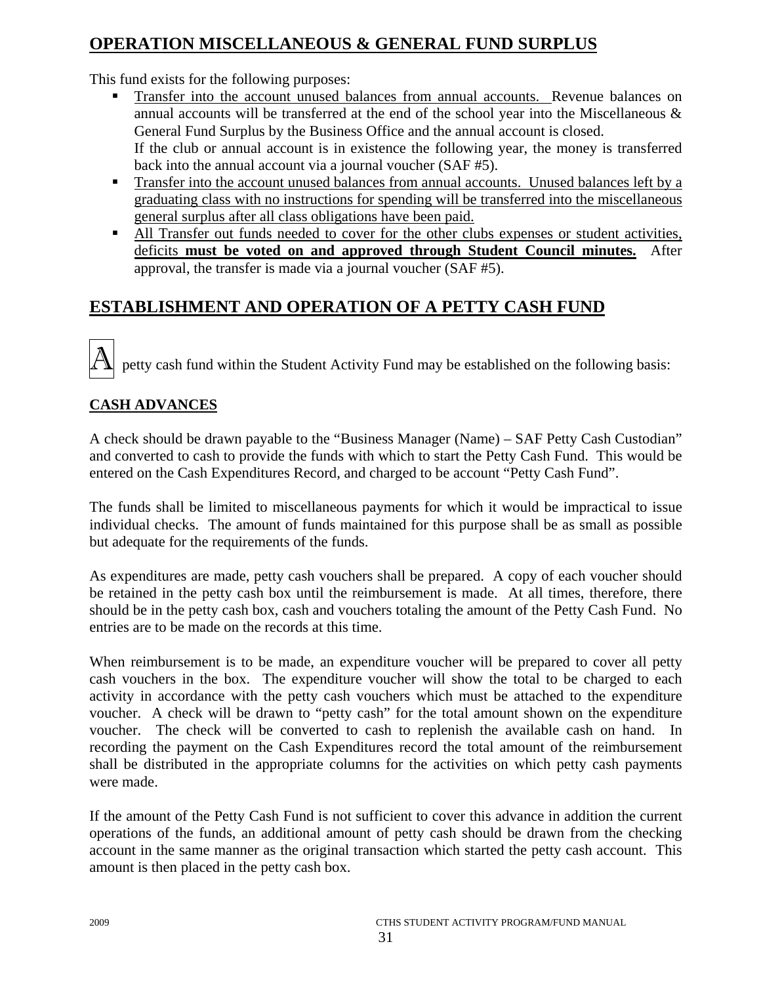# **OPERATION MISCELLANEOUS & GENERAL FUND SURPLUS**

This fund exists for the following purposes:

- Transfer into the account unused balances from annual accounts. Revenue balances on annual accounts will be transferred at the end of the school year into the Miscellaneous & General Fund Surplus by the Business Office and the annual account is closed. If the club or annual account is in existence the following year, the money is transferred back into the annual account via a journal voucher (SAF #5).
- Transfer into the account unused balances from annual accounts. Unused balances left by a graduating class with no instructions for spending will be transferred into the miscellaneous general surplus after all class obligations have been paid.
- All Transfer out funds needed to cover for the other clubs expenses or student activities, deficits **must be voted on and approved through Student Council minutes.** After approval, the transfer is made via a journal voucher (SAF #5).

# **ESTABLISHMENT AND OPERATION OF A PETTY CASH FUND**

petty cash fund within the Student Activity Fund may be established on the following basis:

### **CASH ADVANCES**

A check should be drawn payable to the "Business Manager (Name) – SAF Petty Cash Custodian" and converted to cash to provide the funds with which to start the Petty Cash Fund. This would be entered on the Cash Expenditures Record, and charged to be account "Petty Cash Fund".

The funds shall be limited to miscellaneous payments for which it would be impractical to issue individual checks. The amount of funds maintained for this purpose shall be as small as possible but adequate for the requirements of the funds.

As expenditures are made, petty cash vouchers shall be prepared. A copy of each voucher should be retained in the petty cash box until the reimbursement is made. At all times, therefore, there should be in the petty cash box, cash and vouchers totaling the amount of the Petty Cash Fund. No entries are to be made on the records at this time.

When reimbursement is to be made, an expenditure voucher will be prepared to cover all petty cash vouchers in the box. The expenditure voucher will show the total to be charged to each activity in accordance with the petty cash vouchers which must be attached to the expenditure voucher. A check will be drawn to "petty cash" for the total amount shown on the expenditure voucher. The check will be converted to cash to replenish the available cash on hand. In recording the payment on the Cash Expenditures record the total amount of the reimbursement shall be distributed in the appropriate columns for the activities on which petty cash payments were made.

If the amount of the Petty Cash Fund is not sufficient to cover this advance in addition the current operations of the funds, an additional amount of petty cash should be drawn from the checking account in the same manner as the original transaction which started the petty cash account. This amount is then placed in the petty cash box.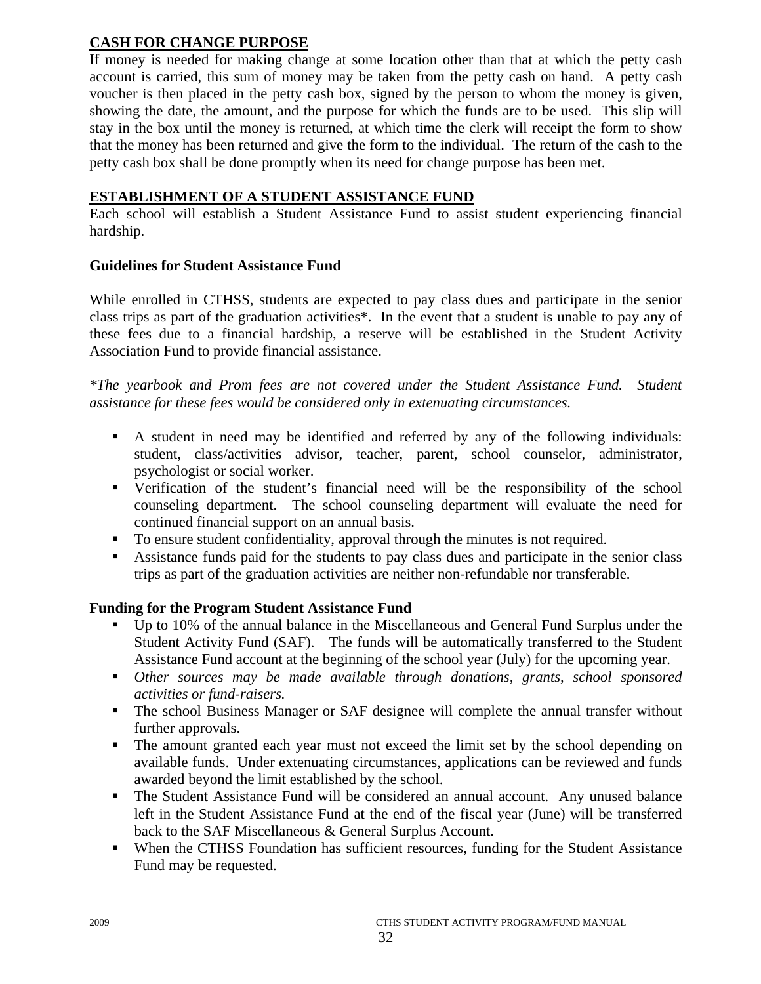### **CASH FOR CHANGE PURPOSE**

If money is needed for making change at some location other than that at which the petty cash account is carried, this sum of money may be taken from the petty cash on hand. A petty cash voucher is then placed in the petty cash box, signed by the person to whom the money is given, showing the date, the amount, and the purpose for which the funds are to be used. This slip will stay in the box until the money is returned, at which time the clerk will receipt the form to show that the money has been returned and give the form to the individual. The return of the cash to the petty cash box shall be done promptly when its need for change purpose has been met.

### **ESTABLISHMENT OF A STUDENT ASSISTANCE FUND**

Each school will establish a Student Assistance Fund to assist student experiencing financial hardship.

### **Guidelines for Student Assistance Fund**

While enrolled in CTHSS, students are expected to pay class dues and participate in the senior class trips as part of the graduation activities\*. In the event that a student is unable to pay any of these fees due to a financial hardship, a reserve will be established in the Student Activity Association Fund to provide financial assistance.

*\*The yearbook and Prom fees are not covered under the Student Assistance Fund. Student assistance for these fees would be considered only in extenuating circumstances.* 

- A student in need may be identified and referred by any of the following individuals: student, class/activities advisor, teacher, parent, school counselor, administrator, psychologist or social worker.
- Verification of the student's financial need will be the responsibility of the school counseling department. The school counseling department will evaluate the need for continued financial support on an annual basis.
- To ensure student confidentiality, approval through the minutes is not required.
- Assistance funds paid for the students to pay class dues and participate in the senior class trips as part of the graduation activities are neither non-refundable nor transferable.

### **Funding for the Program Student Assistance Fund**

- Up to 10% of the annual balance in the Miscellaneous and General Fund Surplus under the Student Activity Fund (SAF). The funds will be automatically transferred to the Student Assistance Fund account at the beginning of the school year (July) for the upcoming year.
- *Other sources may be made available through donations, grants, school sponsored activities or fund-raisers.*
- The school Business Manager or SAF designee will complete the annual transfer without further approvals.
- The amount granted each year must not exceed the limit set by the school depending on available funds. Under extenuating circumstances, applications can be reviewed and funds awarded beyond the limit established by the school.
- The Student Assistance Fund will be considered an annual account. Any unused balance left in the Student Assistance Fund at the end of the fiscal year (June) will be transferred back to the SAF Miscellaneous & General Surplus Account.
- When the CTHSS Foundation has sufficient resources, funding for the Student Assistance Fund may be requested.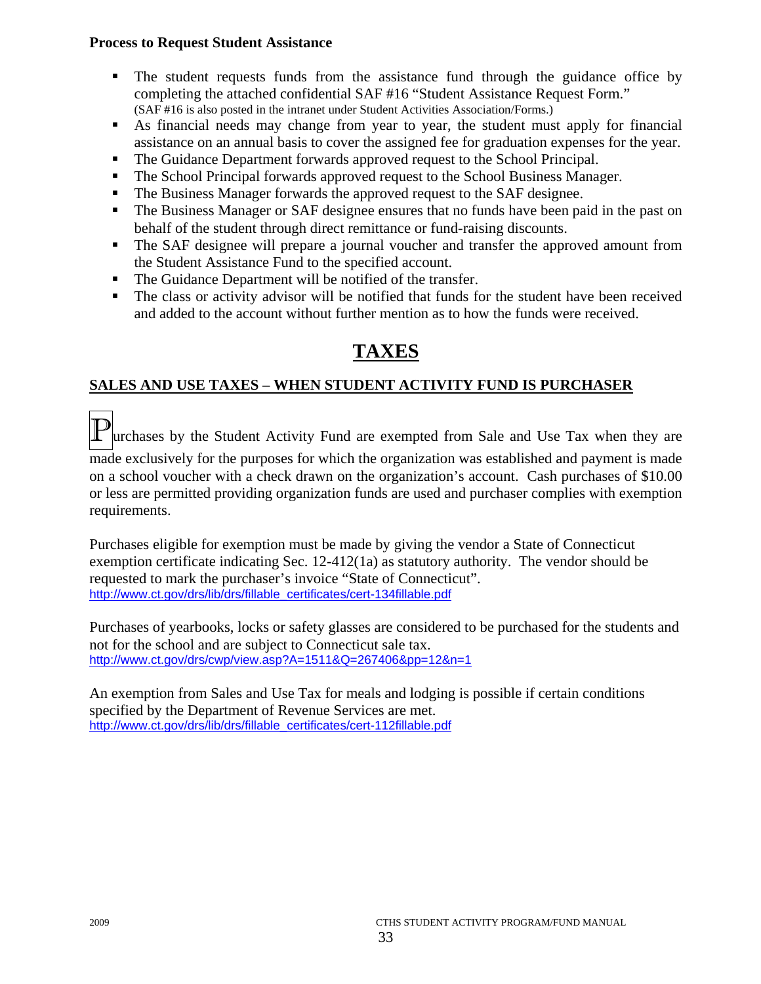### **Process to Request Student Assistance**

- The student requests funds from the assistance fund through the guidance office by completing the attached confidential SAF #16 "Student Assistance Request Form." (SAF #16 is also posted in the intranet under Student Activities Association/Forms.)
- As financial needs may change from year to year, the student must apply for financial assistance on an annual basis to cover the assigned fee for graduation expenses for the year.
- The Guidance Department forwards approved request to the School Principal.
- The School Principal forwards approved request to the School Business Manager.
- The Business Manager forwards the approved request to the SAF designee.
- The Business Manager or SAF designee ensures that no funds have been paid in the past on behalf of the student through direct remittance or fund-raising discounts.
- The SAF designee will prepare a journal voucher and transfer the approved amount from the Student Assistance Fund to the specified account.
- The Guidance Department will be notified of the transfer.
- The class or activity advisor will be notified that funds for the student have been received and added to the account without further mention as to how the funds were received.

# **TAXES**

### **SALES AND USE TAXES – WHEN STUDENT ACTIVITY FUND IS PURCHASER**

**Purchases by the Student Activity Fund are exempted from Sale and Use Tax when they are** made exclusively for the purposes for which the organization was established and payment is made on a school voucher with a check drawn on the organization's account. Cash purchases of \$10.00 or less are permitted providing organization funds are used and purchaser complies with exemption requirements.

Purchases eligible for exemption must be made by giving the vendor a State of Connecticut exemption certificate indicating Sec. 12-412(1a) as statutory authority. The vendor should be requested to mark the purchaser's invoice "State of Connecticut". http://www.ct.gov/drs/lib/drs/fillable\_certificates/cert-134fillable.pdf

Purchases of yearbooks, locks or safety glasses are considered to be purchased for the students and not for the school and are subject to Connecticut sale tax. http://www.ct.gov/drs/cwp/view.asp?A=1511&Q=267406&pp=12&n=1

An exemption from Sales and Use Tax for meals and lodging is possible if certain conditions specified by the Department of Revenue Services are met. http://www.ct.gov/drs/lib/drs/fillable\_certificates/cert-112fillable.pdf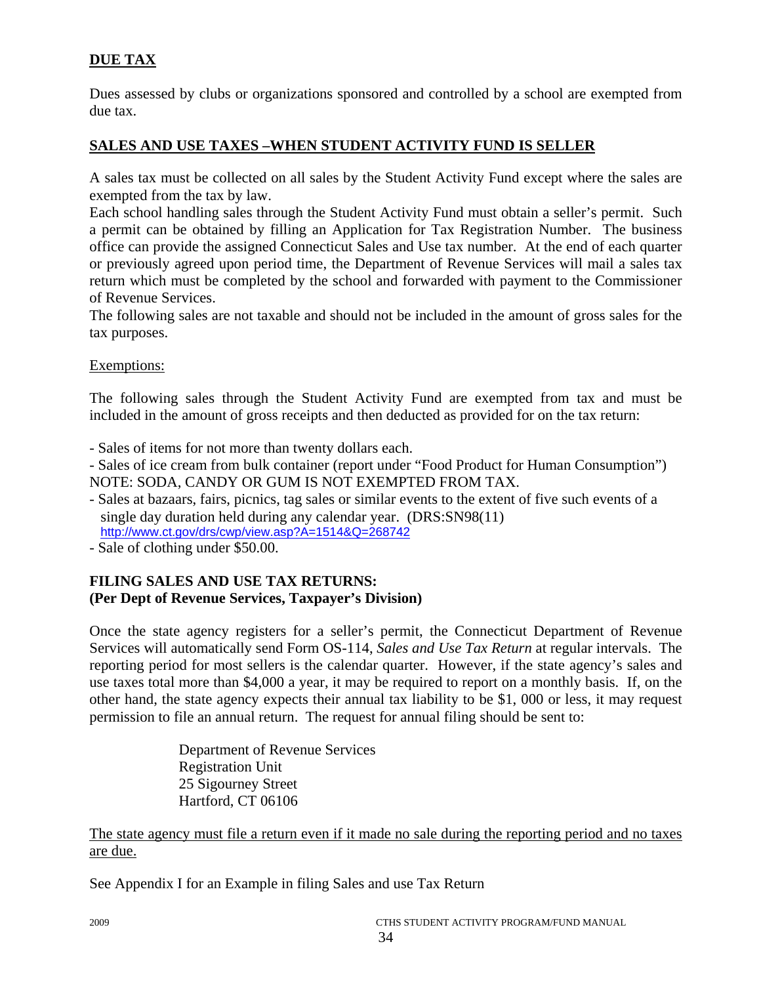### **DUE TAX**

Dues assessed by clubs or organizations sponsored and controlled by a school are exempted from due tax.

### **SALES AND USE TAXES –WHEN STUDENT ACTIVITY FUND IS SELLER**

A sales tax must be collected on all sales by the Student Activity Fund except where the sales are exempted from the tax by law.

Each school handling sales through the Student Activity Fund must obtain a seller's permit. Such a permit can be obtained by filling an Application for Tax Registration Number. The business office can provide the assigned Connecticut Sales and Use tax number. At the end of each quarter or previously agreed upon period time, the Department of Revenue Services will mail a sales tax return which must be completed by the school and forwarded with payment to the Commissioner of Revenue Services.

The following sales are not taxable and should not be included in the amount of gross sales for the tax purposes.

### Exemptions:

The following sales through the Student Activity Fund are exempted from tax and must be included in the amount of gross receipts and then deducted as provided for on the tax return:

- Sales of items for not more than twenty dollars each.

- Sales of ice cream from bulk container (report under "Food Product for Human Consumption") NOTE: SODA, CANDY OR GUM IS NOT EXEMPTED FROM TAX.

- Sales at bazaars, fairs, picnics, tag sales or similar events to the extent of five such events of a single day duration held during any calendar year. (DRS:SN98(11) http://www.ct.gov/drs/cwp/view.asp?A=1514&Q=268742
- Sale of clothing under \$50.00.

### **FILING SALES AND USE TAX RETURNS: (Per Dept of Revenue Services, Taxpayer's Division)**

Once the state agency registers for a seller's permit, the Connecticut Department of Revenue Services will automatically send Form OS-114, *Sales and Use Tax Return* at regular intervals. The reporting period for most sellers is the calendar quarter. However, if the state agency's sales and use taxes total more than \$4,000 a year, it may be required to report on a monthly basis. If, on the other hand, the state agency expects their annual tax liability to be \$1, 000 or less, it may request permission to file an annual return. The request for annual filing should be sent to:

> Department of Revenue Services Registration Unit 25 Sigourney Street Hartford, CT 06106

The state agency must file a return even if it made no sale during the reporting period and no taxes are due.

See Appendix I for an Example in filing Sales and use Tax Return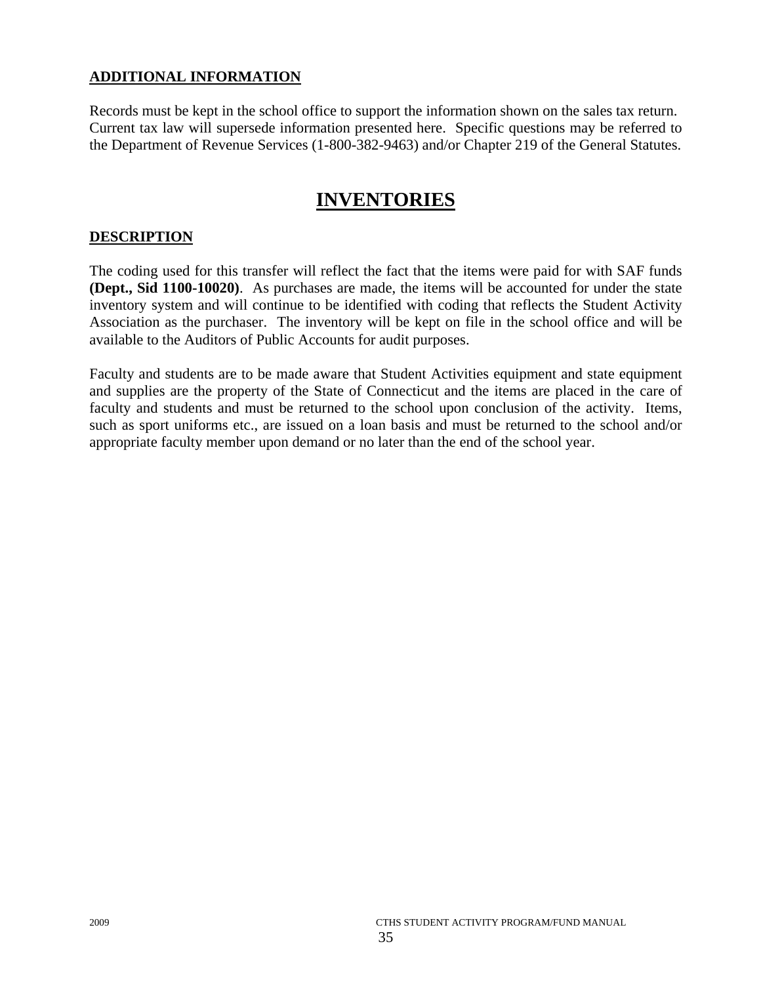### **ADDITIONAL INFORMATION**

Records must be kept in the school office to support the information shown on the sales tax return. Current tax law will supersede information presented here. Specific questions may be referred to the Department of Revenue Services (1-800-382-9463) and/or Chapter 219 of the General Statutes.

# **INVENTORIES**

### **DESCRIPTION**

The coding used for this transfer will reflect the fact that the items were paid for with SAF funds **(Dept., Sid 1100-10020)**. As purchases are made, the items will be accounted for under the state inventory system and will continue to be identified with coding that reflects the Student Activity Association as the purchaser. The inventory will be kept on file in the school office and will be available to the Auditors of Public Accounts for audit purposes.

Faculty and students are to be made aware that Student Activities equipment and state equipment and supplies are the property of the State of Connecticut and the items are placed in the care of faculty and students and must be returned to the school upon conclusion of the activity. Items, such as sport uniforms etc., are issued on a loan basis and must be returned to the school and/or appropriate faculty member upon demand or no later than the end of the school year.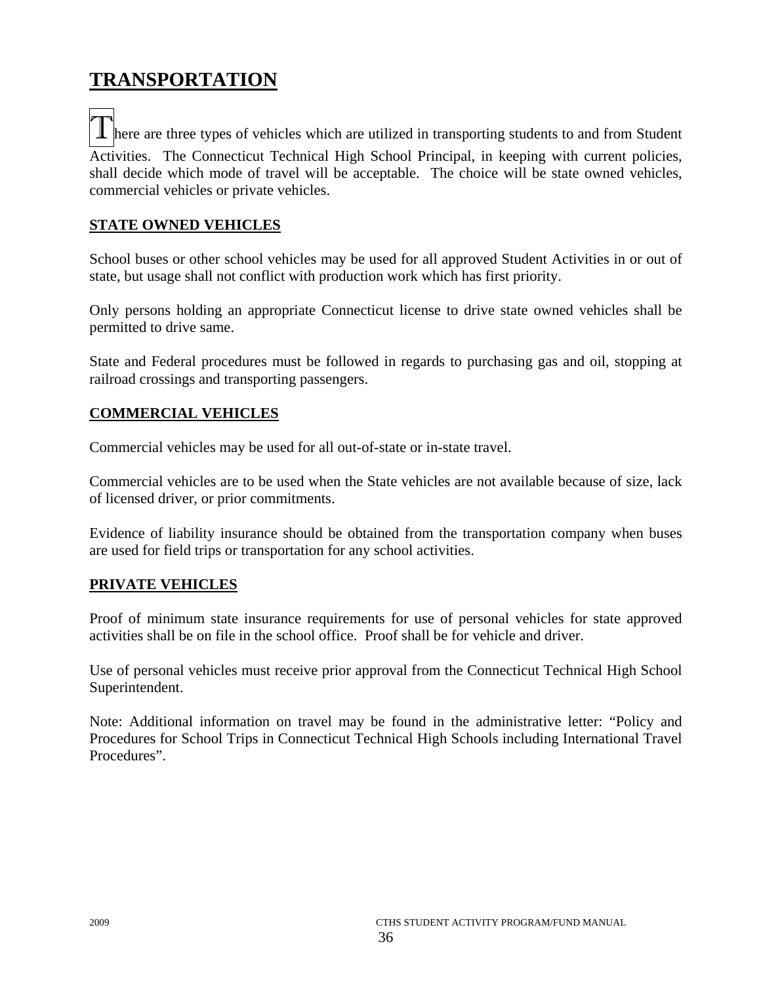# **TRANSPORTATION**

**T** here are three types of vehicles which are utilized in transporting students to and from Student Activities. The Connecticut Technical High School Principal, in keeping with current policies, shall decide which mode of travel will be acceptable. The choice will be state owned vehicles, commercial vehicles or private vehicles.

### **STATE OWNED VEHICLES**

School buses or other school vehicles may be used for all approved Student Activities in or out of state, but usage shall not conflict with production work which has first priority.

Only persons holding an appropriate Connecticut license to drive state owned vehicles shall be permitted to drive same.

State and Federal procedures must be followed in regards to purchasing gas and oil, stopping at railroad crossings and transporting passengers.

### **COMMERCIAL VEHICLES**

Commercial vehicles may be used for all out-of-state or in-state travel.

Commercial vehicles are to be used when the State vehicles are not available because of size, lack of licensed driver, or prior commitments.

Evidence of liability insurance should be obtained from the transportation company when buses are used for field trips or transportation for any school activities.

### **PRIVATE VEHICLES**

Proof of minimum state insurance requirements for use of personal vehicles for state approved activities shall be on file in the school office. Proof shall be for vehicle and driver.

Use of personal vehicles must receive prior approval from the Connecticut Technical High School Superintendent.

Note: Additional information on travel may be found in the administrative letter: "Policy and Procedures for School Trips in Connecticut Technical High Schools including International Travel Procedures".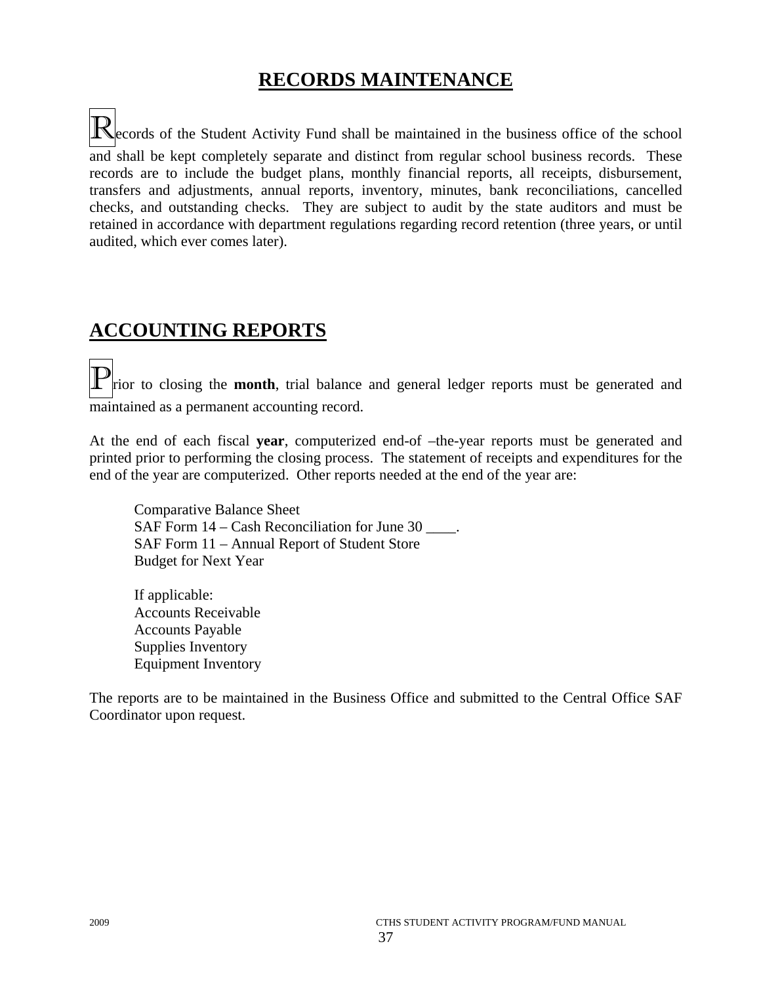# **RECORDS MAINTENANCE**

Records of the Student Activity Fund shall be maintained in the business office of the school and shall be kept completely separate and distinct from regular school business records. These records are to include the budget plans, monthly financial reports, all receipts, disbursement, transfers and adjustments, annual reports, inventory, minutes, bank reconciliations, cancelled checks, and outstanding checks. They are subject to audit by the state auditors and must be retained in accordance with department regulations regarding record retention (three years, or until audited, which ever comes later).

# **ACCOUNTING REPORTS**

rior to closing the **month**, trial balance and general ledger reports must be generated and maintained as a permanent accounting record.

At the end of each fiscal **year**, computerized end-of –the-year reports must be generated and printed prior to performing the closing process. The statement of receipts and expenditures for the end of the year are computerized. Other reports needed at the end of the year are:

 Comparative Balance Sheet SAF Form 14 – Cash Reconciliation for June 30 \_\_\_\_. SAF Form 11 – Annual Report of Student Store Budget for Next Year

 If applicable: Accounts Receivable Accounts Payable Supplies Inventory Equipment Inventory

The reports are to be maintained in the Business Office and submitted to the Central Office SAF Coordinator upon request.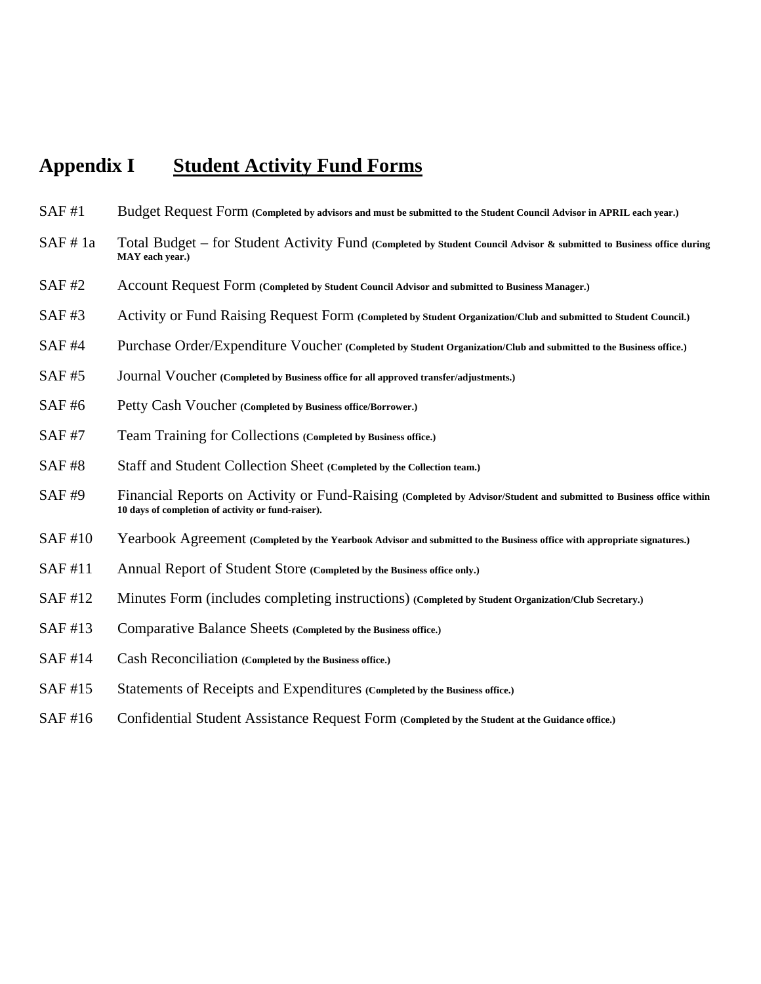# **Appendix I Student Activity Fund Forms**

- SAF #1 Budget Request Form **(Completed by advisors and must be submitted to the Student Council Advisor in APRIL each year.)**
- SAF # 1a Total Budget for Student Activity Fund **(Completed by Student Council Advisor & submitted to Business office during MAY each year.)**
- SAF #2 Account Request Form **(Completed by Student Council Advisor and submitted to Business Manager.)**
- SAF #3 Activity or Fund Raising Request Form **(Completed by Student Organization/Club and submitted to Student Council.)**
- SAF #4 Purchase Order/Expenditure Voucher **(Completed by Student Organization/Club and submitted to the Business office.)**
- SAF #5 Journal Voucher **(Completed by Business office for all approved transfer/adjustments.)**
- SAF #6 Petty Cash Voucher **(Completed by Business office/Borrower.)**
- SAF #7 Team Training for Collections **(Completed by Business office.)**
- SAF #8 Staff and Student Collection Sheet **(Completed by the Collection team.)**
- SAF #9 Financial Reports on Activity or Fund-Raising **(Completed by Advisor/Student and submitted to Business office within 10 days of completion of activity or fund-raiser).**
- SAF #10 Yearbook Agreement **(Completed by the Yearbook Advisor and submitted to the Business office with appropriate signatures.)**
- SAF #11 Annual Report of Student Store **(Completed by the Business office only.)**
- SAF #12 Minutes Form (includes completing instructions) **(Completed by Student Organization/Club Secretary.)**
- SAF #13 Comparative Balance Sheets **(Completed by the Business office.)**
- SAF #14 Cash Reconciliation **(Completed by the Business office.)**
- SAF #15 Statements of Receipts and Expenditures **(Completed by the Business office.)**
- SAF #16 Confidential Student Assistance Request Form **(Completed by the Student at the Guidance office.)**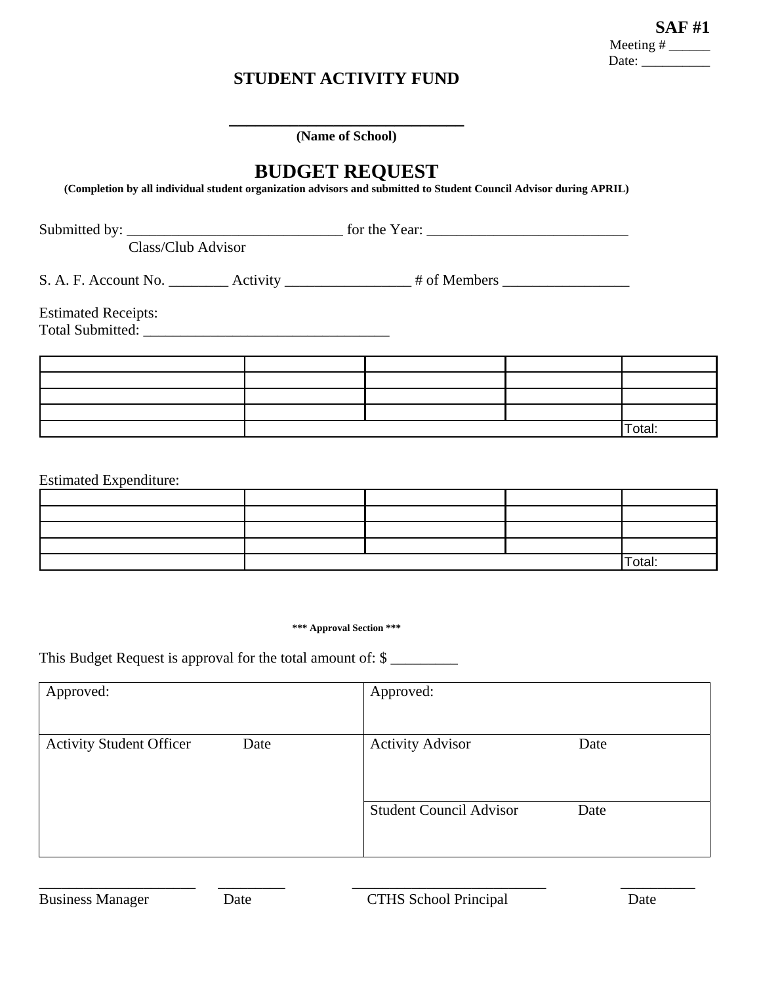### **STUDENT ACTIVITY FUND**

**\_\_\_\_\_\_\_\_\_\_\_\_\_\_\_\_\_\_\_\_\_\_\_\_\_\_\_ (Name of School)** 

# **BUDGET REQUEST**

**(Completion by all individual student organization advisors and submitted to Student Council Advisor during APRIL)** 

Submitted by: \_\_\_\_\_\_\_\_\_\_\_\_\_\_\_\_\_\_\_\_\_\_\_\_\_\_\_\_\_ for the Year: \_\_\_\_\_\_\_\_\_\_\_\_\_\_\_\_\_\_\_\_\_\_\_\_\_\_\_

Class/Club Advisor

S. A. F. Account No. \_\_\_\_\_\_\_\_ Activity \_\_\_\_\_\_\_\_\_\_\_\_\_\_\_\_\_ # of Members \_\_\_\_\_\_\_\_\_\_\_\_\_\_\_\_\_

Estimated Receipts:

Total Submitted: \_\_\_\_\_\_\_\_\_\_\_\_\_\_\_\_\_\_\_\_\_\_\_\_\_\_\_\_\_\_\_\_\_

|  |  | Total: |
|--|--|--------|

Estimated Expenditure:

|  |  | $\sim$<br>Total: |
|--|--|------------------|

**\*\*\* Approval Section \*\*\*** 

This Budget Request is approval for the total amount of: \$

| Approved:                               | Approved:                      |      |
|-----------------------------------------|--------------------------------|------|
| <b>Activity Student Officer</b><br>Date | <b>Activity Advisor</b>        | Date |
|                                         | <b>Student Council Advisor</b> | Date |

\_\_\_\_\_\_\_\_\_\_\_\_\_\_\_\_\_\_\_\_\_ \_\_\_\_\_\_\_\_\_ \_\_\_\_\_\_\_\_\_\_\_\_\_\_\_\_\_\_\_\_\_\_\_\_\_\_ \_\_\_\_\_\_\_\_\_\_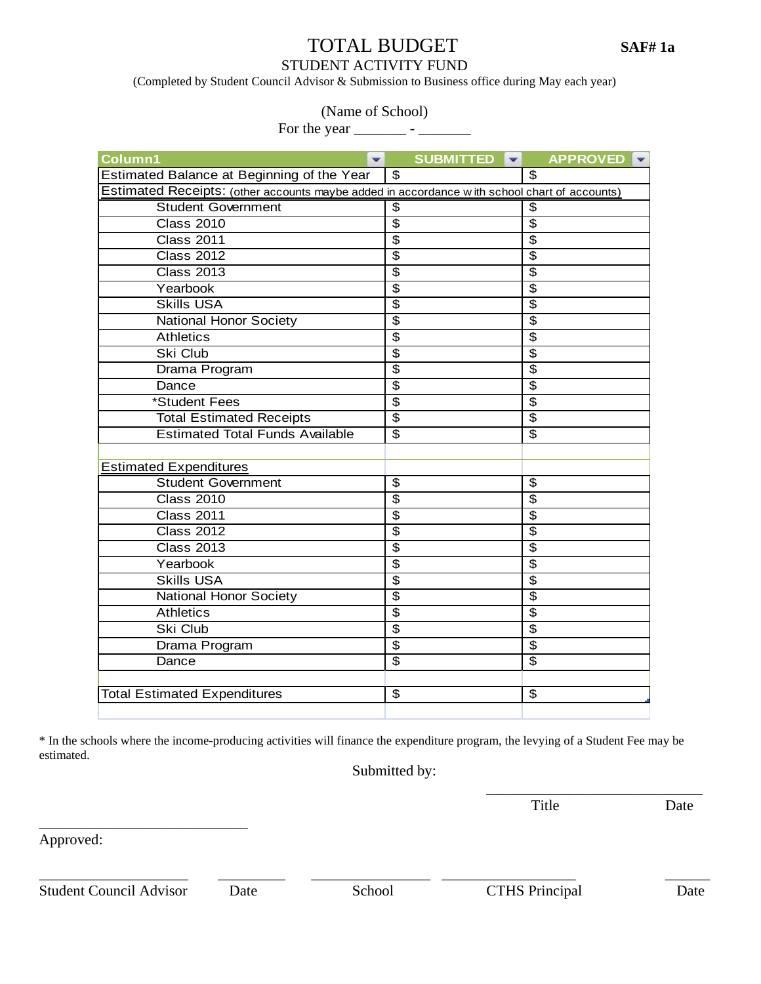# TOTAL BUDGET **SAF# 1a**

### STUDENT ACTIVITY FUND

(Completed by Student Council Advisor & Submission to Business office during May each year)

(Name of School)

For the year \_\_\_\_\_\_\_ - \_\_\_\_\_\_\_

| Column1<br>▼                                                                                 | SUBMITTED<br>$\mathbf{v}$ | <b>APPROVED</b><br>IV.           |
|----------------------------------------------------------------------------------------------|---------------------------|----------------------------------|
| Estimated Balance at Beginning of the Year                                                   | $\overline{\mathcal{S}}$  | $\overline{\mathcal{S}}$         |
| Estimated Receipts: (other accounts maybe added in accordance with school chart of accounts) |                           |                                  |
| <b>Student Government</b>                                                                    | \$                        | \$                               |
| <b>Class 2010</b>                                                                            | $\overline{\$}$           | $\overline{\$}$                  |
| <b>Class 2011</b>                                                                            | $\overline{\$}$           | $\overline{\$}$                  |
| <b>Class 2012</b>                                                                            | $\overline{\$}$           | $\overline{\boldsymbol{\theta}}$ |
| <b>Class 2013</b>                                                                            | $\overline{\mathfrak{s}}$ | $\overline{\$}$                  |
| Yearbook                                                                                     | \$                        | $\overline{\$}$                  |
| <b>Skills USA</b>                                                                            | $\overline{\$}$           | \$                               |
| <b>National Honor Society</b>                                                                | $\overline{\$}$           | $\overline{\$}$                  |
| <b>Athletics</b>                                                                             | $\overline{\$}$           | $\overline{\$}$                  |
| Ski Club                                                                                     | $\overline{\mathfrak{s}}$ | $\overline{\$}$                  |
| Drama Program                                                                                | $\overline{\$}$           | $\overline{\$}$                  |
| Dance                                                                                        | $\overline{\$}$           | $\overline{\$}$                  |
| *Student Fees                                                                                | \$                        | $\overline{\$}$                  |
| <b>Total Estimated Receipts</b>                                                              | \$                        | $\overline{\mathfrak{s}}$        |
| <b>Estimated Total Funds Available</b>                                                       | \$                        | $\overline{\$}$                  |
|                                                                                              |                           |                                  |
| <b>Estimated Expenditures</b>                                                                |                           |                                  |
| <b>Student Government</b>                                                                    | $\overline{\$}$           | $\overline{\$}$                  |
| <b>Class 2010</b>                                                                            | $\overline{\$}$           | $\overline{\$}$                  |
| <b>Class 2011</b>                                                                            | \$                        | $\overline{\boldsymbol{\theta}}$ |
| <b>Class 2012</b>                                                                            | $\overline{\$}$           | $\overline{\$}$                  |
| <b>Class 2013</b>                                                                            | $\overline{\$}$           | $\overline{\$}$                  |
| Yearbook                                                                                     | $\overline{\$}$           | $\overline{\$}$                  |
| <b>Skills USA</b>                                                                            | $\overline{\$}$           | $\overline{\$}$                  |
| <b>National Honor Society</b>                                                                | $\overline{\$}$           | \$                               |
| <b>Athletics</b>                                                                             | $\overline{\$}$           | $\overline{\$}$                  |
| Ski Club                                                                                     | \$                        | $\overline{\$}$                  |
| Drama Program                                                                                | \$                        | $\overline{\$}$                  |
| Dance                                                                                        | $\overline{\$}$           | $\overline{\$}$                  |
|                                                                                              |                           |                                  |
| <b>Total Estimated Expenditures</b>                                                          | $\overline{\mathbf{3}}$   | $\overline{\boldsymbol{\theta}}$ |
|                                                                                              |                           |                                  |

\* In the schools where the income-producing activities will finance the expenditure program, the levying of a Student Fee may be estimated.

 Submitted by:  $\overline{\phantom{a}}$  , and the contract of the contract of the contract of the contract of the contract of the contract of the contract of the contract of the contract of the contract of the contract of the contract of the contrac

Title Date

Approved:

Student Council Advisor Date School CTHS Principal Date

\_\_\_\_\_\_\_\_\_\_\_\_\_\_\_\_\_\_\_\_\_\_\_\_\_\_\_\_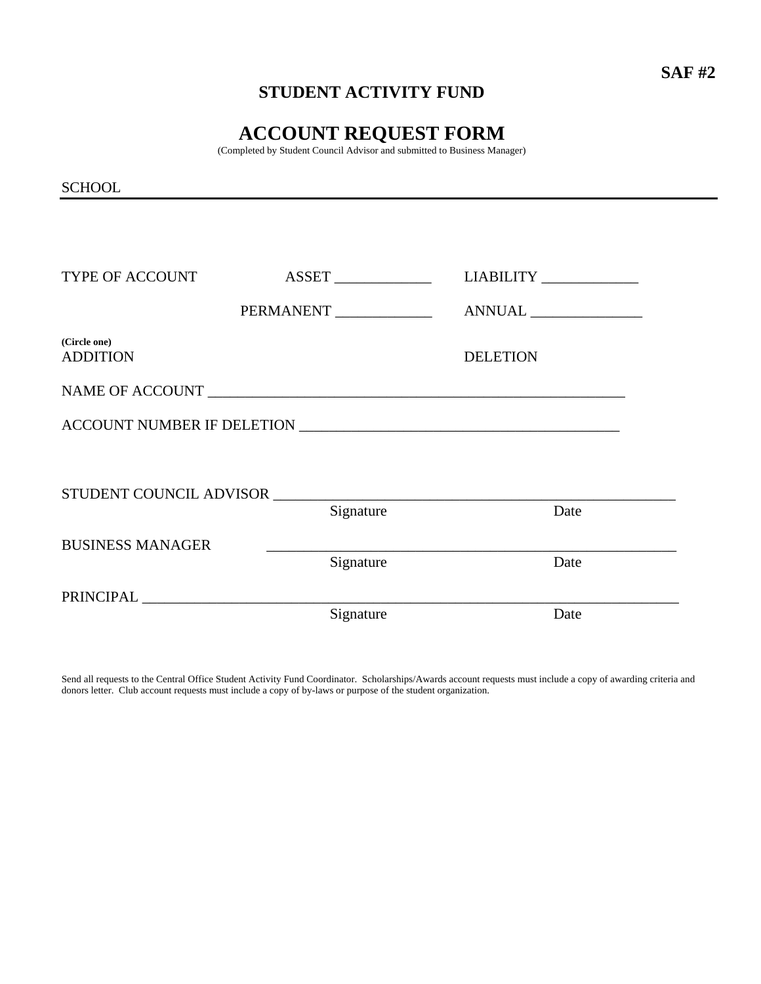# **STUDENT ACTIVITY FUND**

# **ACCOUNT REQUEST FORM**

(Completed by Student Council Advisor and submitted to Business Manager)

**SCHOOL** 

| TYPE OF ACCOUNT                 |                         | LIABILITY _____________ |  |
|---------------------------------|-------------------------|-------------------------|--|
|                                 | PERMANENT _____________ |                         |  |
| (Circle one)<br><b>ADDITION</b> |                         | <b>DELETION</b>         |  |
|                                 |                         |                         |  |
|                                 |                         |                         |  |
|                                 |                         |                         |  |
|                                 | STUDENT COUNCIL ADVISOR |                         |  |
|                                 | Signature               | Date                    |  |
| <b>BUSINESS MANAGER</b>         |                         |                         |  |
|                                 | Signature               | Date                    |  |
|                                 |                         |                         |  |
|                                 | Signature               | Date                    |  |

Send all requests to the Central Office Student Activity Fund Coordinator. Scholarships/Awards account requests must include a copy of awarding criteria and donors letter. Club account requests must include a copy of by-laws or purpose of the student organization.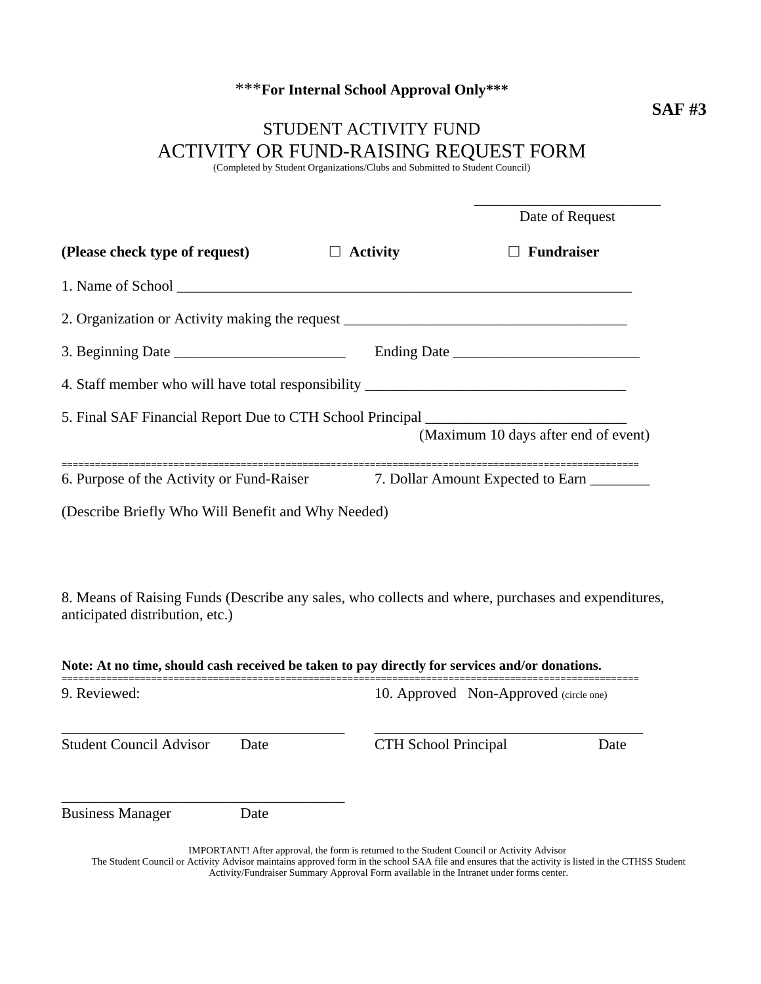# \*\*\***For Internal School Approval Only\*\*\***

# STUDENT ACTIVITY FUND ACTIVITY OR FUND-RAISING REQUEST FORM

(Completed by Student Organizations/Clubs and Submitted to Student Council)

|                                                                                    | Date of Request                      |
|------------------------------------------------------------------------------------|--------------------------------------|
| (Please check type of request) $\Box$ Activity                                     | $\Box$ Fundraiser                    |
|                                                                                    |                                      |
| 2. Organization or Activity making the request _________________________________   |                                      |
|                                                                                    | Ending Date                          |
| 4. Staff member who will have total responsibility ______________________________  |                                      |
| 5. Final SAF Financial Report Due to CTH School Principal _______________________  | (Maximum 10 days after end of event) |
| 6. Purpose of the Activity or Fund-Raiser 7. Dollar Amount Expected to Earn ______ |                                      |
| (Describe Briefly Who Will Benefit and Why Needed)                                 |                                      |

8. Means of Raising Funds (Describe any sales, who collects and where, purchases and expenditures, anticipated distribution, etc.)

| Note: At no time, should cash received be taken to pay directly for services and/or donations. |      |                                        |      |  |  |
|------------------------------------------------------------------------------------------------|------|----------------------------------------|------|--|--|
| 9. Reviewed:                                                                                   |      | 10. Approved Non-Approved (circle one) |      |  |  |
| <b>Student Council Advisor</b>                                                                 | Date | <b>CTH</b> School Principal            | Date |  |  |
| <b>Business Manager</b>                                                                        | Date |                                        |      |  |  |

IMPORTANT! After approval, the form is returned to the Student Council or Activity Advisor The Student Council or Activity Advisor maintains approved form in the school SAA file and ensures that the activity is listed in the CTHSS Student Activity/Fundraiser Summary Approval Form available in the Intranet under forms center.

\_\_\_\_\_\_\_\_\_\_\_\_\_\_\_\_\_\_\_\_\_\_\_\_\_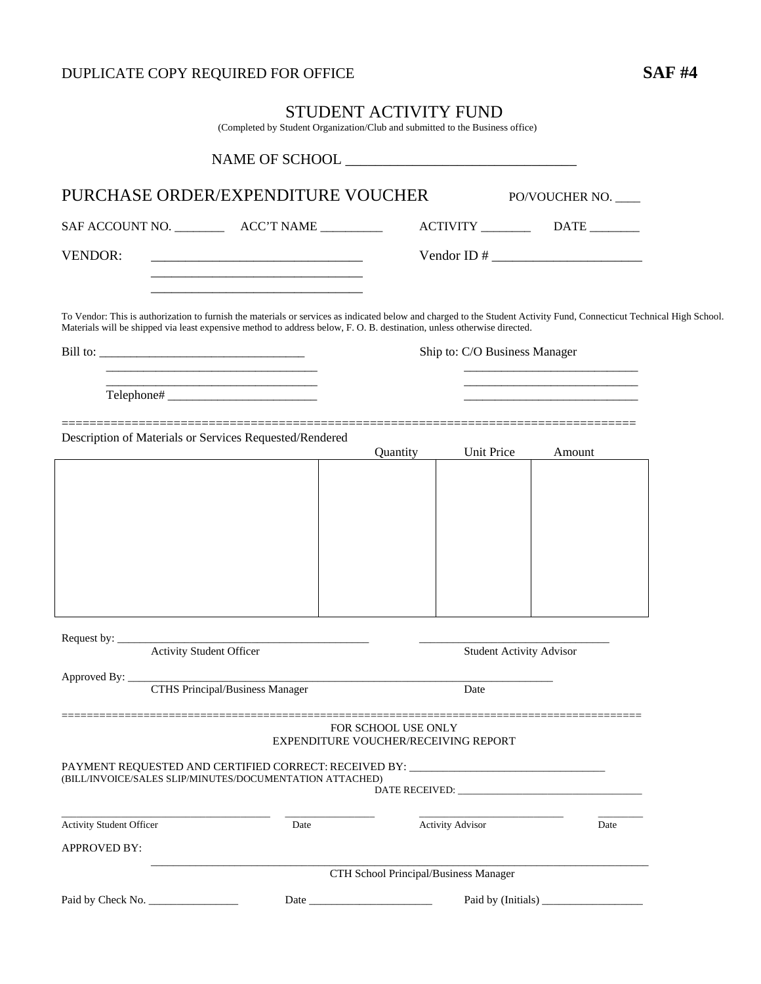# DUPLICATE COPY REQUIRED FOR OFFICE **SAF #4**

(Completed by Student Organization/Club and submitted to the Business office)

|                                 | PURCHASE ORDER/EXPENDITURE VOUCHER                                                                                                                                                                                                                                                                                                                                                                                        |      |                                                             |                                 | PO/VOUCHER NO.                                            |  |
|---------------------------------|---------------------------------------------------------------------------------------------------------------------------------------------------------------------------------------------------------------------------------------------------------------------------------------------------------------------------------------------------------------------------------------------------------------------------|------|-------------------------------------------------------------|---------------------------------|-----------------------------------------------------------|--|
|                                 |                                                                                                                                                                                                                                                                                                                                                                                                                           |      |                                                             |                                 |                                                           |  |
| <b>VENDOR:</b>                  | <u> 1989 - Johann John Stone, mars et al. 1989 - John Stone, mars et al. 1989 - John Stone, mars et al. 1989 - Joh</u>                                                                                                                                                                                                                                                                                                    |      |                                                             |                                 |                                                           |  |
|                                 | To Vendor: This is authorization to furnish the materials or services as indicated below and charged to the Student Activity Fund, Connecticut Technical High School.<br>Materials will be shipped via least expensive method to address below, F. O. B. destination, unless otherwise directed.<br><u> 1989 - Johann Harry Harry Harry Harry Harry Harry Harry Harry Harry Harry Harry Harry Harry Harry Harry Harry</u> |      |                                                             | Ship to: C/O Business Manager   | <u> 1989 - Johann Barbara, martxa al II-lea (b. 1989)</u> |  |
|                                 |                                                                                                                                                                                                                                                                                                                                                                                                                           |      |                                                             |                                 |                                                           |  |
|                                 | Description of Materials or Services Requested/Rendered                                                                                                                                                                                                                                                                                                                                                                   |      | Quantity                                                    | <b>Unit Price</b>               | Amount                                                    |  |
|                                 |                                                                                                                                                                                                                                                                                                                                                                                                                           |      |                                                             |                                 |                                                           |  |
|                                 |                                                                                                                                                                                                                                                                                                                                                                                                                           |      |                                                             |                                 |                                                           |  |
|                                 |                                                                                                                                                                                                                                                                                                                                                                                                                           |      |                                                             |                                 |                                                           |  |
|                                 |                                                                                                                                                                                                                                                                                                                                                                                                                           |      |                                                             |                                 |                                                           |  |
|                                 |                                                                                                                                                                                                                                                                                                                                                                                                                           |      |                                                             |                                 |                                                           |  |
|                                 |                                                                                                                                                                                                                                                                                                                                                                                                                           |      |                                                             |                                 |                                                           |  |
|                                 |                                                                                                                                                                                                                                                                                                                                                                                                                           |      |                                                             |                                 |                                                           |  |
| Request by:                     | <b>Activity Student Officer</b>                                                                                                                                                                                                                                                                                                                                                                                           |      |                                                             | <b>Student Activity Advisor</b> |                                                           |  |
|                                 |                                                                                                                                                                                                                                                                                                                                                                                                                           |      |                                                             |                                 |                                                           |  |
|                                 | <b>CTHS Principal/Business Manager</b>                                                                                                                                                                                                                                                                                                                                                                                    |      |                                                             | Date                            |                                                           |  |
|                                 |                                                                                                                                                                                                                                                                                                                                                                                                                           |      | FOR SCHOOL USE ONLY<br>EXPENDITURE VOUCHER/RECEIVING REPORT |                                 |                                                           |  |
|                                 | PAYMENT REQUESTED AND CERTIFIED CORRECT: RECEIVED BY: __________________________<br>(BILL/INVOICE/SALES SLIP/MINUTES/DOCUMENTATION ATTACHED)                                                                                                                                                                                                                                                                              |      |                                                             |                                 |                                                           |  |
| <b>Activity Student Officer</b> |                                                                                                                                                                                                                                                                                                                                                                                                                           | Date |                                                             | <b>Activity Advisor</b>         | Date                                                      |  |
| <b>APPROVED BY:</b>             |                                                                                                                                                                                                                                                                                                                                                                                                                           |      |                                                             |                                 |                                                           |  |
|                                 |                                                                                                                                                                                                                                                                                                                                                                                                                           |      | CTH School Principal/Business Manager                       |                                 |                                                           |  |
|                                 |                                                                                                                                                                                                                                                                                                                                                                                                                           |      |                                                             |                                 | Paid by (Initials)                                        |  |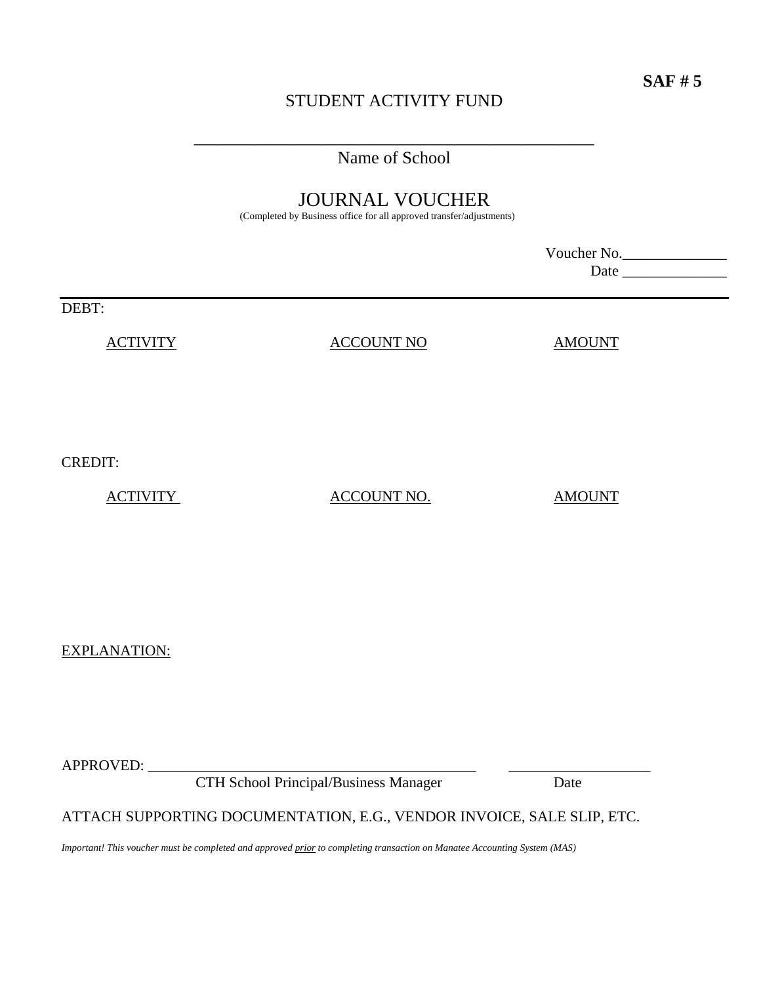# STUDENT ACTIVITY FUND

\_\_\_\_\_\_\_\_\_\_\_\_\_\_\_\_\_\_\_\_\_\_\_\_\_\_\_\_\_\_\_\_\_\_\_\_\_\_\_\_\_\_\_\_\_\_ Name of School

# JOURNAL VOUCHER

(Completed by Business office for all approved transfer/adjustments)

|                 |                   | Voucher No.<br>Date_ |  |
|-----------------|-------------------|----------------------|--|
| DEBT:           |                   |                      |  |
| <b>ACTIVITY</b> | <b>ACCOUNT NO</b> | <b>AMOUNT</b>        |  |
|                 |                   |                      |  |
|                 |                   |                      |  |
| <b>CREDIT:</b>  |                   |                      |  |

ACTIVITY ACCOUNT NO. AMOUNT

EXPLANATION:

APPROVED:

CTH School Principal/Business Manager Date

### ATTACH SUPPORTING DOCUMENTATION, E.G., VENDOR INVOICE, SALE SLIP, ETC.

*Important! This voucher must be completed and approved prior to completing transaction on Manatee Accounting System (MAS)*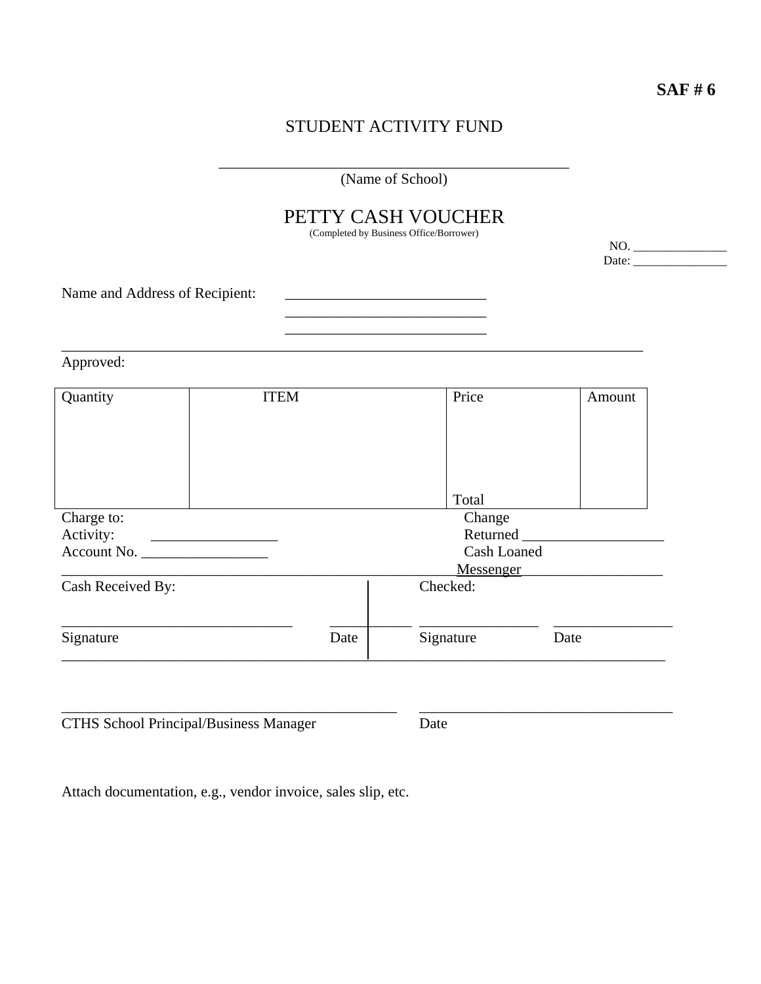**SAF # 6** 

# STUDENT ACTIVITY FUND

|                                |                                                                                                                                                                                                                                      |      | (Name of School)                                                                          |                                                                                                                                                                                                                                |
|--------------------------------|--------------------------------------------------------------------------------------------------------------------------------------------------------------------------------------------------------------------------------------|------|-------------------------------------------------------------------------------------------|--------------------------------------------------------------------------------------------------------------------------------------------------------------------------------------------------------------------------------|
|                                |                                                                                                                                                                                                                                      |      | PETTY CASH VOUCHER<br>(Completed by Business Office/Borrower)                             | NO.                                                                                                                                                                                                                            |
|                                |                                                                                                                                                                                                                                      |      |                                                                                           | Date: $\frac{1}{\sqrt{1-\frac{1}{2}} \cdot \frac{1}{2}}$                                                                                                                                                                       |
| Name and Address of Recipient: |                                                                                                                                                                                                                                      |      | the control of the control of the control of the control of the control of the control of |                                                                                                                                                                                                                                |
| Approved:                      |                                                                                                                                                                                                                                      |      |                                                                                           |                                                                                                                                                                                                                                |
| Quantity                       | <b>ITEM</b>                                                                                                                                                                                                                          |      | Price                                                                                     | Amount                                                                                                                                                                                                                         |
|                                |                                                                                                                                                                                                                                      |      | Total                                                                                     |                                                                                                                                                                                                                                |
| Charge to:                     |                                                                                                                                                                                                                                      |      | Change                                                                                    |                                                                                                                                                                                                                                |
| Activity:                      | <u> 1989 - John Harry Harry Harry Harry Harry Harry Harry Harry Harry Harry Harry Harry Harry Harry Harry Harry Harry Harry Harry Harry Harry Harry Harry Harry Harry Harry Harry Harry Harry Harry Harry Harry Harry Harry Harr</u> |      |                                                                                           | Returned Lawrence and Lawrence and Lawrence and Lawrence and Lawrence and Lawrence and Lawrence and Lawrence and Lawrence and Lawrence and Lawrence and Lawrence and Lawrence and Lawrence and Lawrence and Lawrence and Lawre |
| Account No.                    |                                                                                                                                                                                                                                      |      | <b>Cash Loaned</b>                                                                        |                                                                                                                                                                                                                                |
| Cash Received By:              |                                                                                                                                                                                                                                      |      | Messenger<br>Checked:                                                                     |                                                                                                                                                                                                                                |
| Signature                      |                                                                                                                                                                                                                                      | Date | Signature                                                                                 | Date                                                                                                                                                                                                                           |

Attach documentation, e.g., vendor invoice, sales slip, etc.

CTHS School Principal/Business Manager Date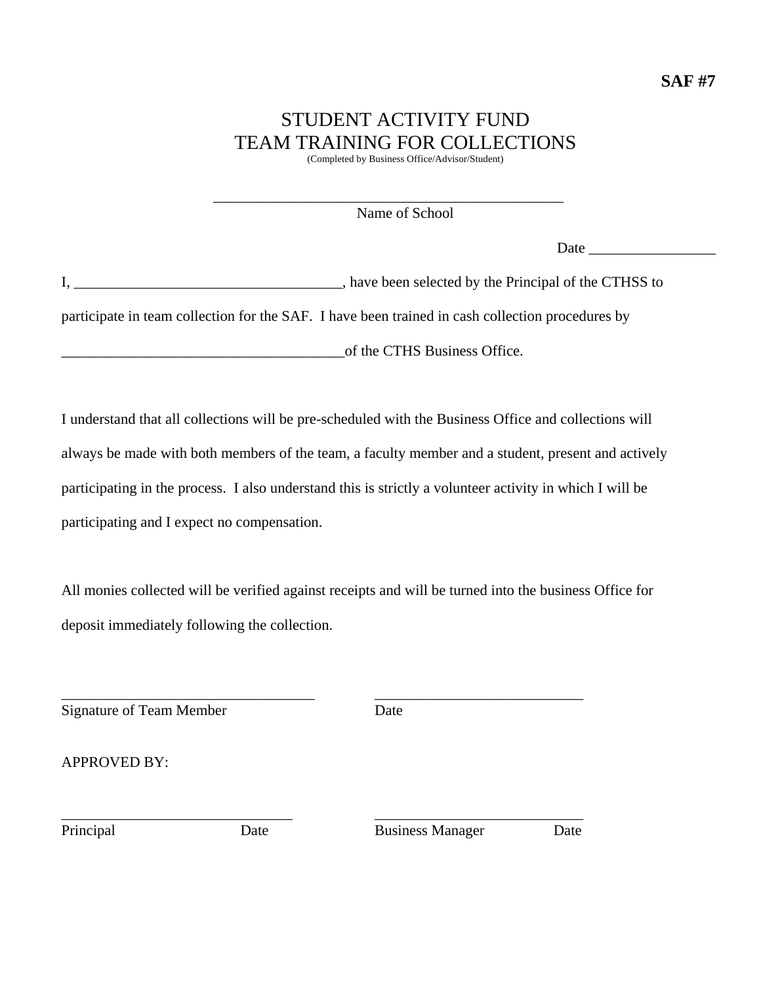# STUDENT ACTIVITY FUND TEAM TRAINING FOR COLLECTIONS

(Completed by Business Office/Advisor/Student)

Name of School

\_\_\_\_\_\_\_\_\_\_\_\_\_\_\_\_\_\_\_\_\_\_\_\_\_\_\_\_\_\_\_\_\_\_\_\_\_\_\_\_\_\_\_\_\_\_\_

Date  $\Box$ 

I, \_\_\_\_\_\_\_\_\_\_\_\_\_\_\_\_\_\_\_\_\_\_\_\_\_\_\_\_\_\_\_\_\_\_\_\_, have been selected by the Principal of the CTHSS to

participate in team collection for the SAF. I have been trained in cash collection procedures by

of the CTHS Business Office.

I understand that all collections will be pre-scheduled with the Business Office and collections will always be made with both members of the team, a faculty member and a student, present and actively participating in the process. I also understand this is strictly a volunteer activity in which I will be participating and I expect no compensation.

All monies collected will be verified against receipts and will be turned into the business Office for deposit immediately following the collection.

\_\_\_\_\_\_\_\_\_\_\_\_\_\_\_\_\_\_\_\_\_\_\_\_\_\_\_\_\_\_\_\_\_\_ \_\_\_\_\_\_\_\_\_\_\_\_\_\_\_\_\_\_\_\_\_\_\_\_\_\_\_\_

Signature of Team Member Date

APPROVED BY:

\_\_\_\_\_\_\_\_\_\_\_\_\_\_\_\_\_\_\_\_\_\_\_\_\_\_\_\_\_\_\_ \_\_\_\_\_\_\_\_\_\_\_\_\_\_\_\_\_\_\_\_\_\_\_\_\_\_\_\_

Principal Date Date Business Manager Date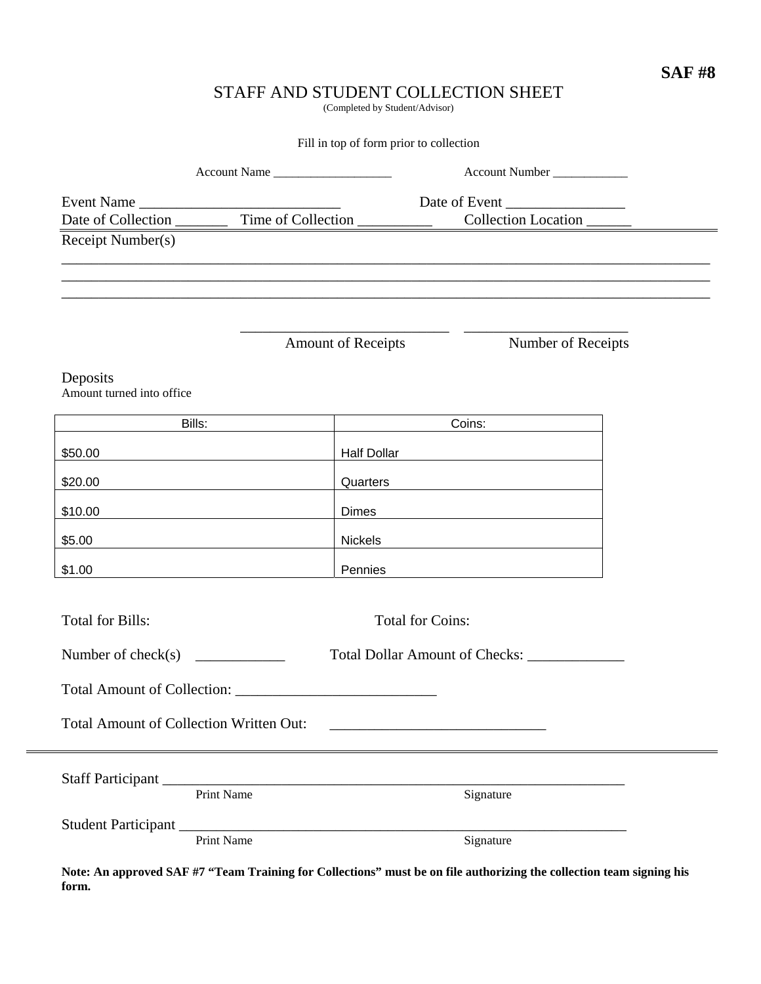### **SAF #8**

### STAFF AND STUDENT COLLECTION SHEET

(Completed by Student/Advisor)

Fill in top of form prior to collection

| Account Name                                         |                   |                           | Account Number                                                                   |  |
|------------------------------------------------------|-------------------|---------------------------|----------------------------------------------------------------------------------|--|
|                                                      | Event Name        |                           |                                                                                  |  |
|                                                      |                   |                           |                                                                                  |  |
| Receipt Number(s)                                    |                   |                           |                                                                                  |  |
|                                                      |                   |                           | ,我们也不能在这里的时候,我们也不能在这里的时候,我们也不能会在这里,我们也不能会不能会不能会不能会不能会不能会不能会。""我们的是我们的,我们也不能会不能会不 |  |
|                                                      |                   |                           |                                                                                  |  |
|                                                      |                   |                           |                                                                                  |  |
|                                                      |                   | <b>Amount of Receipts</b> | Number of Receipts                                                               |  |
| Deposits                                             |                   |                           |                                                                                  |  |
| Amount turned into office                            |                   |                           |                                                                                  |  |
| Bills:                                               |                   |                           | Coins:                                                                           |  |
| \$50.00                                              |                   | <b>Half Dollar</b>        |                                                                                  |  |
| \$20.00                                              |                   | Quarters                  |                                                                                  |  |
| \$10.00                                              |                   | <b>Dimes</b>              |                                                                                  |  |
| \$5.00                                               |                   |                           |                                                                                  |  |
|                                                      |                   | Nickels                   |                                                                                  |  |
| \$1.00                                               |                   | Pennies                   | <u> 1989 - John Stein, Amerikaansk politiker (</u>                               |  |
|                                                      |                   |                           |                                                                                  |  |
| <b>Total for Bills:</b>                              |                   | <b>Total for Coins:</b>   |                                                                                  |  |
| Number of check(s) $\frac{1}{\sqrt{1-\frac{1}{2}}}\$ |                   |                           |                                                                                  |  |
|                                                      |                   |                           |                                                                                  |  |
|                                                      |                   |                           |                                                                                  |  |
| Total Amount of Collection Written Out:              |                   |                           |                                                                                  |  |
|                                                      |                   |                           |                                                                                  |  |
|                                                      | <b>Print Name</b> |                           | Signature                                                                        |  |
|                                                      |                   |                           |                                                                                  |  |
|                                                      | <b>Print Name</b> |                           | Signature                                                                        |  |
|                                                      |                   |                           |                                                                                  |  |

**Note: An approved SAF #7 "Team Training for Collections" must be on file authorizing the collection team signing his form.**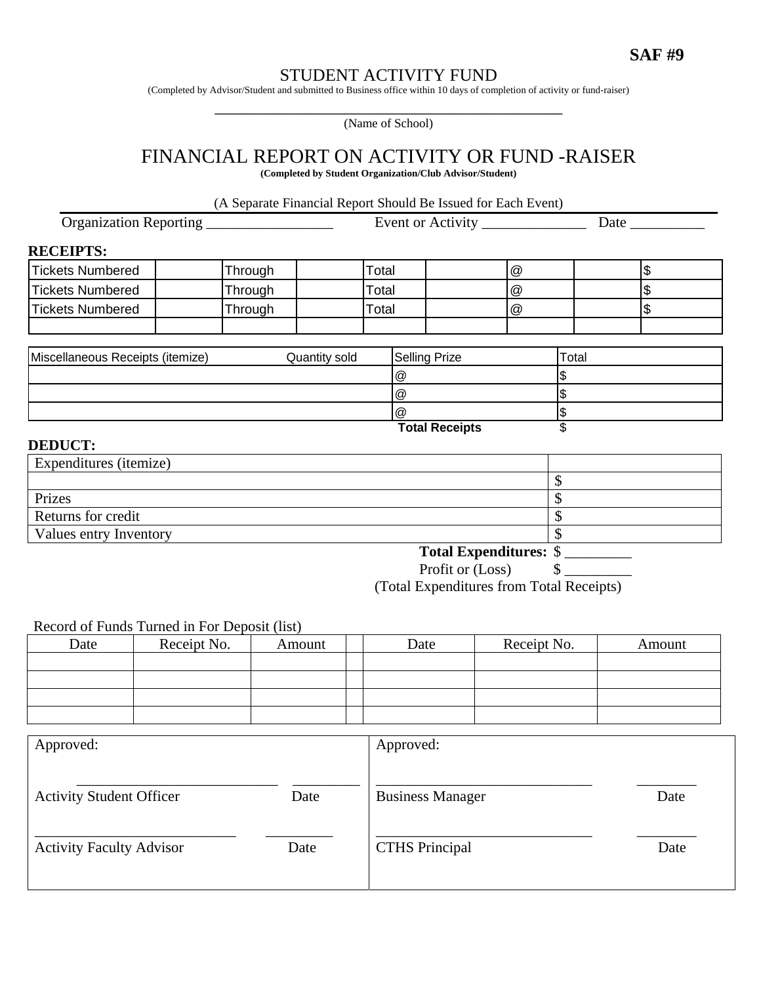### STUDENT ACTIVITY FUND

(Completed by Advisor/Student and submitted to Business office within 10 days of completion of activity or fund-raiser)

(Name of School)

### FINANCIAL REPORT ON ACTIVITY OR FUND -RAISER

**(Completed by Student Organization/Club Advisor/Student)** 

(A Separate Financial Report Should Be Issued for Each Event)

Organization Reporting \_\_\_\_\_\_\_\_\_\_\_\_\_\_\_\_\_ Event or Activity \_\_\_\_\_\_\_\_\_\_\_\_\_\_ Date \_\_\_\_\_\_\_\_\_\_ **RECEIPTS:** Tickets Numbered | Through | Total | a | @ | | Tickets Numbered | Through | Total | a | @ | | | | \$ Tickets Numbered **Through Through Total Total New York** S Miscellaneous Receipts (itemize) **Quantity sold** Selling Prize **Total**  $\circledcirc$   $\circ$   $\circ$   $\circ$  $\circledcirc$   $\circ$   $\circ$   $\circ$ 

#### **DEDUCT:**

| Expenditures ( <i>itemize</i> ) |                               |
|---------------------------------|-------------------------------|
|                                 |                               |
| Prizes                          |                               |
| Returns for credit              |                               |
| Values entry Inventory          |                               |
|                                 | <b>Total Expenditures: \$</b> |

Profit or (Loss) \$ \_\_\_\_\_\_\_\_\_

 $\circledcirc$   $\circ$   $\circ$   $\circ$ **Total Receipts** \$

(Total Expenditures from Total Receipts)

#### Record of Funds Turned in For Deposit (list)

|      | - - - - - - - - -<br>. |        |      |             |        |  |  |
|------|------------------------|--------|------|-------------|--------|--|--|
| Date | Receipt No.            | Amount | Date | Receipt No. | Amount |  |  |
|      |                        |        |      |             |        |  |  |
|      |                        |        |      |             |        |  |  |
|      |                        |        |      |             |        |  |  |
|      |                        |        |      |             |        |  |  |

| Approved:                       |      | Approved:               |      |
|---------------------------------|------|-------------------------|------|
| <b>Activity Student Officer</b> | Date | <b>Business Manager</b> | Date |
| <b>Activity Faculty Advisor</b> | Date | <b>CTHS Principal</b>   | Date |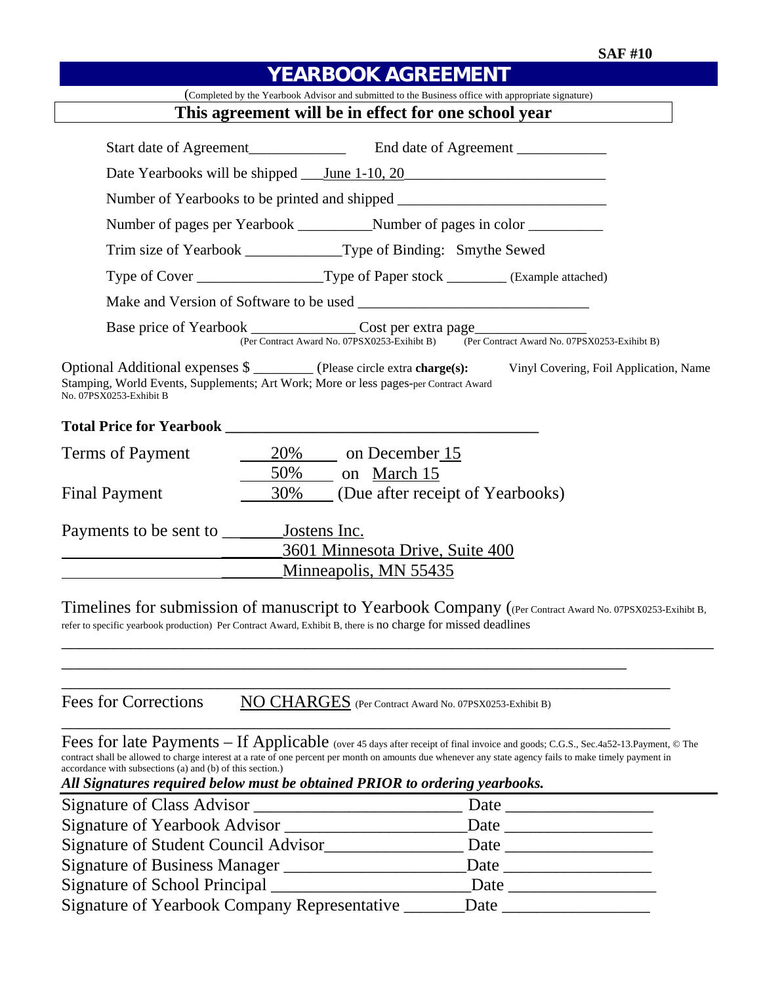| <b>YEARBOOK AGREEMENT</b>                                                                                                                                                                                                                                                                                                                                                                                                                  |
|--------------------------------------------------------------------------------------------------------------------------------------------------------------------------------------------------------------------------------------------------------------------------------------------------------------------------------------------------------------------------------------------------------------------------------------------|
| (Completed by the Yearbook Advisor and submitted to the Business office with appropriate signature)                                                                                                                                                                                                                                                                                                                                        |
| This agreement will be in effect for one school year                                                                                                                                                                                                                                                                                                                                                                                       |
| Start date of Agreement<br><u>End</u> date of Agreement<br><u>End date of Agreement</u>                                                                                                                                                                                                                                                                                                                                                    |
| Date Yearbooks will be shipped <u>June 1-10, 20</u>                                                                                                                                                                                                                                                                                                                                                                                        |
| Number of Yearbooks to be printed and shipped __________________________________                                                                                                                                                                                                                                                                                                                                                           |
|                                                                                                                                                                                                                                                                                                                                                                                                                                            |
| Trim size of Yearbook _______________Type of Binding: Smythe Sewed                                                                                                                                                                                                                                                                                                                                                                         |
| Type of Cover ________________________Type of Paper stock __________ (Example attached)                                                                                                                                                                                                                                                                                                                                                    |
|                                                                                                                                                                                                                                                                                                                                                                                                                                            |
| (Per Contract Award No. 07PSX0253-Exihibt B) (Per Contract Award No. 07PSX0253-Exihibt B)                                                                                                                                                                                                                                                                                                                                                  |
| Optional Additional expenses \$ _________ (Please circle extra charge(s):<br>Vinyl Covering, Foil Application, Name<br>Stamping, World Events, Supplements; Art Work; More or less pages-per Contract Award<br>No. 07PSX0253-Exhibit B                                                                                                                                                                                                     |
|                                                                                                                                                                                                                                                                                                                                                                                                                                            |
| $\frac{20\%}{20\%}$ on December 15<br>Terms of Payment                                                                                                                                                                                                                                                                                                                                                                                     |
| $\frac{50\%}{2}$ on March 15<br>30% (Due after receipt of Yearbooks)<br><b>Final Payment</b>                                                                                                                                                                                                                                                                                                                                               |
|                                                                                                                                                                                                                                                                                                                                                                                                                                            |
| 3601 Minnesota Drive, Suite 400                                                                                                                                                                                                                                                                                                                                                                                                            |
| Minneapolis, MN 55435                                                                                                                                                                                                                                                                                                                                                                                                                      |
| Timelines for submission of manuscript to Yearbook Company ((Per Contract Award No. 07PSX0253-Exihibt B,<br>refer to specific yearbook production) Per Contract Award, Exhibit B, there is no charge for missed deadlines                                                                                                                                                                                                                  |
| <b>Fees for Corrections</b><br>NO CHARGES (Per Contract Award No. 07PSX0253-Exhibit B)                                                                                                                                                                                                                                                                                                                                                     |
| Fees for late Payments - If Applicable (over 45 days after receipt of final invoice and goods; C.G.S., Sec.4a52-13. Payment, © The<br>contract shall be allowed to charge interest at a rate of one percent per month on amounts due whenever any state agency fails to make timely payment in<br>accordance with subsections (a) and (b) of this section.)<br>All Signatures required below must be obtained PRIOR to ordering yearbooks. |
|                                                                                                                                                                                                                                                                                                                                                                                                                                            |
|                                                                                                                                                                                                                                                                                                                                                                                                                                            |
|                                                                                                                                                                                                                                                                                                                                                                                                                                            |
|                                                                                                                                                                                                                                                                                                                                                                                                                                            |
| Signature of School Principal ______________<br>$\text{Date}$                                                                                                                                                                                                                                                                                                                                                                              |
| Signature of Yearbook Company Representative                                                                                                                                                                                                                                                                                                                                                                                               |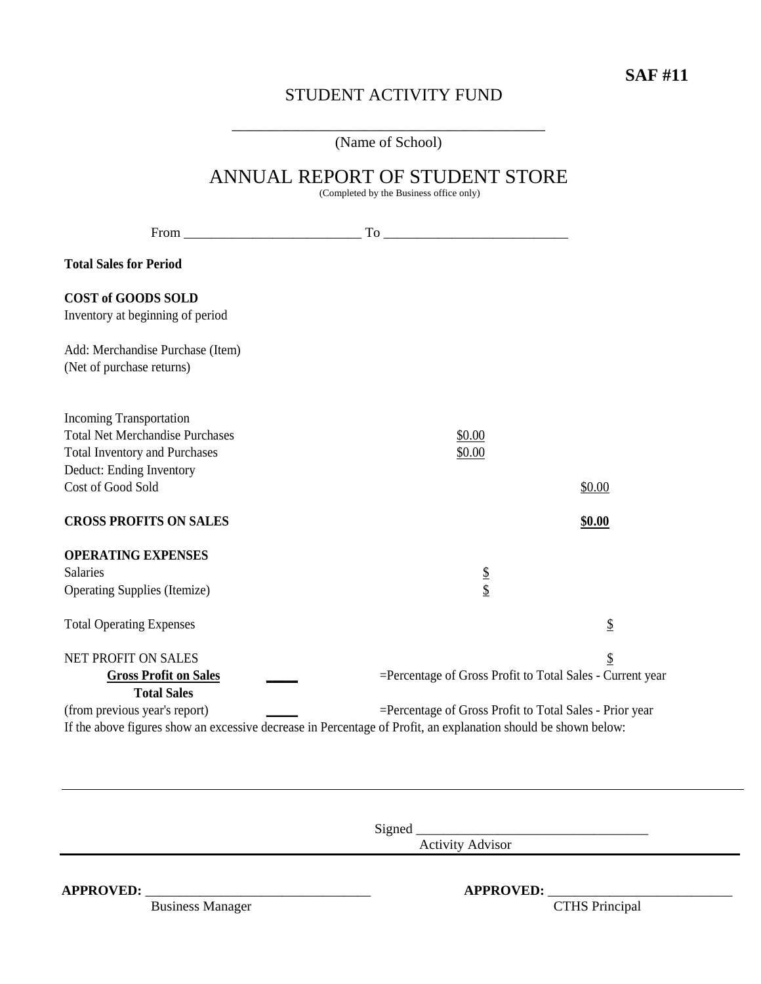# STUDENT ACTIVITY FUND

\_\_\_\_\_\_\_\_\_\_\_\_\_\_\_\_\_\_\_\_\_\_\_\_\_\_\_\_\_\_\_\_\_\_\_\_\_\_\_\_\_\_ (Name of School)

|                                                                                                                                              | ANNUAL REPORT OF STUDENT STORE<br>(Completed by the Business office only)                                                                                                 |        |
|----------------------------------------------------------------------------------------------------------------------------------------------|---------------------------------------------------------------------------------------------------------------------------------------------------------------------------|--------|
|                                                                                                                                              |                                                                                                                                                                           |        |
| <b>Total Sales for Period</b>                                                                                                                |                                                                                                                                                                           |        |
| <b>COST of GOODS SOLD</b><br>Inventory at beginning of period                                                                                |                                                                                                                                                                           |        |
| Add: Merchandise Purchase (Item)<br>(Net of purchase returns)                                                                                |                                                                                                                                                                           |        |
| <b>Incoming Transportation</b><br><b>Total Net Merchandise Purchases</b><br><b>Total Inventory and Purchases</b><br>Deduct: Ending Inventory | \$0.00<br>\$0.00                                                                                                                                                          |        |
| Cost of Good Sold                                                                                                                            |                                                                                                                                                                           | \$0.00 |
| <b>CROSS PROFITS ON SALES</b>                                                                                                                |                                                                                                                                                                           | \$0.00 |
| <b>OPERATING EXPENSES</b><br><b>Salaries</b><br><b>Operating Supplies (Itemize)</b>                                                          | $\frac{1}{3}$                                                                                                                                                             |        |
| <b>Total Operating Expenses</b>                                                                                                              |                                                                                                                                                                           | \$     |
| <b>NET PROFIT ON SALES</b><br><b>Gross Profit on Sales</b><br><b>Total Sales</b>                                                             | =Percentage of Gross Profit to Total Sales - Current year                                                                                                                 | \$     |
| (from previous year's report)                                                                                                                | =Percentage of Gross Profit to Total Sales - Prior year<br>If the above figures show an excessive decrease in Percentage of Profit, an explanation should be shown below: |        |

Signed \_\_\_\_\_\_\_\_\_\_\_\_\_\_\_\_\_\_\_\_\_\_\_\_\_\_\_\_\_\_\_\_\_\_

Activity Advisor

**APPROVED:** Business Manager **APPROVED:** <u>CTHS Principal</u> Business Manager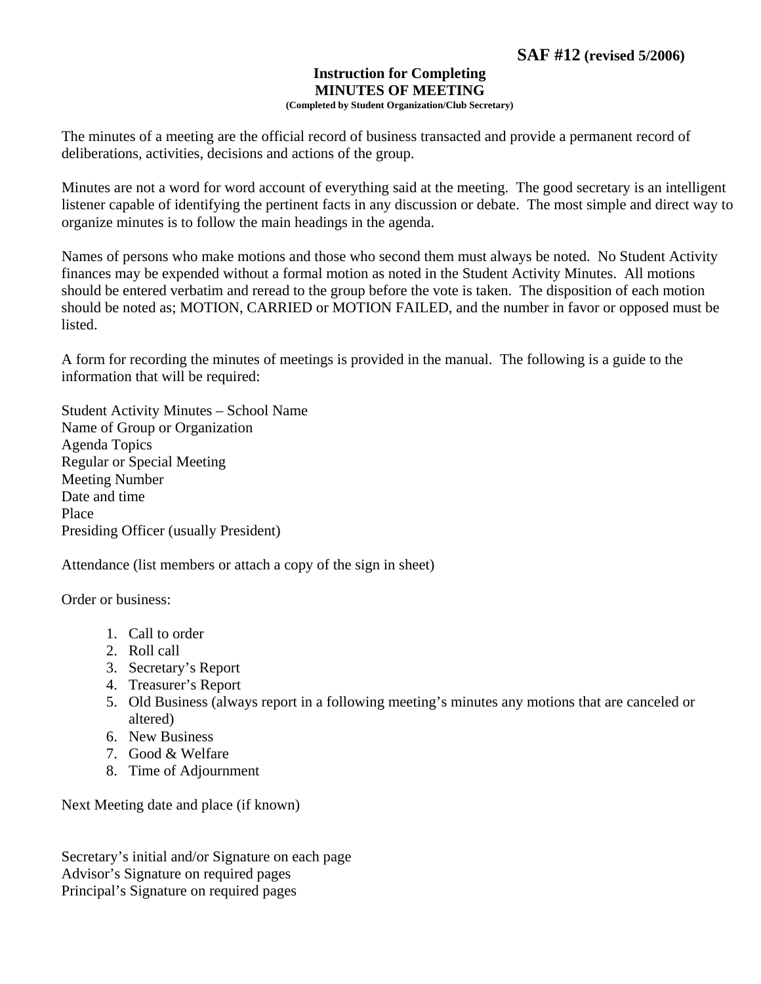# **Instruction for Completing MINUTES OF MEETING**

**(Completed by Student Organization/Club Secretary)** 

The minutes of a meeting are the official record of business transacted and provide a permanent record of deliberations, activities, decisions and actions of the group.

Minutes are not a word for word account of everything said at the meeting. The good secretary is an intelligent listener capable of identifying the pertinent facts in any discussion or debate. The most simple and direct way to organize minutes is to follow the main headings in the agenda.

Names of persons who make motions and those who second them must always be noted. No Student Activity finances may be expended without a formal motion as noted in the Student Activity Minutes. All motions should be entered verbatim and reread to the group before the vote is taken. The disposition of each motion should be noted as; MOTION, CARRIED or MOTION FAILED, and the number in favor or opposed must be listed.

A form for recording the minutes of meetings is provided in the manual. The following is a guide to the information that will be required:

Student Activity Minutes – School Name Name of Group or Organization Agenda Topics Regular or Special Meeting Meeting Number Date and time Place Presiding Officer (usually President)

Attendance (list members or attach a copy of the sign in sheet)

Order or business:

- 1. Call to order
- 2. Roll call
- 3. Secretary's Report
- 4. Treasurer's Report
- 5. Old Business (always report in a following meeting's minutes any motions that are canceled or altered)
- 6. New Business
- 7. Good & Welfare
- 8. Time of Adjournment

Next Meeting date and place (if known)

Secretary's initial and/or Signature on each page Advisor's Signature on required pages Principal's Signature on required pages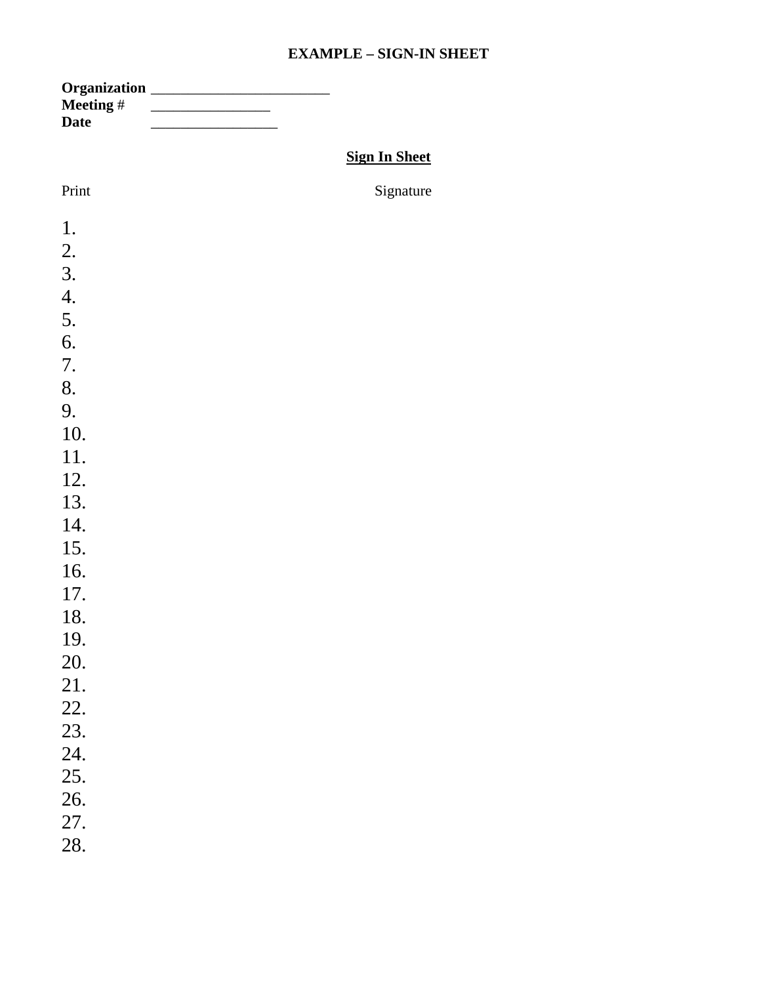### **EXAMPLE – SIGN-IN SHEET**

| <b>Date</b><br><b>Sign In Sheet</b><br>Print<br>Signature<br>1.<br>2.<br>3.<br>4.<br>5.<br>6.<br>7.<br>8.<br>9.<br>10.<br>11.<br>12.<br>13.<br>14.<br>15.<br>16.<br>17.<br>18.<br>19.<br>20.<br>21.<br>22.<br>23.<br>24.<br>25.<br>26.<br>27.<br>28. |           |  |
|------------------------------------------------------------------------------------------------------------------------------------------------------------------------------------------------------------------------------------------------------|-----------|--|
|                                                                                                                                                                                                                                                      | Meeting # |  |
|                                                                                                                                                                                                                                                      |           |  |
|                                                                                                                                                                                                                                                      |           |  |
|                                                                                                                                                                                                                                                      |           |  |
|                                                                                                                                                                                                                                                      |           |  |
|                                                                                                                                                                                                                                                      |           |  |
|                                                                                                                                                                                                                                                      |           |  |
|                                                                                                                                                                                                                                                      |           |  |
|                                                                                                                                                                                                                                                      |           |  |
|                                                                                                                                                                                                                                                      |           |  |
|                                                                                                                                                                                                                                                      |           |  |
|                                                                                                                                                                                                                                                      |           |  |
|                                                                                                                                                                                                                                                      |           |  |
|                                                                                                                                                                                                                                                      |           |  |
|                                                                                                                                                                                                                                                      |           |  |
|                                                                                                                                                                                                                                                      |           |  |
|                                                                                                                                                                                                                                                      |           |  |
|                                                                                                                                                                                                                                                      |           |  |
|                                                                                                                                                                                                                                                      |           |  |
|                                                                                                                                                                                                                                                      |           |  |
|                                                                                                                                                                                                                                                      |           |  |
|                                                                                                                                                                                                                                                      |           |  |
|                                                                                                                                                                                                                                                      |           |  |
|                                                                                                                                                                                                                                                      |           |  |
|                                                                                                                                                                                                                                                      |           |  |
|                                                                                                                                                                                                                                                      |           |  |
|                                                                                                                                                                                                                                                      |           |  |
|                                                                                                                                                                                                                                                      |           |  |
|                                                                                                                                                                                                                                                      |           |  |
|                                                                                                                                                                                                                                                      |           |  |
|                                                                                                                                                                                                                                                      |           |  |
|                                                                                                                                                                                                                                                      |           |  |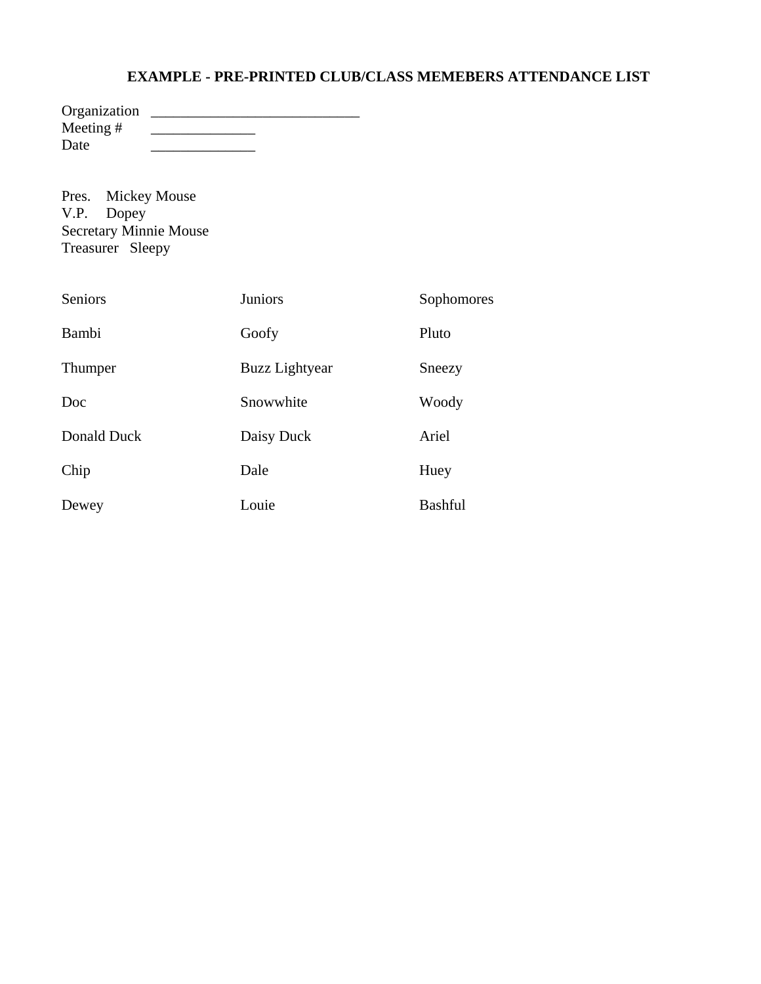### **EXAMPLE - PRE-PRINTED CLUB/CLASS MEMEBERS ATTENDANCE LIST**

| Organization |  |
|--------------|--|
| Meeting $#$  |  |
| Date         |  |

Pres. Mickey Mouse V.P. Dopey Secretary Minnie Mouse Treasurer Sleepy

| Seniors     | <b>Juniors</b>        | Sophomores     |
|-------------|-----------------------|----------------|
| Bambi       | Goofy                 | Pluto          |
| Thumper     | <b>Buzz Lightyear</b> | Sneezy         |
| Doc         | Snowwhite             | Woody          |
| Donald Duck | Daisy Duck            | Ariel          |
| Chip        | Dale                  | Huey           |
| Dewey       | Louie                 | <b>Bashful</b> |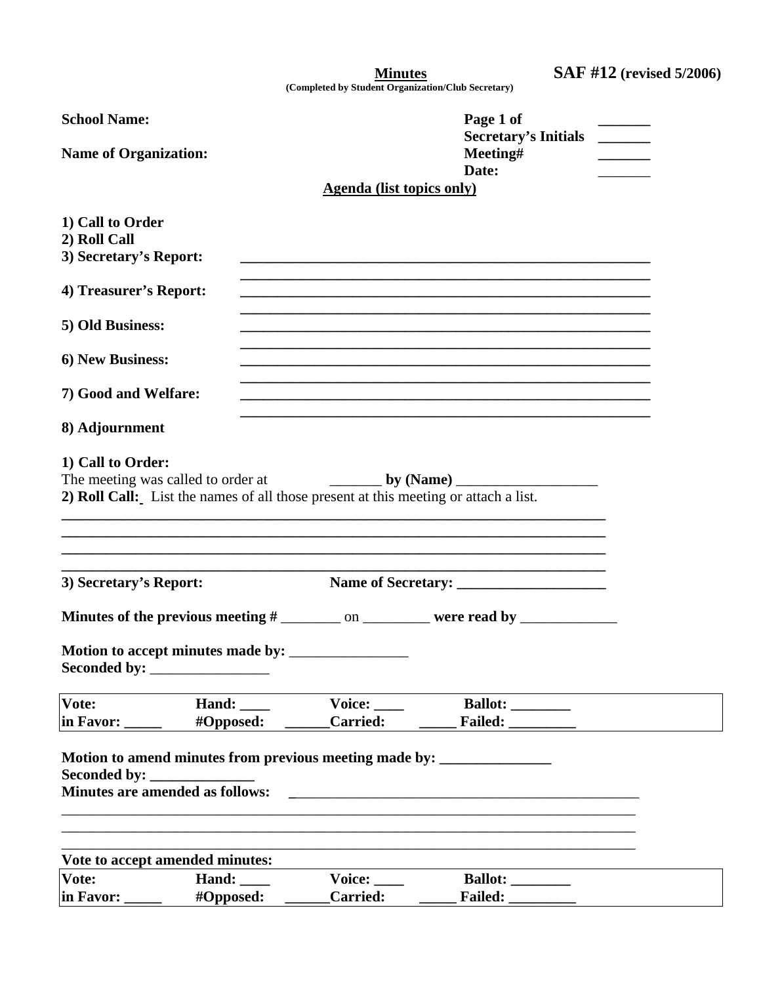| <b>Minutes</b> | <b>SAF #12</b> (revised 5/2006) |
|----------------|---------------------------------|
|                |                                 |

**(Completed by Student Organization/Club Secretary)** 

| <b>School Name:</b><br><b>Name of Organization:</b>        |                                                                                                                             |                                  | Page 1 of<br><b>Secretary's Initials</b><br>Meeting#<br>Date:                                                                                                                       |  |
|------------------------------------------------------------|-----------------------------------------------------------------------------------------------------------------------------|----------------------------------|-------------------------------------------------------------------------------------------------------------------------------------------------------------------------------------|--|
|                                                            |                                                                                                                             | <b>Agenda</b> (list topics only) |                                                                                                                                                                                     |  |
| 1) Call to Order<br>2) Roll Call<br>3) Secretary's Report: |                                                                                                                             |                                  |                                                                                                                                                                                     |  |
| 4) Treasurer's Report:                                     |                                                                                                                             |                                  |                                                                                                                                                                                     |  |
| 5) Old Business:                                           |                                                                                                                             |                                  | <u> 1989 - Johann Stoff, amerikansk politiker (d. 1989)</u>                                                                                                                         |  |
| 6) New Business:                                           |                                                                                                                             |                                  | <u> 1989 - Johann John Harry Harry Harry Harry Harry Harry Harry Harry Harry Harry Harry Harry Harry Harry Harry</u><br><u> 1989 - Johann Stoff, amerikansk politiker (d. 1989)</u> |  |
| 7) Good and Welfare:                                       |                                                                                                                             |                                  |                                                                                                                                                                                     |  |
| 8) Adjournment                                             |                                                                                                                             |                                  | <u> 1989 - Johann Stoff, amerikansk politiker (d. 1989)</u>                                                                                                                         |  |
| 1) Call to Order:                                          | 2) Roll Call: List the names of all those present at this meeting or attach a list.                                         |                                  | ,我们也不能在这里的时候,我们也不能在这里的时候,我们也不能会在这里的时候,我们也不能会在这里的时候,我们也不能会在这里的时候,我们也不能会在这里的时候,我们也不                                                                                                   |  |
| 3) Secretary's Report:                                     |                                                                                                                             |                                  |                                                                                                                                                                                     |  |
|                                                            |                                                                                                                             |                                  |                                                                                                                                                                                     |  |
|                                                            | Motion to accept minutes made by: ______                                                                                    |                                  |                                                                                                                                                                                     |  |
| Vote:                                                      | Hand: $\_\_\_\_\$                                                                                                           | Voice:                           | Ballot: <u>_______________</u>                                                                                                                                                      |  |
| in Favor:                                                  | #Opposed:                                                                                                                   | <b>Carried:</b>                  | Failed: ___________                                                                                                                                                                 |  |
| Seconded by:                                               | Motion to amend minutes from previous meeting made by: __________________________<br><b>Minutes are amended as follows:</b> |                                  | <u> 1980 - Jan Sterling von Berling von Berling von Berling von Berling von Berling von Berling von Berling von B</u>                                                               |  |
|                                                            | Vote to accept amended minutes:                                                                                             |                                  |                                                                                                                                                                                     |  |
| Vote:<br>in Favor:                                         | Hand: $\_\_\_\_\$<br>#Opposed:                                                                                              | Voice:<br><b>Carried:</b>        | Ballot: _________<br>Failed:                                                                                                                                                        |  |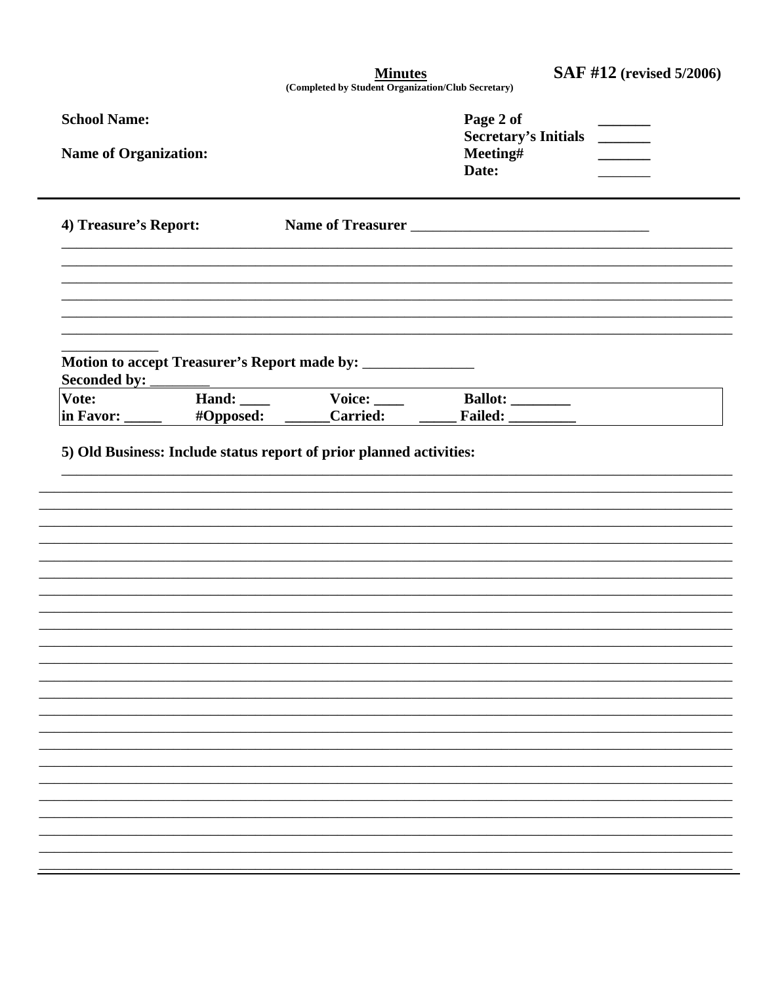| <b>SAF #12</b> (revised 5/2006) |  |  |
|---------------------------------|--|--|
|---------------------------------|--|--|

 $\underbrace{\textbf{Minutes}}_{\textbf{(Completed by Student Organization/Club Secretary)}}$ 

| <b>School Name:</b><br><b>Name of Organization:</b> |           | Page 2 of<br><b>Secretary's Initials</b><br>$\mathcal{L}^{\text{max}}_{\text{max}}$<br>Meeting#<br>Date: |  |
|-----------------------------------------------------|-----------|----------------------------------------------------------------------------------------------------------|--|
| 4) Treasure's Report:                               |           |                                                                                                          |  |
|                                                     |           |                                                                                                          |  |
| Vote:<br>in Favor: _____                            | #Opposed: | Hand: Voice: Ballot: Mand:                                                                               |  |
|                                                     |           |                                                                                                          |  |
|                                                     |           |                                                                                                          |  |
|                                                     |           |                                                                                                          |  |
|                                                     |           |                                                                                                          |  |
|                                                     |           |                                                                                                          |  |
|                                                     |           |                                                                                                          |  |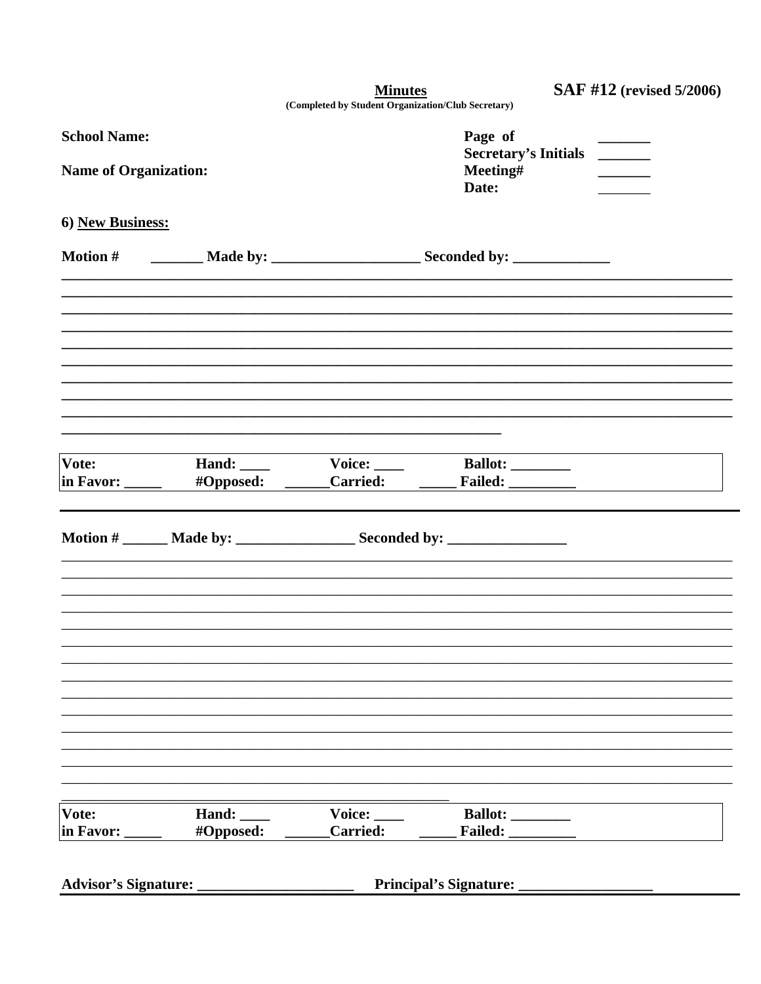**Minutes** 

SAF #12 (revised 5/2006)

| (Completed by Student Organization/Club Secretary) |
|----------------------------------------------------|
|                                                    |

| <b>School Name:</b><br><b>Name of Organization:</b><br>6) New Business: |                                  | Page of<br>Secretary's Initials<br>Meeting#<br>Date: |                                                                                   |  |
|-------------------------------------------------------------------------|----------------------------------|------------------------------------------------------|-----------------------------------------------------------------------------------|--|
|                                                                         |                                  |                                                      |                                                                                   |  |
|                                                                         |                                  |                                                      | Motion # _________ Made by: __________________________ Seconded by: _____________ |  |
|                                                                         |                                  |                                                      |                                                                                   |  |
| Vote:                                                                   | in Favor: ______ #Opposed: _____ | Hand: Voice: Vertext Mand:                           | Ballot:                                                                           |  |
|                                                                         |                                  |                                                      |                                                                                   |  |
|                                                                         |                                  |                                                      |                                                                                   |  |
|                                                                         |                                  |                                                      |                                                                                   |  |
|                                                                         |                                  |                                                      |                                                                                   |  |
| Vote:<br>in Favor: _                                                    | Hand:<br>#Opposed:               | Voice:<br><b>Carried:</b>                            | Ballot: _________<br>Failed: __________                                           |  |
|                                                                         |                                  |                                                      |                                                                                   |  |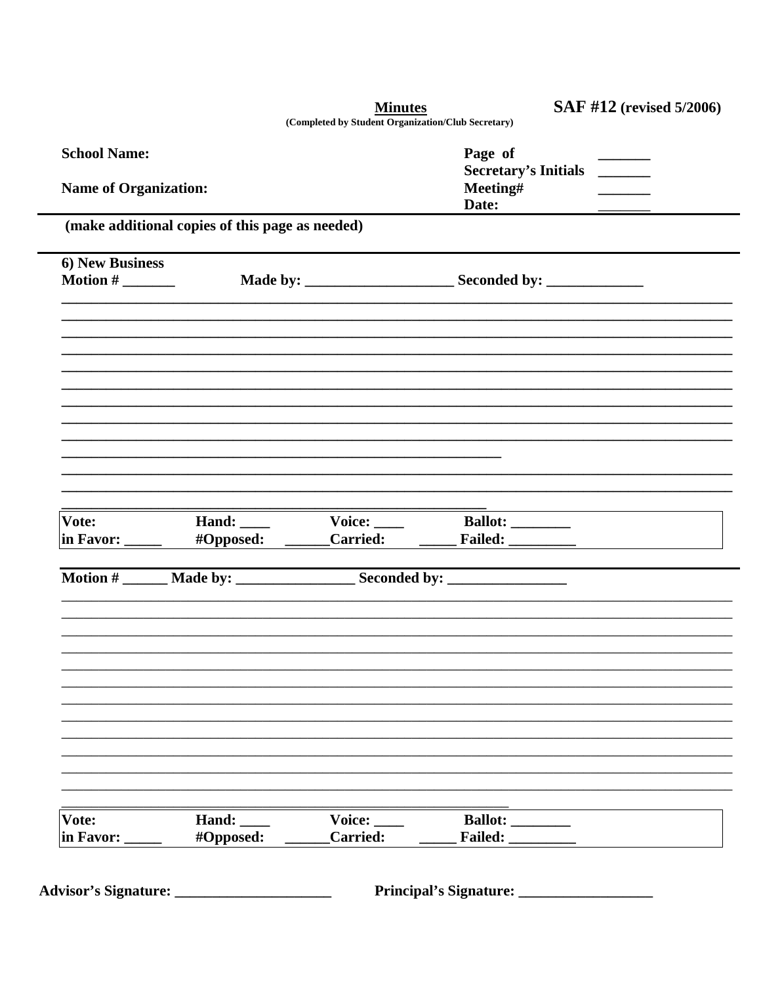|                                                                                                                                 |                                                 | <b>Minutes</b><br>(Completed by Student Organization/Club Secretary) |                                         | <b>SAF #12</b> (revised 5/2006)                                                                                                                                                                                                |
|---------------------------------------------------------------------------------------------------------------------------------|-------------------------------------------------|----------------------------------------------------------------------|-----------------------------------------|--------------------------------------------------------------------------------------------------------------------------------------------------------------------------------------------------------------------------------|
| <b>School Name:</b>                                                                                                             |                                                 |                                                                      | Page of<br>Secretary's Initials _______ |                                                                                                                                                                                                                                |
| <b>Name of Organization:</b>                                                                                                    |                                                 |                                                                      | Meeting#<br>Date:                       |                                                                                                                                                                                                                                |
|                                                                                                                                 | (make additional copies of this page as needed) |                                                                      |                                         |                                                                                                                                                                                                                                |
| 6) New Business                                                                                                                 |                                                 |                                                                      |                                         |                                                                                                                                                                                                                                |
| Motion # $\frac{1}{\sqrt{1-\frac{1}{2}}}\frac{1}{\sqrt{1-\frac{1}{2}}\sqrt{1-\frac{1}{2}}\left(\frac{1}{2}-\frac{1}{2}\right)}$ |                                                 |                                                                      |                                         |                                                                                                                                                                                                                                |
|                                                                                                                                 |                                                 |                                                                      |                                         |                                                                                                                                                                                                                                |
|                                                                                                                                 |                                                 |                                                                      |                                         |                                                                                                                                                                                                                                |
|                                                                                                                                 |                                                 |                                                                      |                                         |                                                                                                                                                                                                                                |
|                                                                                                                                 |                                                 |                                                                      |                                         |                                                                                                                                                                                                                                |
|                                                                                                                                 |                                                 |                                                                      |                                         |                                                                                                                                                                                                                                |
|                                                                                                                                 |                                                 |                                                                      |                                         |                                                                                                                                                                                                                                |
|                                                                                                                                 |                                                 |                                                                      |                                         |                                                                                                                                                                                                                                |
| Vote:<br>in Favor: _____                                                                                                        |                                                 | Hand: Voice: Ballot:                                                 |                                         | #Opposed: Carried: Failed: The Carrier of Section 2.5 and Section 2.5 and Section 2.5 and Section 2.5 and Section 2.5 and Section 2.5 and Section 2.5 and Section 2.5 and Section 2.5 and Section 2.5 and Section 2.5 and Sect |
|                                                                                                                                 |                                                 |                                                                      |                                         |                                                                                                                                                                                                                                |
|                                                                                                                                 |                                                 |                                                                      |                                         |                                                                                                                                                                                                                                |
|                                                                                                                                 |                                                 |                                                                      |                                         |                                                                                                                                                                                                                                |
|                                                                                                                                 |                                                 |                                                                      |                                         |                                                                                                                                                                                                                                |
|                                                                                                                                 |                                                 |                                                                      |                                         |                                                                                                                                                                                                                                |
|                                                                                                                                 |                                                 |                                                                      |                                         |                                                                                                                                                                                                                                |
|                                                                                                                                 |                                                 |                                                                      |                                         |                                                                                                                                                                                                                                |
|                                                                                                                                 |                                                 |                                                                      |                                         |                                                                                                                                                                                                                                |
|                                                                                                                                 |                                                 |                                                                      |                                         |                                                                                                                                                                                                                                |
|                                                                                                                                 |                                                 |                                                                      |                                         |                                                                                                                                                                                                                                |
| Vote:<br>in Favor:                                                                                                              | Hand: $\_\_$<br>#Opposed:                       | Voice:<br><b>Carried:</b>                                            | Ballot: _________<br>Failed:            |                                                                                                                                                                                                                                |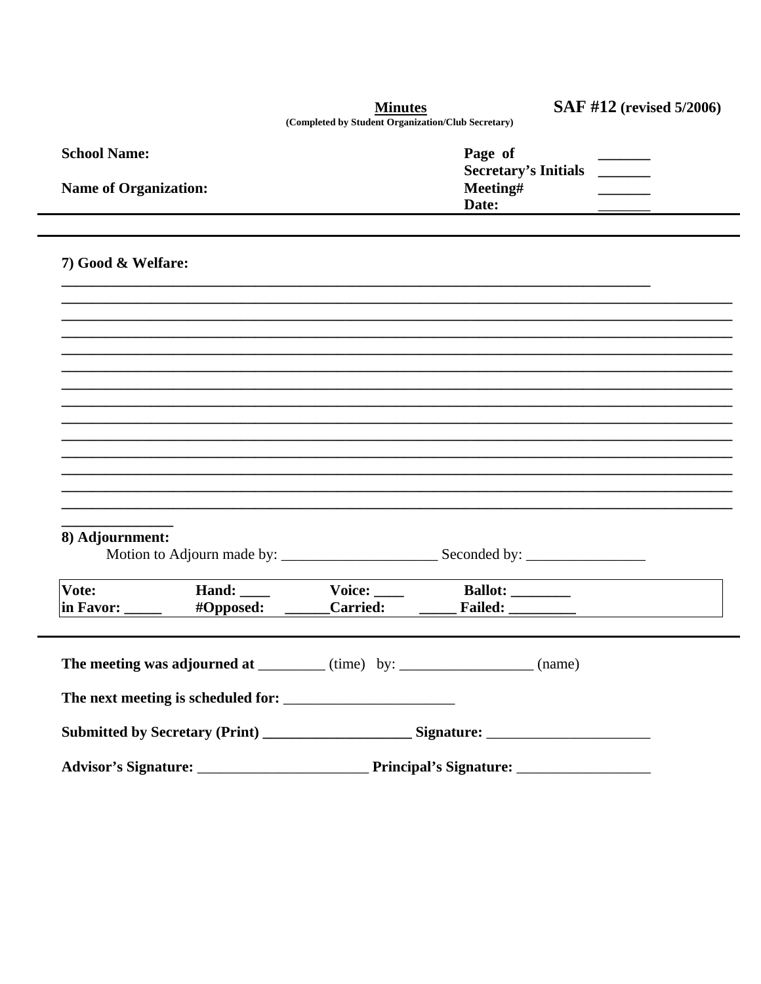|                                                                                                      |           | <b>Minutes</b>                                     |                          | <b>SAF #12</b> (revised 5/2006) |  |
|------------------------------------------------------------------------------------------------------|-----------|----------------------------------------------------|--------------------------|---------------------------------|--|
|                                                                                                      |           | (Completed by Student Organization/Club Secretary) |                          |                                 |  |
| <b>School Name:</b>                                                                                  |           |                                                    | Page of                  |                                 |  |
| <b>Name of Organization:</b>                                                                         |           |                                                    | Meeting#                 | Secretary's Initials            |  |
|                                                                                                      |           |                                                    | Date:                    |                                 |  |
|                                                                                                      |           |                                                    |                          |                                 |  |
| 7) Good & Welfare:                                                                                   |           |                                                    |                          |                                 |  |
|                                                                                                      |           |                                                    |                          |                                 |  |
|                                                                                                      |           |                                                    |                          |                                 |  |
|                                                                                                      |           |                                                    |                          |                                 |  |
|                                                                                                      |           |                                                    |                          |                                 |  |
|                                                                                                      |           |                                                    |                          |                                 |  |
|                                                                                                      |           |                                                    |                          |                                 |  |
|                                                                                                      |           |                                                    |                          |                                 |  |
|                                                                                                      |           |                                                    |                          |                                 |  |
|                                                                                                      |           |                                                    |                          |                                 |  |
|                                                                                                      |           |                                                    |                          |                                 |  |
|                                                                                                      |           |                                                    |                          |                                 |  |
| 8) Adjournment:                                                                                      |           |                                                    |                          |                                 |  |
|                                                                                                      |           |                                                    |                          |                                 |  |
| Vote:                                                                                                |           | Hand: Voice: Ballot:                               |                          |                                 |  |
| $\ln$ Favor: $\_\_$                                                                                  | #Opposed: | <b>Carried:</b>                                    | <b>Failed:</b> _________ |                                 |  |
|                                                                                                      |           |                                                    |                          |                                 |  |
| The meeting was adjourned at _________ (time) by: _________________ (name)                           |           |                                                    |                          |                                 |  |
|                                                                                                      |           |                                                    |                          |                                 |  |
| Submitted by Secretary (Print) __________________________Signature: ________________________________ |           |                                                    |                          |                                 |  |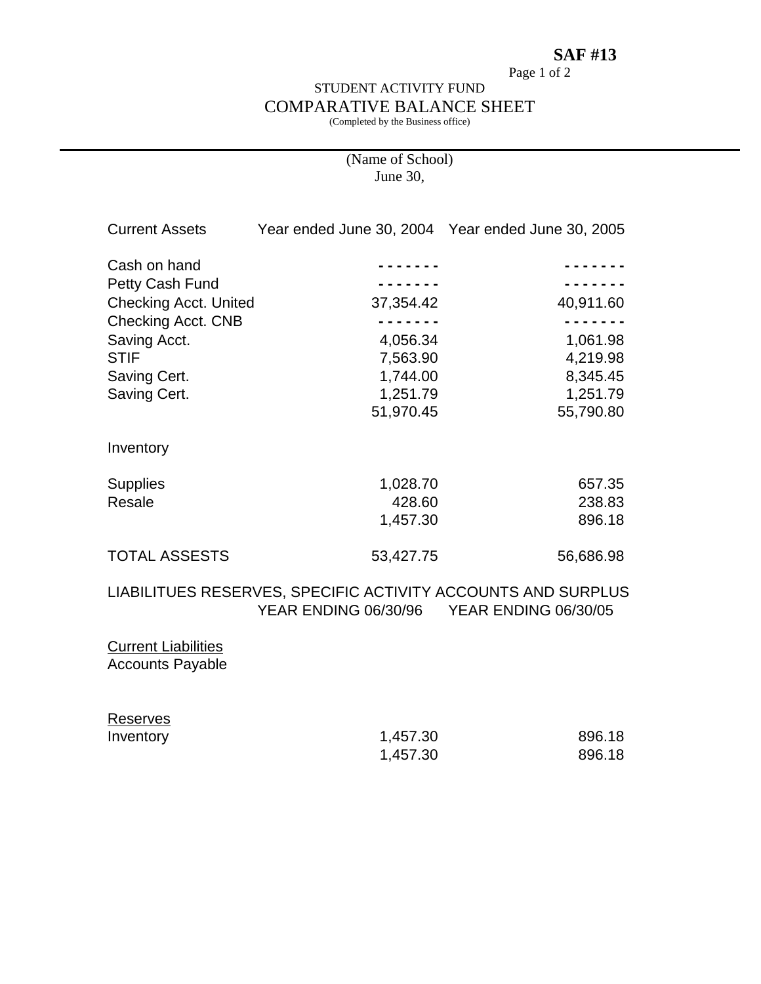### **SAF #13**

Page 1 of 2

### STUDENT ACTIVITY FUND COMPARATIVE BALANCE SHEET

(Completed by the Business office)

### (Name of School) June 30,

| <b>Current Assets</b>        |                                                              | Year ended June 30, 2004 Year ended June 30, 2005 |
|------------------------------|--------------------------------------------------------------|---------------------------------------------------|
| Cash on hand                 |                                                              |                                                   |
| Petty Cash Fund              |                                                              |                                                   |
| <b>Checking Acct. United</b> | 37,354.42                                                    | 40,911.60                                         |
| Checking Acct. CNB           |                                                              |                                                   |
| Saving Acct.                 | 4,056.34                                                     | 1,061.98                                          |
| <b>STIF</b>                  | 7,563.90                                                     | 4,219.98                                          |
| Saving Cert.                 | 1,744.00                                                     | 8,345.45                                          |
| Saving Cert.                 | 1,251.79                                                     | 1,251.79                                          |
|                              | 51,970.45                                                    | 55,790.80                                         |
| Inventory                    |                                                              |                                                   |
| <b>Supplies</b>              | 1,028.70                                                     | 657.35                                            |
| Resale                       | 428.60                                                       | 238.83                                            |
|                              | 1,457.30                                                     | 896.18                                            |
| <b>TOTAL ASSESTS</b>         | 53,427.75                                                    | 56,686.98                                         |
|                              | LIABILITUES RESERVES, SPECIFIC ACTIVITY ACCOUNTS AND SURPLUS |                                                   |

# YEAR ENDING 06/30/96 YEAR ENDING 06/30/05

### **Current Liabilities** Accounts Payable

| Reserves  |          |        |
|-----------|----------|--------|
| Inventory | 1,457.30 | 896.18 |
|           | 1,457.30 | 896.18 |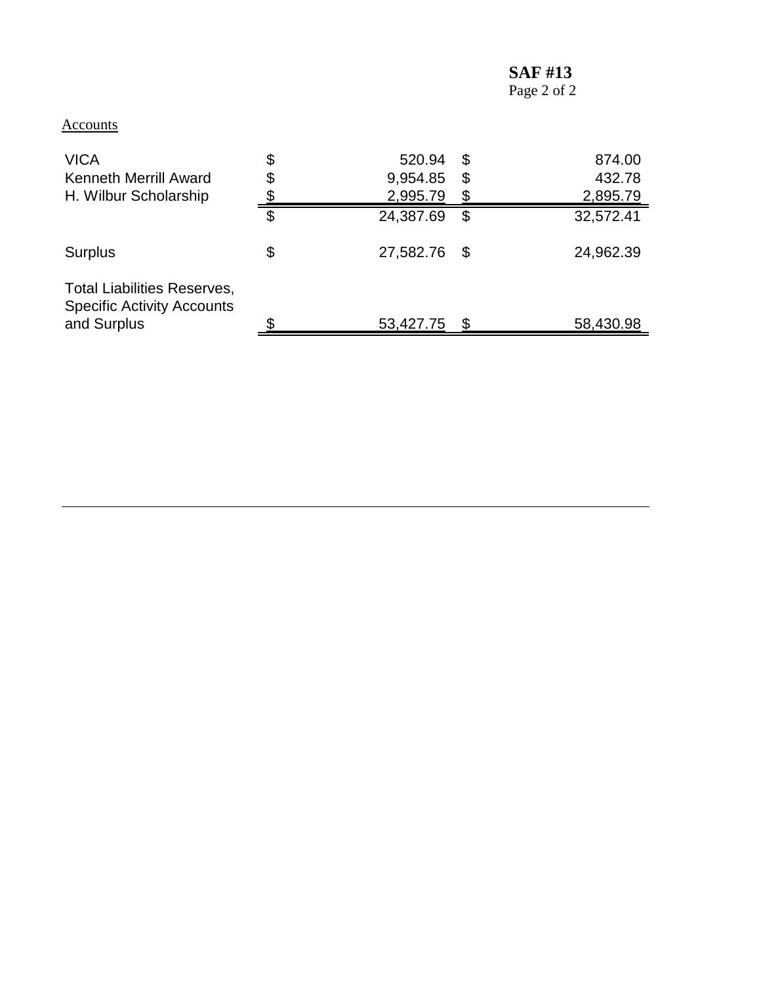# **SAF #13**

### **Accounts**

| <b>VICA</b><br><b>Kenneth Merrill Award</b><br>H. Wilbur Scholarship                   | \$<br>\$ | 520.94<br>9,954.85<br>2,995.79 | \$<br>\$ | 874.00<br>432.78<br>2,895.79 |
|----------------------------------------------------------------------------------------|----------|--------------------------------|----------|------------------------------|
|                                                                                        | \$       | 24,387.69                      | \$       | 32,572.41                    |
| <b>Surplus</b>                                                                         | \$       | 27,582.76                      | \$       | 24,962.39                    |
| <b>Total Liabilities Reserves,</b><br><b>Specific Activity Accounts</b><br>and Surplus |          | 53,427.75                      | S        | 58,430.98                    |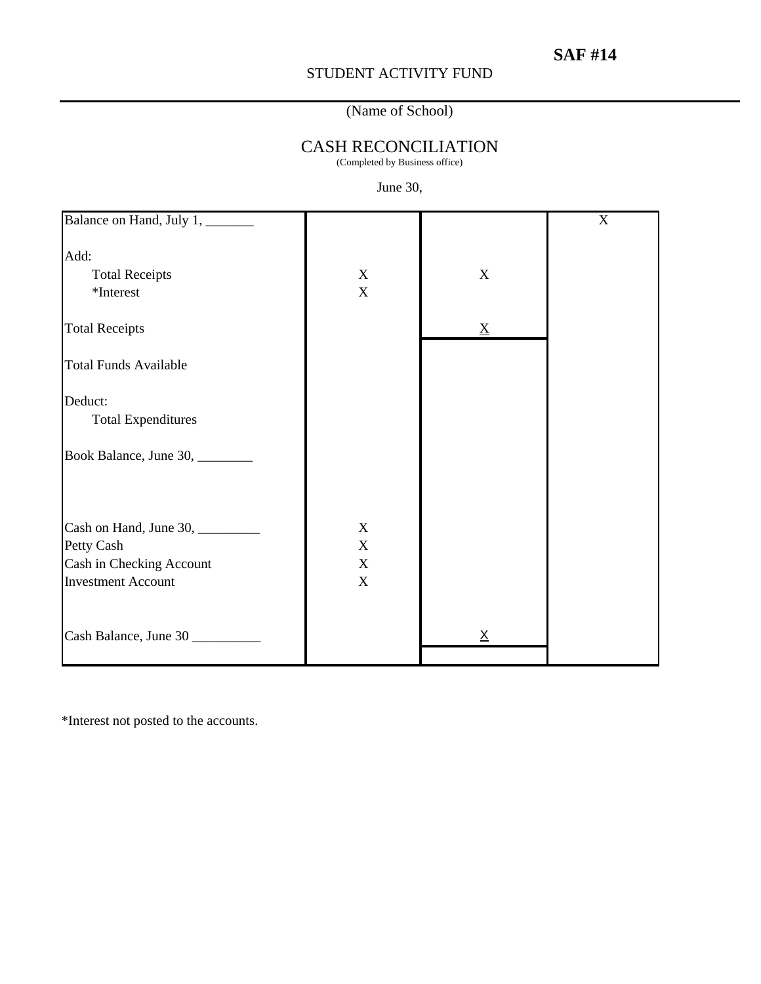### STUDENT ACTIVITY FUND

### (Name of School)

# CASH RECONCILIATION

(Completed by Business office)

### June 30,

| Balance on Hand, July 1, ______                                                                        |                                                                        |                 | $\mathbf X$ |
|--------------------------------------------------------------------------------------------------------|------------------------------------------------------------------------|-----------------|-------------|
| Add:<br><b>Total Receipts</b><br>*Interest                                                             | X<br>$\mathbf X$                                                       | $\mathbf X$     |             |
| <b>Total Receipts</b>                                                                                  |                                                                        | $\mathbf{X}$    |             |
| <b>Total Funds Available</b>                                                                           |                                                                        |                 |             |
| Deduct:<br><b>Total Expenditures</b><br>Book Balance, June 30, ________                                |                                                                        |                 |             |
| Cash on Hand, June 30, ________<br>Petty Cash<br>Cash in Checking Account<br><b>Investment Account</b> | $\mathbf X$<br>$\mathbf X$<br>$\boldsymbol{\mathrm{X}}$<br>$\mathbf X$ |                 |             |
| Cash Balance, June 30                                                                                  |                                                                        | $\underline{X}$ |             |

\*Interest not posted to the accounts.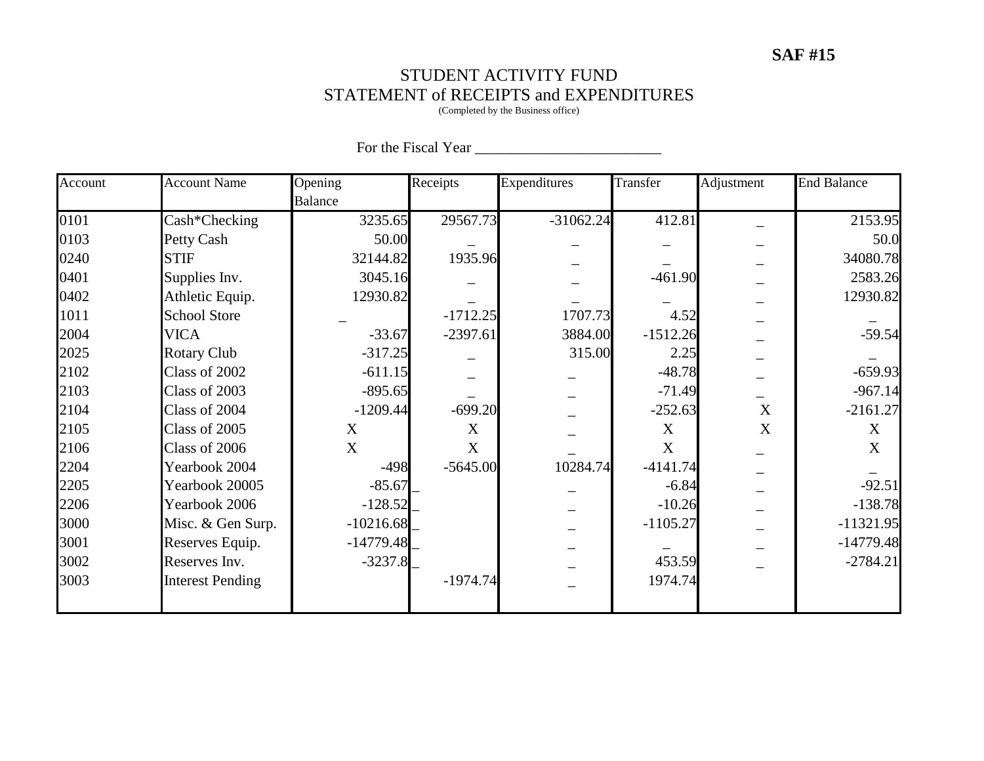# **SAF #15**

### STUDENT ACTIVITY FUND STATEMENT of RECEIPTS and EXPENDITURES

(Completed by the Business office)

| Account | <b>Account Name</b>     | Opening        | Receipts   | Expenditures | Transfer   | Adjustment       | <b>End Balance</b> |
|---------|-------------------------|----------------|------------|--------------|------------|------------------|--------------------|
|         |                         | <b>Balance</b> |            |              |            |                  |                    |
| 0101    | Cash*Checking           | 3235.65        | 29567.73   | $-31062.24$  | 412.81     |                  | 2153.95            |
| 0103    | Petty Cash              | 50.00          |            |              |            |                  | 50.0               |
| 0240    | <b>STIF</b>             | 32144.82       | 1935.96    |              |            |                  | 34080.78           |
| 0401    | Supplies Inv.           | 3045.16        |            |              | $-461.90$  |                  | 2583.26            |
| 0402    | Athletic Equip.         | 12930.82       |            |              |            |                  | 12930.82           |
| 1011    | <b>School Store</b>     |                | $-1712.25$ | 1707.73      | 4.52       |                  |                    |
| 2004    | <b>VICA</b>             | $-33.67$       | $-2397.61$ | 3884.00      | $-1512.26$ |                  | $-59.54$           |
| 2025    | <b>Rotary Club</b>      | $-317.25$      |            | 315.00       | 2.25       |                  |                    |
| 2102    | Class of 2002           | $-611.15$      |            |              | $-48.78$   |                  | $-659.93$          |
| 2103    | Class of 2003           | $-895.65$      |            |              | $-71.49$   |                  | $-967.14$          |
| 2104    | Class of 2004           | $-1209.44$     | $-699.20$  |              | $-252.63$  | $\boldsymbol{X}$ | $-2161.27$         |
| 2105    | Class of 2005           | X              | X          |              | X          | X                | X                  |
| 2106    | Class of 2006           | X              | X          |              | X          |                  | X                  |
| 2204    | Yearbook 2004           | $-498$         | $-5645.00$ | 10284.74     | $-4141.74$ |                  |                    |
| 2205    | Yearbook 20005          | $-85.67$       |            |              | $-6.84$    |                  | $-92.51$           |
| 2206    | Yearbook 2006           | $-128.52$      |            |              | $-10.26$   |                  | $-138.78$          |
| 3000    | Misc. & Gen Surp.       | $-10216.68$    |            |              | $-1105.27$ |                  | $-11321.95$        |
| 3001    | Reserves Equip.         | $-14779.48$    |            |              |            |                  | $-14779.48$        |
| 3002    | Reserves Inv.           | $-3237.8$      |            |              | 453.59     |                  | $-2784.21$         |
| 3003    | <b>Interest Pending</b> |                | $-1974.74$ |              | 1974.74    |                  |                    |
|         |                         |                |            |              |            |                  |                    |

### For the Fiscal Year \_\_\_\_\_\_\_\_\_\_\_\_\_\_\_\_\_\_\_\_\_\_\_\_\_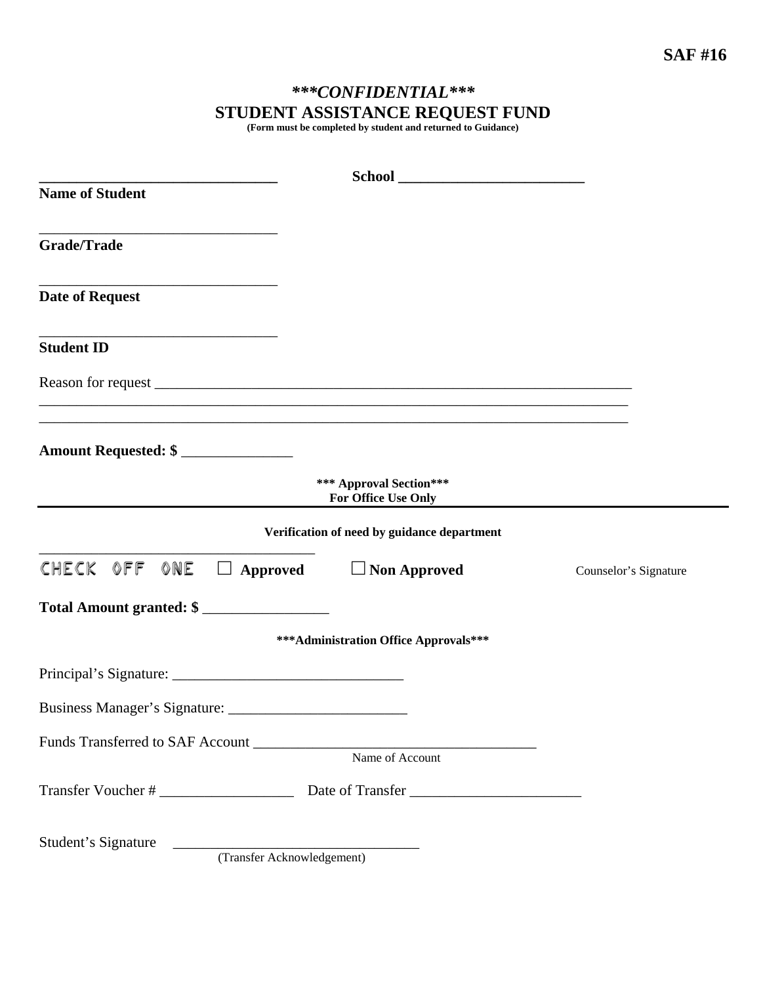# *\*\*\*CONFIDENTIAL\*\*\**  **STUDENT ASSISTANCE REQUEST FUND**

**(Form must be completed by student and returned to Guidance)** 

| <b>Name of Student</b>                            |                                                                                   |                       |
|---------------------------------------------------|-----------------------------------------------------------------------------------|-----------------------|
| <b>Grade/Trade</b>                                |                                                                                   |                       |
| <b>Date of Request</b>                            |                                                                                   |                       |
| <b>Student ID</b>                                 |                                                                                   |                       |
|                                                   |                                                                                   |                       |
| Amount Requested: \$                              | ,我们也不能在这里的时候,我们也不能在这里的时候,我们也不能会在这里的时候,我们也不能会在这里的时候,我们也不能会在这里的时候,我们也不能会在这里的时候,我们也不 |                       |
|                                                   | *** Approval Section***<br>For Office Use Only                                    |                       |
|                                                   | Verification of need by guidance department                                       |                       |
| CHECK OFF ONE $\Box$ Approved $\Box$ Non Approved |                                                                                   | Counselor's Signature |
| Total Amount granted: \$                          |                                                                                   |                       |
|                                                   | *** Administration Office Approvals***                                            |                       |
|                                                   |                                                                                   |                       |
| <b>Business Manager's Signature:</b>              |                                                                                   |                       |
|                                                   | Name of Account                                                                   |                       |
|                                                   |                                                                                   |                       |
|                                                   |                                                                                   |                       |
| Student's Signature                               | (Transfer Acknowledgement)                                                        |                       |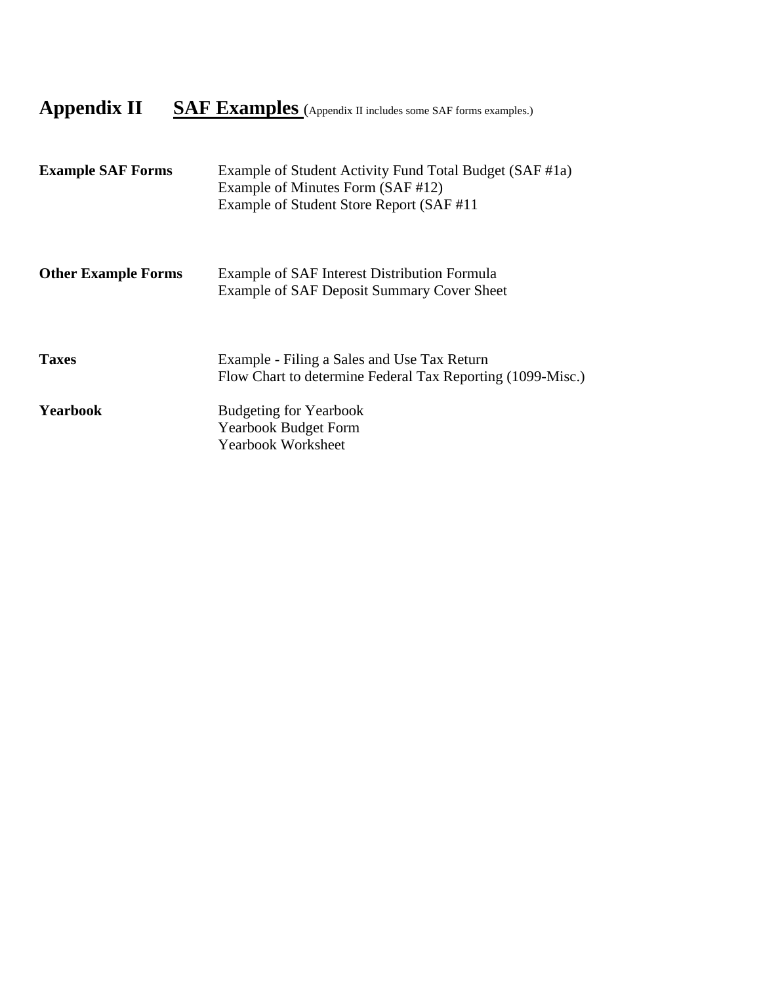# Appendix II **SAF Examples** (Appendix II includes some SAF forms examples.)

| <b>Example SAF Forms</b>   | Example of Student Activity Fund Total Budget (SAF #1a)<br>Example of Minutes Form (SAF #12)<br>Example of Student Store Report (SAF#11) |
|----------------------------|------------------------------------------------------------------------------------------------------------------------------------------|
| <b>Other Example Forms</b> | Example of SAF Interest Distribution Formula<br>Example of SAF Deposit Summary Cover Sheet                                               |
| <b>Taxes</b>               | Example - Filing a Sales and Use Tax Return<br>Flow Chart to determine Federal Tax Reporting (1099-Misc.)                                |
| <b>Yearbook</b>            | <b>Budgeting for Yearbook</b><br><b>Yearbook Budget Form</b><br><b>Yearbook Worksheet</b>                                                |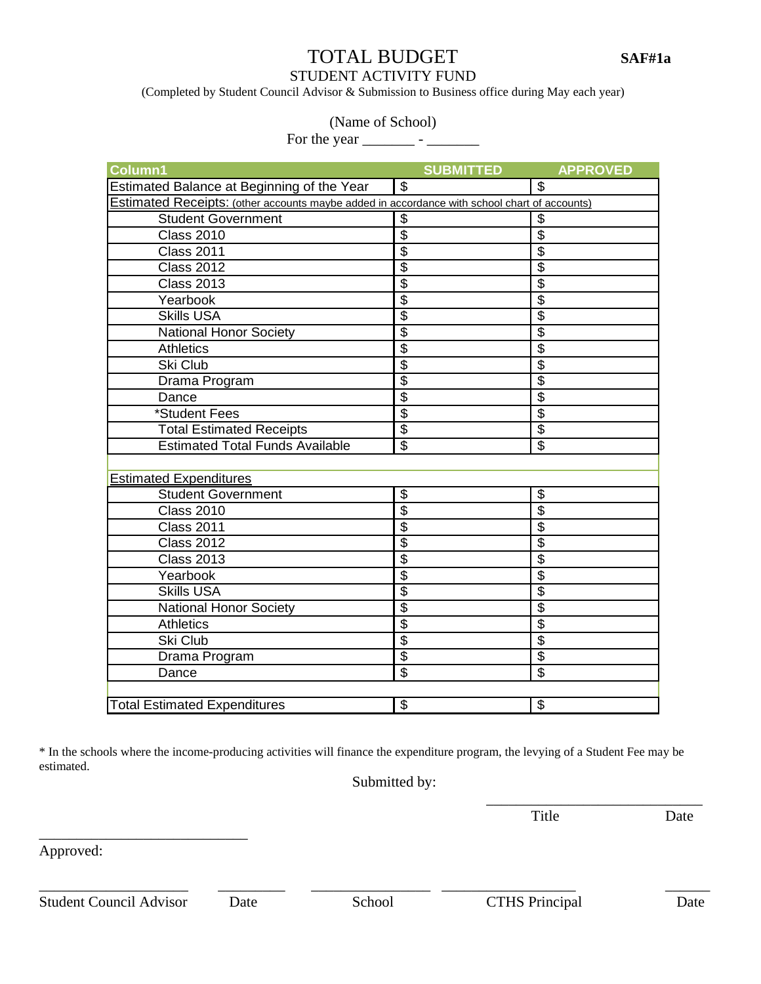# TOTAL BUDGET **SAF#1a**

STUDENT ACTIVITY FUND

(Completed by Student Council Advisor & Submission to Business office during May each year)

### (Name of School)

For the year \_\_\_\_\_\_\_ - \_\_\_\_\_\_\_

| Column1                                                                                      | <b>SUBMITTED</b>                       | <b>APPROVED</b>                        |  |  |  |
|----------------------------------------------------------------------------------------------|----------------------------------------|----------------------------------------|--|--|--|
| Estimated Balance at Beginning of the Year                                                   | $\overline{s}$                         | $\overline{\mathcal{S}}$               |  |  |  |
| Estimated Receipts: (other accounts maybe added in accordance with school chart of accounts) |                                        |                                        |  |  |  |
| <b>Student Government</b>                                                                    | $\overline{\mathbf{3}}$                | \$                                     |  |  |  |
| <b>Class 2010</b>                                                                            | $\overline{\$}$                        | $\overline{\boldsymbol{\mathsf{s}}}$   |  |  |  |
| <b>Class 2011</b>                                                                            | $\overline{\$}$                        | $\overline{\$}$                        |  |  |  |
| <b>Class 2012</b>                                                                            | $\overline{\$}$                        | $\overline{\$}$                        |  |  |  |
| <b>Class 2013</b>                                                                            | $\overline{\mathcal{S}}$               | $\overline{\$}$                        |  |  |  |
| Yearbook                                                                                     | $\overline{\$}$                        | $\overline{\boldsymbol{\mathsf{s}}}$   |  |  |  |
| <b>Skills USA</b>                                                                            | $\overline{\$}$                        | $\overline{\$}$                        |  |  |  |
| <b>National Honor Society</b>                                                                | $\overline{\$}$                        | $\overline{\boldsymbol{\mathfrak{s}}}$ |  |  |  |
| <b>Athletics</b>                                                                             | $\overline{\$}$                        | $\overline{\$}$                        |  |  |  |
| Ski Club                                                                                     | $\overline{\boldsymbol{\mathfrak{s}}}$ | $\overline{\boldsymbol{\mathsf{s}}}$   |  |  |  |
| Drama Program                                                                                | $\overline{\$}$                        | $\overline{\boldsymbol{\mathsf{s}}}$   |  |  |  |
| Dance                                                                                        | $\overline{\$}$                        | $\overline{\$}$                        |  |  |  |
| *Student Fees                                                                                | $\overline{\$}$                        | $\overline{\mathcal{S}}$               |  |  |  |
| <b>Total Estimated Receipts</b>                                                              | $\overline{\$}$                        | $\overline{\$}$                        |  |  |  |
| <b>Estimated Total Funds Available</b>                                                       | $\overline{\mathfrak{s}}$              | \$                                     |  |  |  |
|                                                                                              |                                        |                                        |  |  |  |
| <b>Estimated Expenditures</b>                                                                |                                        |                                        |  |  |  |
| <b>Student Government</b>                                                                    | $\overline{\boldsymbol{\mathfrak{s}}}$ | \$                                     |  |  |  |
| <b>Class 2010</b>                                                                            | $\overline{\$}$                        | $\overline{\$}$                        |  |  |  |
| <b>Class 2011</b>                                                                            | $\overline{\mathfrak{s}}$              | \$                                     |  |  |  |
| <b>Class 2012</b>                                                                            | $\overline{\boldsymbol{\mathfrak{s}}}$ | $\boldsymbol{\theta}$                  |  |  |  |
| <b>Class 2013</b>                                                                            | $\overline{\$}$                        | $\overline{\$}$                        |  |  |  |
| Yearbook                                                                                     | $\overline{\$}$                        | $\overline{\$}$                        |  |  |  |
| <b>Skills USA</b>                                                                            | $\overline{\$}$                        | $\overline{\$}$                        |  |  |  |
| <b>National Honor Society</b>                                                                | $\overline{\$}$                        | $\overline{\boldsymbol{\mathsf{S}}}$   |  |  |  |
| <b>Athletics</b>                                                                             | $\overline{\mathcal{S}}$               | $\overline{\$}$                        |  |  |  |
| Ski Club                                                                                     | $\overline{\$}$                        | $\overline{\$}$                        |  |  |  |
| Drama Program                                                                                | $\overline{\$}$                        | $\overline{\$}$                        |  |  |  |
| Dance                                                                                        | \$                                     | \$                                     |  |  |  |
|                                                                                              |                                        |                                        |  |  |  |
| <b>Total Estimated Expenditures</b>                                                          | $\mathcal{S}$                          | \$                                     |  |  |  |

\* In the schools where the income-producing activities will finance the expenditure program, the levying of a Student Fee may be estimated.

 $\overline{\phantom{a}}$  , and the contract of the contract of the contract of the contract of the contract of the contract of the contract of the contract of the contract of the contract of the contract of the contract of the contrac

Submitted by:

Title Date

Approved:

\_\_\_\_\_\_\_\_\_\_\_\_\_\_\_\_\_\_\_\_\_\_\_\_\_\_\_\_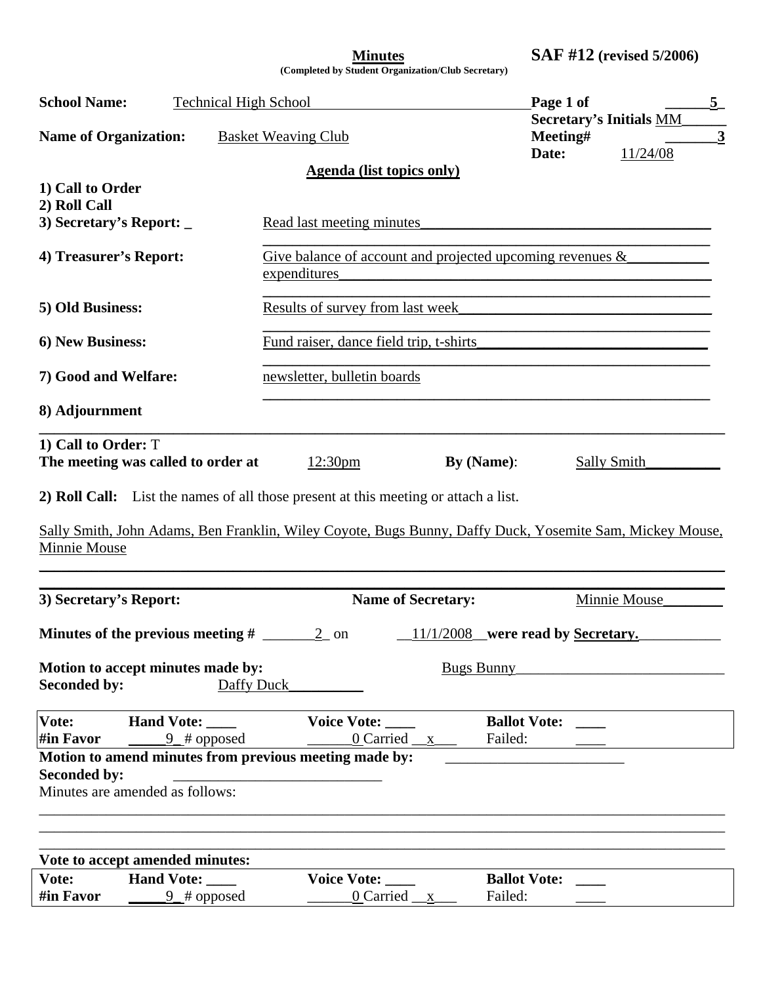**Minutes SAF #12 (revised 5/2006)** 

**(Completed by Student Organization/Club Secretary)** 

| <b>School Name:</b>                                       | <b>Technical High School</b>                        |                                                                                                          |                           | Page 1 of                           |                                                                                           | $\frac{5}{ }$           |
|-----------------------------------------------------------|-----------------------------------------------------|----------------------------------------------------------------------------------------------------------|---------------------------|-------------------------------------|-------------------------------------------------------------------------------------------|-------------------------|
| <b>Name of Organization:</b>                              |                                                     | <b>Basket Weaving Club</b>                                                                               |                           | Meeting#<br>Date:                   | <b>Secretary's Initials MM</b><br>11/24/08                                                | $\overline{\mathbf{3}}$ |
|                                                           |                                                     | <b>Agenda</b> (list topics only)                                                                         |                           |                                     |                                                                                           |                         |
| 1) Call to Order<br>2) Roll Call                          |                                                     |                                                                                                          |                           |                                     |                                                                                           |                         |
| 3) Secretary's Report: _                                  |                                                     | Read last meeting minutes                                                                                |                           |                                     |                                                                                           |                         |
| 4) Treasurer's Report:                                    |                                                     | Give balance of account and projected upcoming revenues $\&$<br>expenditures                             |                           |                                     |                                                                                           |                         |
| 5) Old Business:                                          |                                                     | Results of survey from last week                                                                         |                           |                                     | <u> 1989 - Johann John Stone, mars et al. (b. 1989)</u>                                   |                         |
| 6) New Business:                                          |                                                     | Fund raiser, dance field trip, t-shirts                                                                  |                           |                                     | the control of the control of the control of the control of the control of the control of |                         |
|                                                           | 7) Good and Welfare:<br>newsletter, bulletin boards |                                                                                                          |                           |                                     |                                                                                           |                         |
| 8) Adjournment                                            |                                                     |                                                                                                          |                           |                                     |                                                                                           |                         |
| 1) Call to Order: T<br>The meeting was called to order at |                                                     | 12:30 <sub>pm</sub>                                                                                      |                           | By $(Name)$ :                       | Sally Smith                                                                               |                         |
|                                                           |                                                     | 2) Roll Call: List the names of all those present at this meeting or attach a list.                      |                           |                                     |                                                                                           |                         |
|                                                           |                                                     | Sally Smith, John Adams, Ben Franklin, Wiley Coyote, Bugs Bunny, Daffy Duck, Yosemite Sam, Mickey Mouse, |                           |                                     |                                                                                           |                         |
| Minnie Mouse                                              |                                                     |                                                                                                          |                           |                                     |                                                                                           |                         |
| 3) Secretary's Report:                                    |                                                     |                                                                                                          | <b>Name of Secretary:</b> |                                     | Minnie Mouse                                                                              |                         |
| <b>Minutes of the previous meeting #</b> $\_\_\_\_\_\_2$  |                                                     |                                                                                                          |                           | $11/1/2008$ were read by Secretary. |                                                                                           |                         |
| Motion to accept minutes made by:                         |                                                     |                                                                                                          | <b>Bugs Bunny</b>         |                                     |                                                                                           |                         |
| <b>Seconded by:</b>                                       | Daffy Duck                                          |                                                                                                          |                           |                                     |                                                                                           |                         |
| Vote:<br>#in Favor                                        | Hand Vote:<br>$9$ # opposed                         | Voice Vote:                                                                                              | 0 Carried $\_\ x$         | <b>Ballot Vote:</b><br>Failed:      |                                                                                           |                         |
|                                                           |                                                     | Motion to amend minutes from previous meeting made by:                                                   |                           |                                     |                                                                                           |                         |
| <b>Seconded by:</b><br>Minutes are amended as follows:    |                                                     |                                                                                                          |                           |                                     |                                                                                           |                         |
|                                                           |                                                     |                                                                                                          |                           |                                     |                                                                                           |                         |
|                                                           |                                                     |                                                                                                          |                           |                                     |                                                                                           |                         |
|                                                           |                                                     |                                                                                                          |                           |                                     |                                                                                           |                         |
| Vote to accept amended minutes:                           |                                                     |                                                                                                          |                           |                                     |                                                                                           |                         |
| Vote:                                                     | <b>Hand Vote:</b>                                   | <b>Voice Vote:</b>                                                                                       |                           | <b>Ballot Vote:</b>                 |                                                                                           |                         |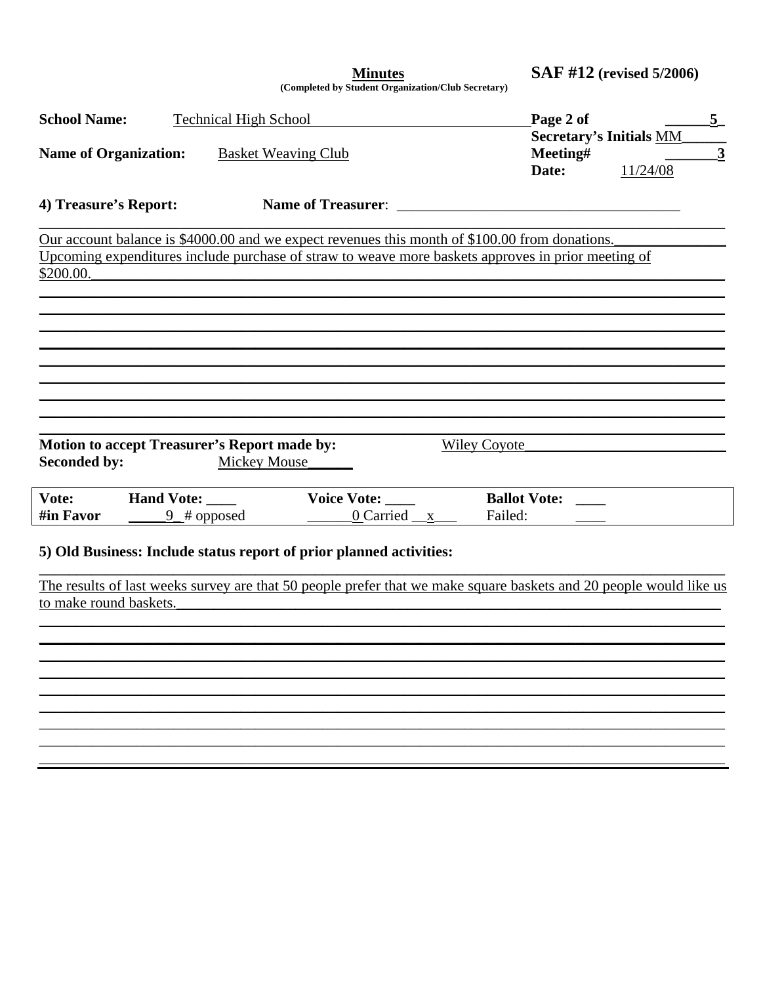**SAF #12** (revised 5/2006) **Minutes** (Completed by Student Organization/Club Secretary) **School Name: Technical High School** Page 2 of  $5<sup>5</sup>$ **Secretary's Initials MM Name of Organization:** Meeting# **Basket Weaving Club** 3 11/24/08 Date: Name of Treasurer: 4) Treasure's Report: Our account balance is \$4000.00 and we expect revenues this month of \$100.00 from donations. Upcoming expenditures include purchase of straw to weave more baskets approves in prior meeting of \$200.00. **Motion to accept Treasurer's Report made by:** Wiley Coyote **Seconded by: Mickey Mouse** Hand Vote: \_\_\_\_ **Ballot Vote: Voice Vote:**  $0$  Carried  $x$ #in Favor  $9 \# opposed$ Failed: 5) Old Business: Include status report of prior planned activities: The results of last weeks survey are that 50 people prefer that we make square baskets and 20 people would like us to make round baskets.

Vote: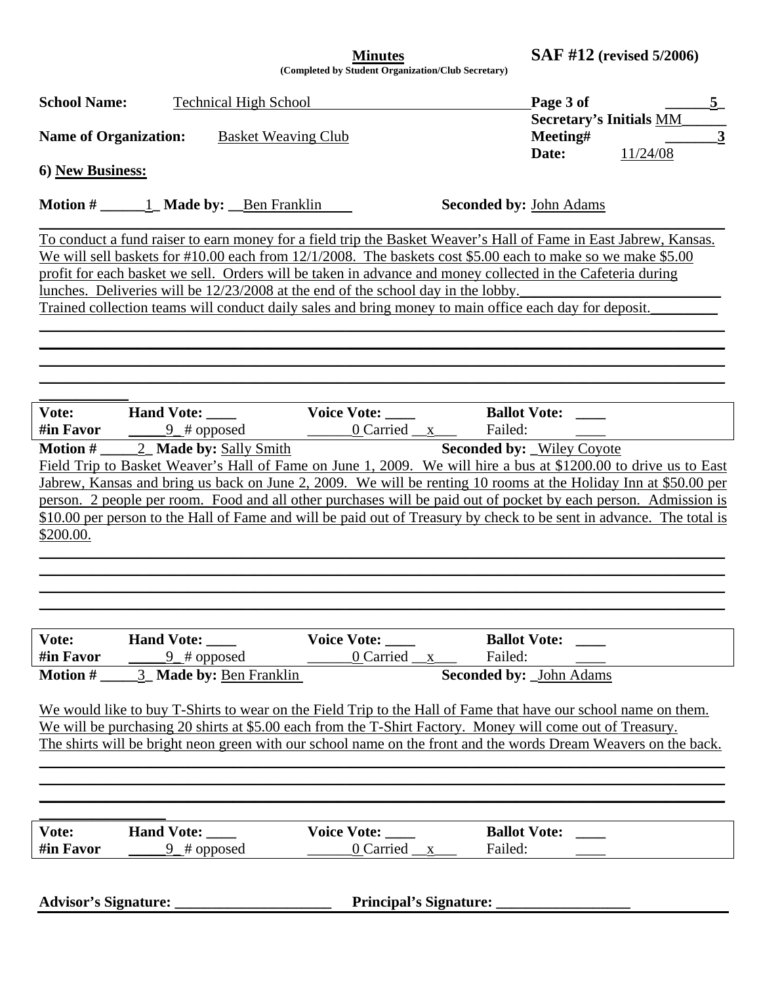| <b>Minutes</b>                            |  |
|-------------------------------------------|--|
| unlated by Ctudent Organization/Club Seem |  |

**Minutes SAF #12 (revised 5/2006)** 

**(Completed by Student Organization/Club Secretary)** 

| <b>School Name:</b> | <b>Technical High School</b>                                                                                         |                                   |                                | Page 3 of                      |          | $\underline{5}$         |
|---------------------|----------------------------------------------------------------------------------------------------------------------|-----------------------------------|--------------------------------|--------------------------------|----------|-------------------------|
|                     |                                                                                                                      |                                   |                                | <b>Secretary's Initials MM</b> |          |                         |
|                     | <b>Name of Organization:</b> Basket Weaving Club                                                                     |                                   |                                | Meeting#                       |          | $\overline{\mathbf{3}}$ |
|                     |                                                                                                                      |                                   |                                | Date:                          | 11/24/08 |                         |
| 6) New Business:    |                                                                                                                      |                                   |                                |                                |          |                         |
|                     |                                                                                                                      |                                   |                                |                                |          |                         |
|                     |                                                                                                                      |                                   | <b>Seconded by: John Adams</b> |                                |          |                         |
|                     |                                                                                                                      |                                   |                                |                                |          |                         |
|                     | To conduct a fund raiser to earn money for a field trip the Basket Weaver's Hall of Fame in East Jabrew, Kansas.     |                                   |                                |                                |          |                         |
|                     | We will sell baskets for #10.00 each from 12/1/2008. The baskets cost \$5.00 each to make so we make \$5.00          |                                   |                                |                                |          |                         |
|                     | profit for each basket we sell. Orders will be taken in advance and money collected in the Cafeteria during          |                                   |                                |                                |          |                         |
|                     | lunches. Deliveries will be 12/23/2008 at the end of the school day in the lobby.                                    |                                   |                                |                                |          |                         |
|                     | Trained collection teams will conduct daily sales and bring money to main office each day for deposit.               |                                   |                                |                                |          |                         |
|                     |                                                                                                                      |                                   |                                |                                |          |                         |
|                     |                                                                                                                      |                                   |                                |                                |          |                         |
|                     |                                                                                                                      |                                   |                                |                                |          |                         |
|                     |                                                                                                                      |                                   |                                |                                |          |                         |
|                     |                                                                                                                      |                                   |                                |                                |          |                         |
| Vote:               | <b>Hand Vote:</b>                                                                                                    | Voice Vote: _____                 | <b>Ballot Vote:</b>            |                                |          |                         |
| #in Favor           | $\frac{9}{4}$ opposed                                                                                                |                                   |                                |                                |          |                         |
|                     |                                                                                                                      | <u>0</u> Carried <u>x</u> Failed: |                                |                                |          |                         |
|                     | <b>Motion #</b> $2$ <b>Made by:</b> Sally Smith                                                                      |                                   | Seconded by: Wiley Coyote      |                                |          |                         |
|                     | Field Trip to Basket Weaver's Hall of Fame on June 1, 2009. We will hire a bus at \$1200.00 to drive us to East      |                                   |                                |                                |          |                         |
|                     | Jabrew, Kansas and bring us back on June 2, 2009. We will be renting 10 rooms at the Holiday Inn at \$50.00 per      |                                   |                                |                                |          |                         |
|                     | person. 2 people per room. Food and all other purchases will be paid out of pocket by each person. Admission is      |                                   |                                |                                |          |                         |
|                     | \$10.00 per person to the Hall of Fame and will be paid out of Treasury by check to be sent in advance. The total is |                                   |                                |                                |          |                         |
| \$200.00.           |                                                                                                                      |                                   |                                |                                |          |                         |
|                     |                                                                                                                      |                                   |                                |                                |          |                         |
|                     |                                                                                                                      |                                   |                                |                                |          |                         |
|                     |                                                                                                                      |                                   |                                |                                |          |                         |
|                     |                                                                                                                      |                                   |                                |                                |          |                         |
|                     |                                                                                                                      |                                   |                                |                                |          |                         |
| Vote:               | Hand Vote:                                                                                                           | <b>Voice Vote:</b>                | <b>Ballot Vote:</b>            |                                |          |                         |
| #in Favor           | $9$ # opposed                                                                                                        | 0 Carried _x                      | Failed:                        |                                |          |                         |
| <b>Motion #</b>     | 3 Made by: Ben Franklin                                                                                              |                                   | <b>Seconded by:</b> John Adams |                                |          |                         |
|                     |                                                                                                                      |                                   |                                |                                |          |                         |
|                     | We would like to buy T-Shirts to wear on the Field Trip to the Hall of Fame that have our school name on them.       |                                   |                                |                                |          |                         |
|                     | We will be purchasing 20 shirts at \$5.00 each from the T-Shirt Factory. Money will come out of Treasury.            |                                   |                                |                                |          |                         |
|                     | The shirts will be bright neon green with our school name on the front and the words Dream Weavers on the back.      |                                   |                                |                                |          |                         |
|                     |                                                                                                                      |                                   |                                |                                |          |                         |
|                     |                                                                                                                      |                                   |                                |                                |          |                         |
|                     |                                                                                                                      |                                   |                                |                                |          |                         |
|                     |                                                                                                                      |                                   |                                |                                |          |                         |
| Vote:               | Hand Vote: ____                                                                                                      | Voice Vote: _____                 | <b>Ballot Vote:</b>            |                                |          |                         |
| #in Favor           | $9$ # opposed                                                                                                        | $0$ Carried $\_\ x$               | Failed:                        |                                |          |                         |
|                     |                                                                                                                      |                                   |                                |                                |          |                         |
|                     |                                                                                                                      |                                   |                                |                                |          |                         |
|                     |                                                                                                                      |                                   |                                |                                |          |                         |
|                     |                                                                                                                      |                                   |                                |                                |          |                         |
|                     |                                                                                                                      |                                   |                                |                                |          |                         |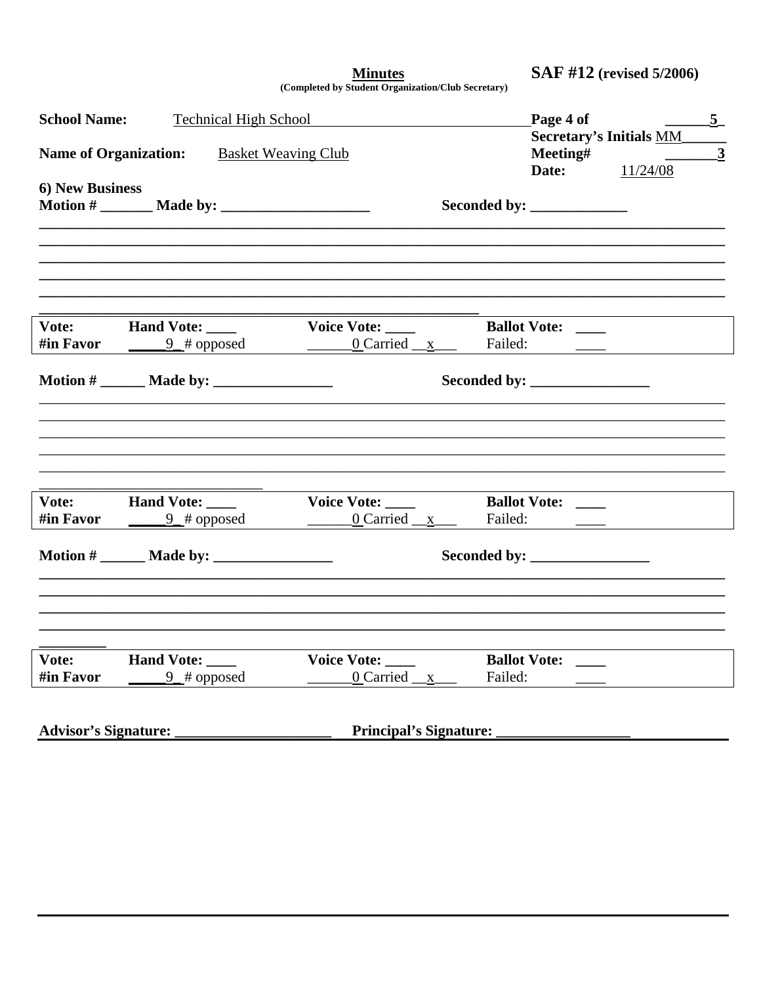**SAF #12** (revised 5/2006)

| <b>Minutes</b>                                     |  |
|----------------------------------------------------|--|
| (Completed by Student Organization/Club Secretary) |  |

**School Name:** Page 4 of **Technical High School**  $-5$ **Secretary's Initials MM\_** Meeting# **Name of Organization: Basket Weaving Club**  $\overline{\mathbf{3}}$ 11/24/08 Date: **6) New Business**  $\text{Motion } \#$   $\text{ Made by:}$ Seconded by: Vote: **Hand Vote: Voice Vote: Ballot Vote:** #in Favor 0 Carried  $\frac{\mathbf{x}}{2}$  $\text{Motion } \#$   $\text{ Made by:}$ Seconded by: **Hand Vote: Ballot Vote:** Vote: **Voice Vote:**  $\overline{\phantom{a}}$ #in Favor  $9$  # opposed  $0$  Carried  $\_\ x$ Failed:  $\text{Motion } \#$   $\text{ Made by:}$ Seconded by: **Ballot Vote:** Vote: **Hand Vote: Voice Vote:** #in Favor  $9 \# opposed$  $0$  Carried  $x$ Failed: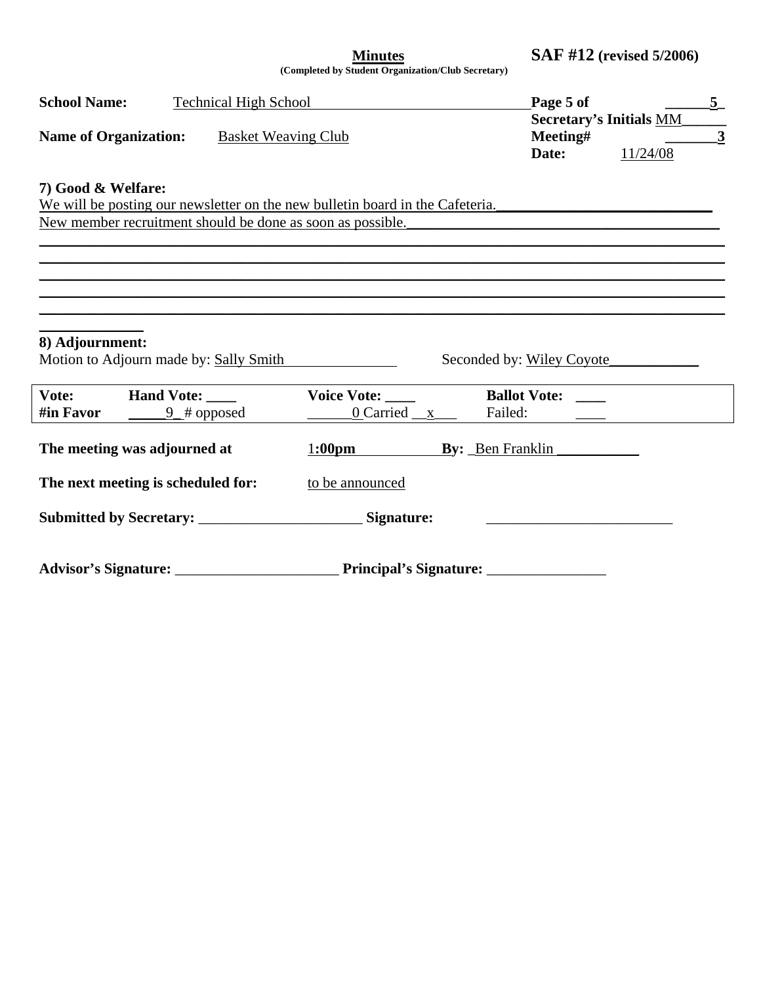**Minutes SAF #12 (revised 5/2006)** 

**(Completed by Student Organization/Club Secretary)** 

| <b>School Name:</b>          | <b>Technical High School</b>                               |                                      | Page 5 of<br><b>Secretary's Initials MM</b>                                                                                                                                                         | $\overline{5}$ |  |
|------------------------------|------------------------------------------------------------|--------------------------------------|-----------------------------------------------------------------------------------------------------------------------------------------------------------------------------------------------------|----------------|--|
| <b>Name of Organization:</b> | <b>Basket Weaving Club</b>                                 | Meeting#<br>11/24/08<br>Date:        | $\overline{\mathbf{3}}$                                                                                                                                                                             |                |  |
| 7) Good & Welfare:           | New member recruitment should be done as soon as possible. |                                      | We will be posting our newsletter on the new bulletin board in the Cafeteria.<br><u> 1989 - Jan James James James James James James James James James James James James James James James James</u> |                |  |
| 8) Adjournment:              | Motion to Adjourn made by: Sally Smith                     |                                      | Seconded by: Wiley Coyote                                                                                                                                                                           |                |  |
| Vote:<br>#in Favor           | <b>Hand Vote:</b><br>$\frac{9}{4}$ opposed                 | Voice Vote: _____<br>$0$ Carried $x$ | <b>Ballot Vote:</b><br>Failed:                                                                                                                                                                      |                |  |
|                              | The meeting was adjourned at                               | 1:00pm By: Ben Franklin              |                                                                                                                                                                                                     |                |  |
|                              | The next meeting is scheduled for:                         | to be announced                      |                                                                                                                                                                                                     |                |  |
|                              |                                                            |                                      |                                                                                                                                                                                                     |                |  |
|                              |                                                            |                                      |                                                                                                                                                                                                     |                |  |

L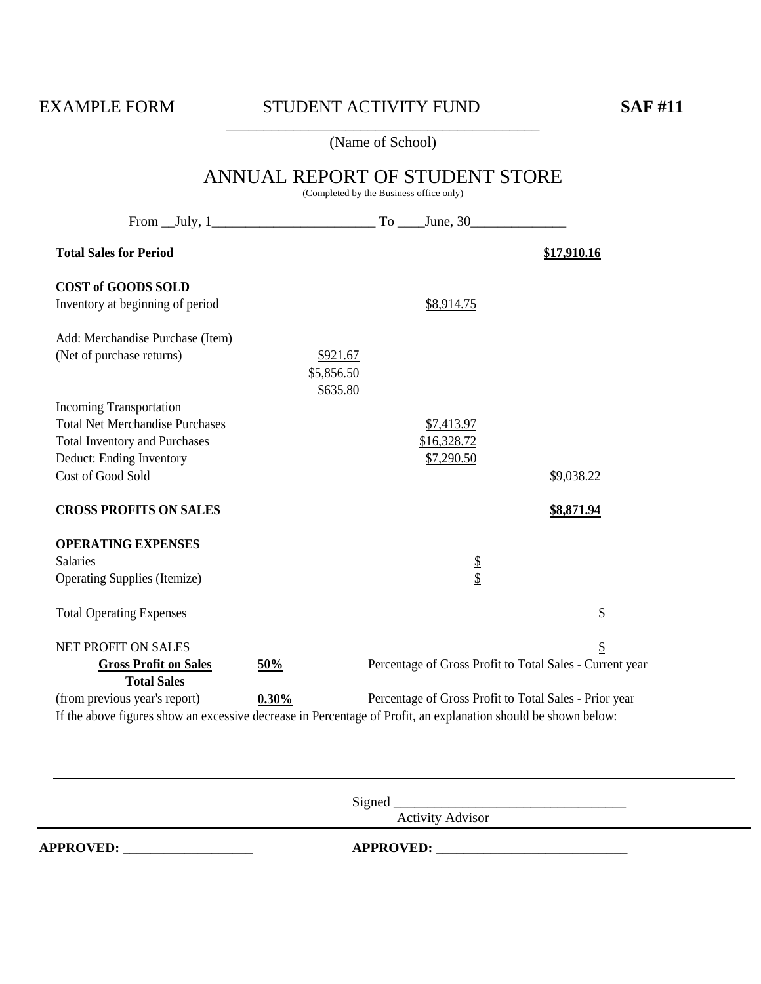#### \_\_\_\_\_\_\_\_\_\_\_\_\_\_\_\_\_\_\_\_\_\_\_\_\_\_\_\_\_\_\_\_\_\_\_\_\_\_\_\_\_\_ (Name of School)

# ANNUAL REPORT OF STUDENT STORE (Completed by the Business office only) From July, 1 To June, 30 **Total Sales for Period** \$17,910.16 **COST of GOODS SOLD** Inventory at beginning of period  $$8,914.75$ Add: Merchandise Purchase (Item) (Net of purchase returns)  $$921.67$ \$5,856.50 \$635.80 Incoming Transportation Total Net Merchandise Purchases  $$7,413.97$ Total Inventory and Purchases  $$16,328.72$ Deduct: Ending Inventory \$7,290.50  $\frac{1}{2}$ Cost of Good Sold  $\frac{1}{2}$ **CROSS PROFITS ON SALES \$8,871.94 OPERATING EXPENSES** Salaries Salaries Salaries Salaries Salaries Salaries Salaries Salaries Salaries Salaries Salaries Salaries Sa Operating Supplies (Itemize)  $\frac{1}{2}$ Total Operating Expenses  $\mathcal{S}$ NET PROFIT ON SALES SERVERSE SERVERSE SERVERSE SERVERSE SERVERS SERVERS SERVERSE SERVERS SERVERS SERVERS SERVERS **Gross Profit on Sales 50%** Percentage of Gross Profit to Total Sales - Current year **Total Sales** (from previous year's report) **0.30%** Percentage of Gross Profit to Total Sales - Prior year If the above figures show an excessive decrease in Percentage of Profit, an explanation should be shown below:

Signed \_\_\_\_\_\_\_\_\_\_\_\_\_\_\_\_\_\_\_\_\_\_\_\_\_\_\_\_\_\_\_\_\_\_

Activity Advisor

**APPROVED:** \_\_\_\_\_\_\_\_\_\_\_\_\_\_\_\_\_\_\_ **APPROVED:** \_\_\_\_\_\_\_\_\_\_\_\_\_\_\_\_\_\_\_\_\_\_\_\_\_\_\_\_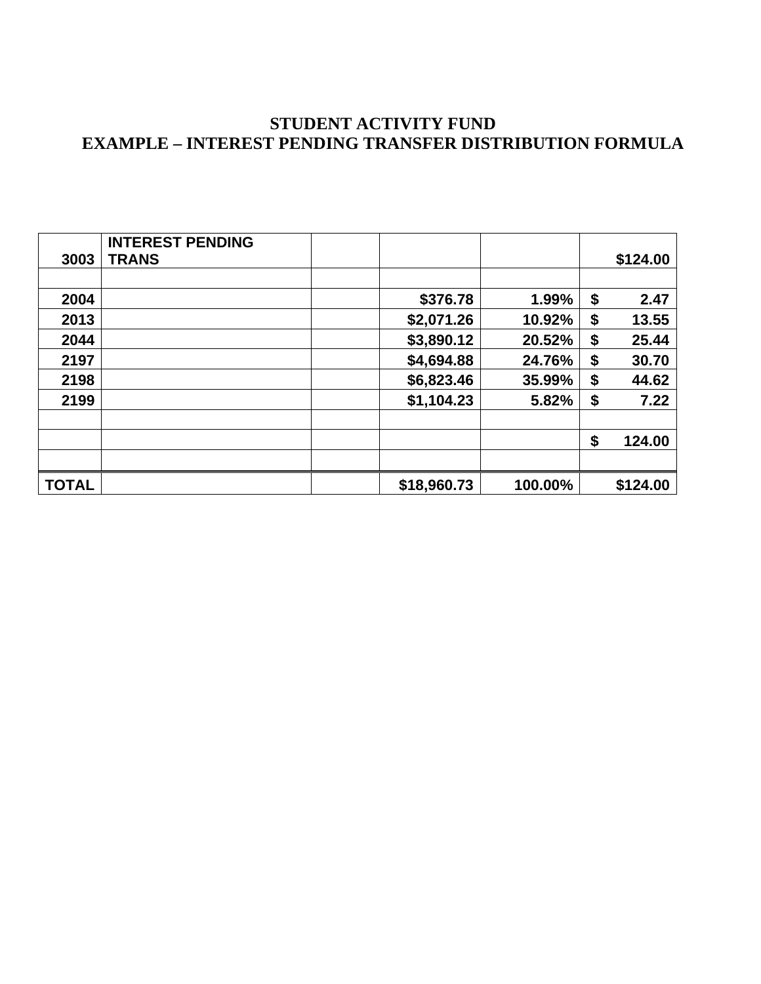# **STUDENT ACTIVITY FUND EXAMPLE – INTEREST PENDING TRANSFER DISTRIBUTION FORMULA**

| 3003         | <b>INTEREST PENDING</b><br><b>TRANS</b> |             |         | \$124.00     |
|--------------|-----------------------------------------|-------------|---------|--------------|
|              |                                         |             |         |              |
| 2004         |                                         | \$376.78    | 1.99%   | \$<br>2.47   |
| 2013         |                                         | \$2,071.26  | 10.92%  | \$<br>13.55  |
| 2044         |                                         | \$3,890.12  | 20.52%  | \$<br>25.44  |
| 2197         |                                         | \$4,694.88  | 24.76%  | \$<br>30.70  |
| 2198         |                                         | \$6,823.46  | 35.99%  | \$<br>44.62  |
| 2199         |                                         | \$1,104.23  | 5.82%   | \$<br>7.22   |
|              |                                         |             |         | \$<br>124.00 |
|              |                                         |             |         |              |
| <b>TOTAL</b> |                                         | \$18,960.73 | 100.00% | \$124.00     |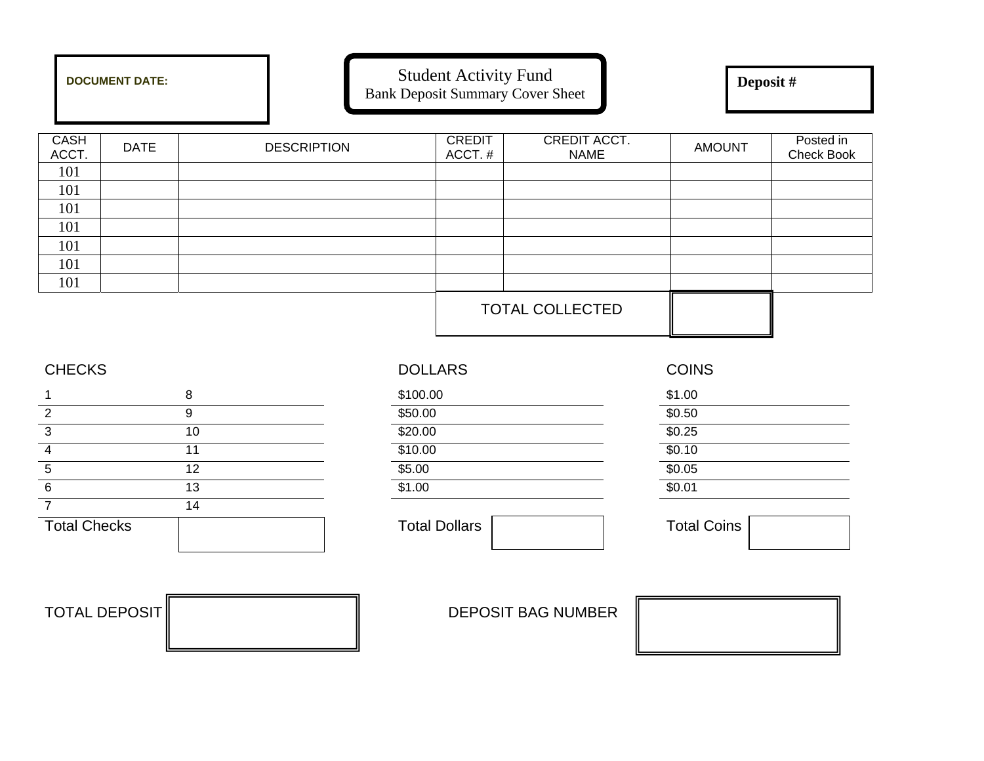|               | <b>DOCUMENT DATE:</b> |                    | <b>Student Activity Fund</b> | <b>Bank Deposit Summary Cover Sheet</b> | Deposit#      |                         |
|---------------|-----------------------|--------------------|------------------------------|-----------------------------------------|---------------|-------------------------|
| CASH<br>ACCT. | <b>DATE</b>           | <b>DESCRIPTION</b> | <b>CREDIT</b><br>ACCT.#      | CREDIT ACCT.<br><b>NAME</b>             | <b>AMOUNT</b> | Posted in<br>Check Book |
| 101           |                       |                    |                              |                                         |               |                         |
| 101           |                       |                    |                              |                                         |               |                         |
| 101           |                       |                    |                              |                                         |               |                         |
| 101           |                       |                    |                              |                                         |               |                         |
| 101           |                       |                    |                              |                                         |               |                         |
| 101           |                       |                    |                              |                                         |               |                         |
| 101           |                       |                    |                              |                                         |               |                         |
|               |                       |                    |                              | <b>TOTAL COLLECTED</b>                  |               |                         |

|                     | 8  | \$100.00             | \$1.00 |
|---------------------|----|----------------------|--------|
|                     |    | \$50.00              | \$0.50 |
|                     | 10 | \$20.00              | \$0.25 |
| 4                   | 11 | \$10.00              | \$0.10 |
| 5                   | 12 | \$5.00               | \$0.05 |
| 6                   | 13 | \$1.00               | \$0.01 |
|                     | 14 |                      |        |
| <b>Total Checks</b> |    | <b>Total Dollars</b> | Total  |

| CHECKS |                | <b>DOLLARS</b> | <b>COINS</b> |
|--------|----------------|----------------|--------------|
|        |                | \$100.00       | \$1.00       |
|        |                | \$50.00        | \$0.50       |
|        | 10             | \$20.00        | \$0.25       |
| 4      | ا 1            | \$10.00        | \$0.10       |
|        | 12             | \$5.00         | \$0.05       |
| 6      | 13             | \$1.00         | \$0.01       |
| ⇁      | $\overline{A}$ |                |              |

**COINS** 

**Total Coins** 

TOTAL DEPOSIT DEPOSIT BAG NUMBER

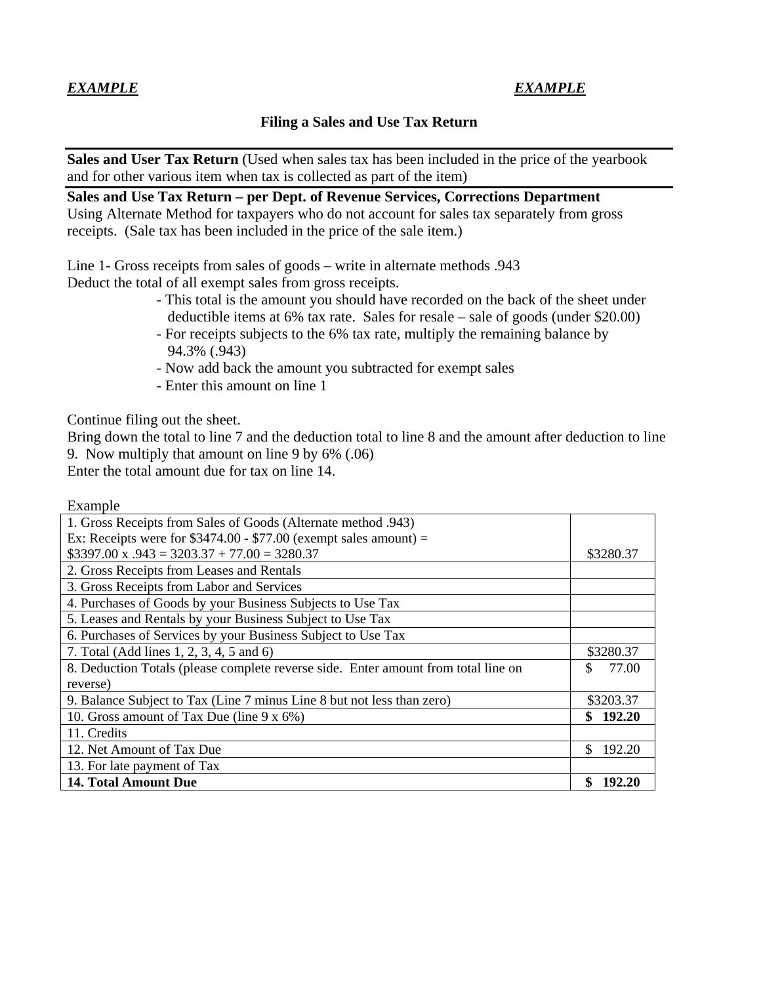# *EXAMPLE EXAMPLE*

### **Filing a Sales and Use Tax Return**

**Sales and User Tax Return** (Used when sales tax has been included in the price of the yearbook and for other various item when tax is collected as part of the item)

**Sales and Use Tax Return – per Dept. of Revenue Services, Corrections Department**  Using Alternate Method for taxpayers who do not account for sales tax separately from gross receipts. (Sale tax has been included in the price of the sale item.)

Line 1- Gross receipts from sales of goods – write in alternate methods .943 Deduct the total of all exempt sales from gross receipts.

- This total is the amount you should have recorded on the back of the sheet under deductible items at 6% tax rate. Sales for resale – sale of goods (under \$20.00)
- For receipts subjects to the 6% tax rate, multiply the remaining balance by 94.3% (.943)
- Now add back the amount you subtracted for exempt sales
- Enter this amount on line 1

Continue filing out the sheet.

Bring down the total to line 7 and the deduction total to line 8 and the amount after deduction to line 9. Now multiply that amount on line 9 by 6% (.06)

Enter the total amount due for tax on line 14.

Example

| 1. Gross Receipts from Sales of Goods (Alternate method .943)                      |               |
|------------------------------------------------------------------------------------|---------------|
| Ex: Receipts were for $$3474.00 - $77.00$ (exempt sales amount) =                  |               |
| $$3397.00 \times .943 = 3203.37 + 77.00 = 3280.37$                                 | \$3280.37     |
| 2. Gross Receipts from Leases and Rentals                                          |               |
| 3. Gross Receipts from Labor and Services                                          |               |
| 4. Purchases of Goods by your Business Subjects to Use Tax                         |               |
| 5. Leases and Rentals by your Business Subject to Use Tax                          |               |
| 6. Purchases of Services by your Business Subject to Use Tax                       |               |
| 7. Total (Add lines 1, 2, 3, 4, 5 and 6)                                           | \$3280.37     |
| 8. Deduction Totals (please complete reverse side. Enter amount from total line on | 77.00<br>S    |
| reverse)                                                                           |               |
| 9. Balance Subject to Tax (Line 7 minus Line 8 but not less than zero)             | \$3203.37     |
| 10. Gross amount of Tax Due (line 9 x 6%)                                          | 192.20<br>SS. |
| 11. Credits                                                                        |               |
| 12. Net Amount of Tax Due                                                          | \$.<br>192.20 |
| 13. For late payment of Tax                                                        |               |
| <b>14. Total Amount Due</b>                                                        | 192.20        |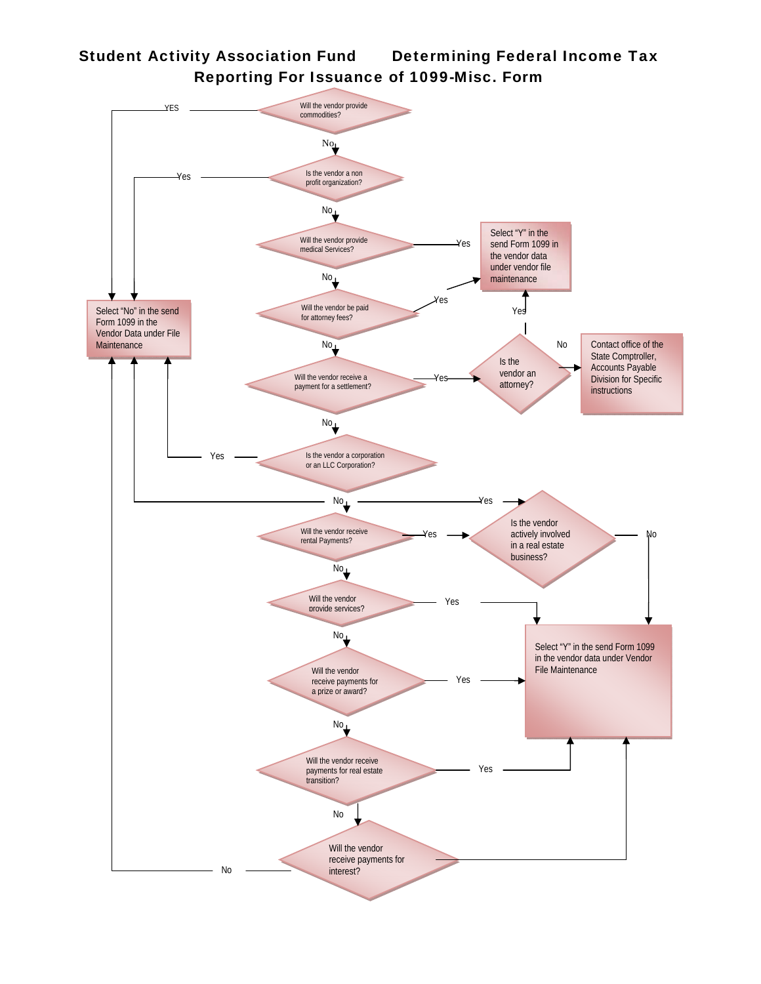# Student Activity Association Fund Determining Federal Income Tax Reporting For Issuance of 1099-Misc. Form

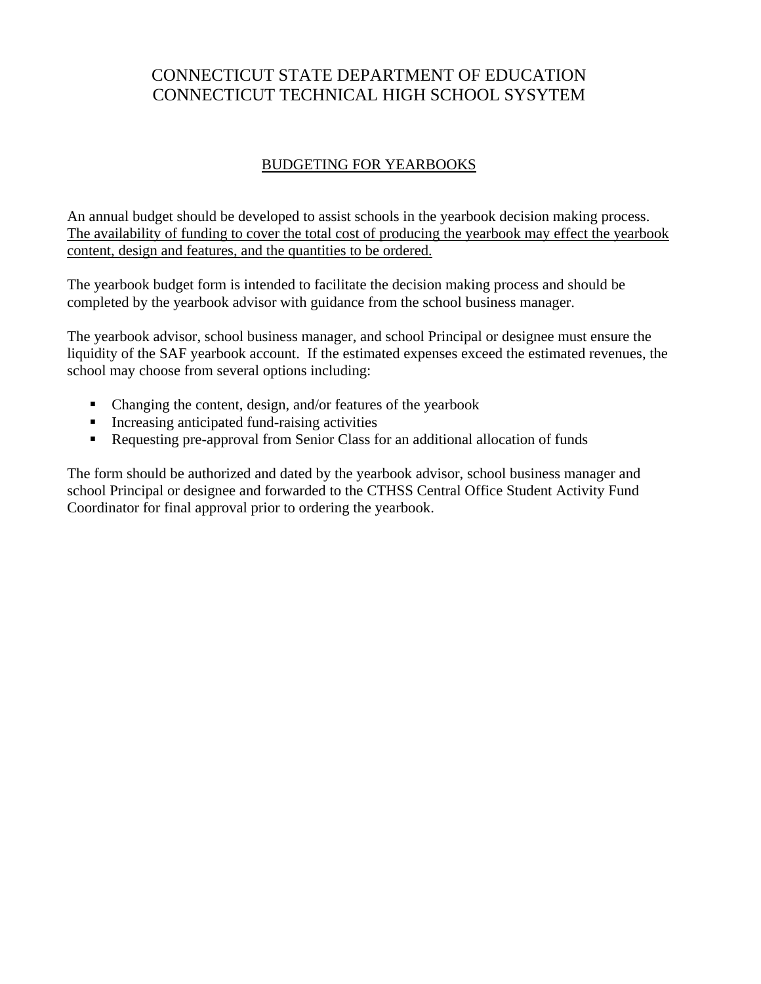# CONNECTICUT STATE DEPARTMENT OF EDUCATION CONNECTICUT TECHNICAL HIGH SCHOOL SYSYTEM

## BUDGETING FOR YEARBOOKS

An annual budget should be developed to assist schools in the yearbook decision making process. The availability of funding to cover the total cost of producing the yearbook may effect the yearbook content, design and features, and the quantities to be ordered.

The yearbook budget form is intended to facilitate the decision making process and should be completed by the yearbook advisor with guidance from the school business manager.

The yearbook advisor, school business manager, and school Principal or designee must ensure the liquidity of the SAF yearbook account. If the estimated expenses exceed the estimated revenues, the school may choose from several options including:

- Changing the content, design, and/or features of the yearbook
- Increasing anticipated fund-raising activities
- Requesting pre-approval from Senior Class for an additional allocation of funds

The form should be authorized and dated by the yearbook advisor, school business manager and school Principal or designee and forwarded to the CTHSS Central Office Student Activity Fund Coordinator for final approval prior to ordering the yearbook.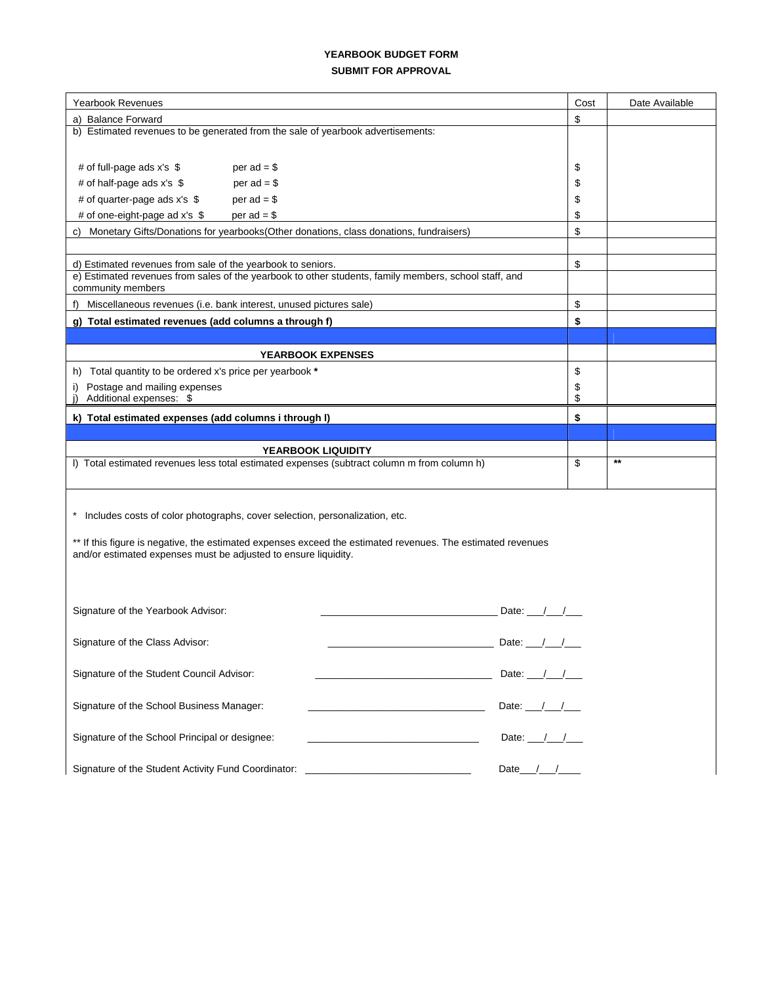#### **YEARBOOK BUDGET FORM SUBMIT FOR APPROVAL**

| <b>Yearbook Revenues</b>                                                                                    | Cost                       | Date Available |
|-------------------------------------------------------------------------------------------------------------|----------------------------|----------------|
| a) Balance Forward                                                                                          | \$                         |                |
| b) Estimated revenues to be generated from the sale of yearbook advertisements:                             |                            |                |
|                                                                                                             |                            |                |
| # of full-page ads x's \$<br>per $ad = $$                                                                   | \$                         |                |
| # of half-page ads x's \$<br>per $ad = $$                                                                   | \$                         |                |
| # of quarter-page ads $x's$ \$<br>per $ad = $$                                                              | \$                         |                |
| # of one-eight-page ad x's \$<br>$per$ ad = \$                                                              | \$                         |                |
| Monetary Gifts/Donations for yearbooks(Other donations, class donations, fundraisers)<br>C)                 | \$                         |                |
|                                                                                                             |                            |                |
| d) Estimated revenues from sale of the yearbook to seniors.                                                 | \$                         |                |
| e) Estimated revenues from sales of the yearbook to other students, family members, school staff, and       |                            |                |
| community members                                                                                           |                            |                |
| Miscellaneous revenues (i.e. bank interest, unused pictures sale)<br>f)                                     | \$                         |                |
| g) Total estimated revenues (add columns a through f)                                                       | \$                         |                |
|                                                                                                             |                            |                |
| <b>YEARBOOK EXPENSES</b>                                                                                    |                            |                |
| Total quantity to be ordered x's price per yearbook *<br>h)                                                 | \$                         |                |
| Postage and mailing expenses<br>i)                                                                          | \$                         |                |
| Additional expenses: \$                                                                                     | \$                         |                |
| k) Total estimated expenses (add columns i through I)                                                       | \$                         |                |
|                                                                                                             |                            |                |
| <b>YEARBOOK LIQUIDITY</b>                                                                                   |                            |                |
| I) Total estimated revenues less total estimated expenses (subtract column m from column h)                 | \$                         | $***$          |
|                                                                                                             |                            |                |
|                                                                                                             |                            |                |
| * Includes costs of color photographs, cover selection, personalization, etc.                               |                            |                |
|                                                                                                             |                            |                |
| ** If this figure is negative, the estimated expenses exceed the estimated revenues. The estimated revenues |                            |                |
| and/or estimated expenses must be adjusted to ensure liquidity.                                             |                            |                |
|                                                                                                             |                            |                |
|                                                                                                             |                            |                |
| Signature of the Yearbook Advisor:                                                                          | Date: $\frac{1}{\sqrt{2}}$ |                |
|                                                                                                             |                            |                |
| Signature of the Class Advisor:                                                                             | Date: $\frac{1}{\sqrt{2}}$ |                |
|                                                                                                             |                            |                |
| Signature of the Student Council Advisor:                                                                   | Date: $/$ /                |                |
|                                                                                                             |                            |                |
| Signature of the School Business Manager:                                                                   | Date: /                    |                |
|                                                                                                             |                            |                |
| Signature of the School Principal or designee:                                                              | Date: $\frac{1}{\sqrt{2}}$ |                |
|                                                                                                             |                            |                |
| Signature of the Student Activity Fund Coordinator:                                                         | Date $/$                   |                |
|                                                                                                             |                            |                |